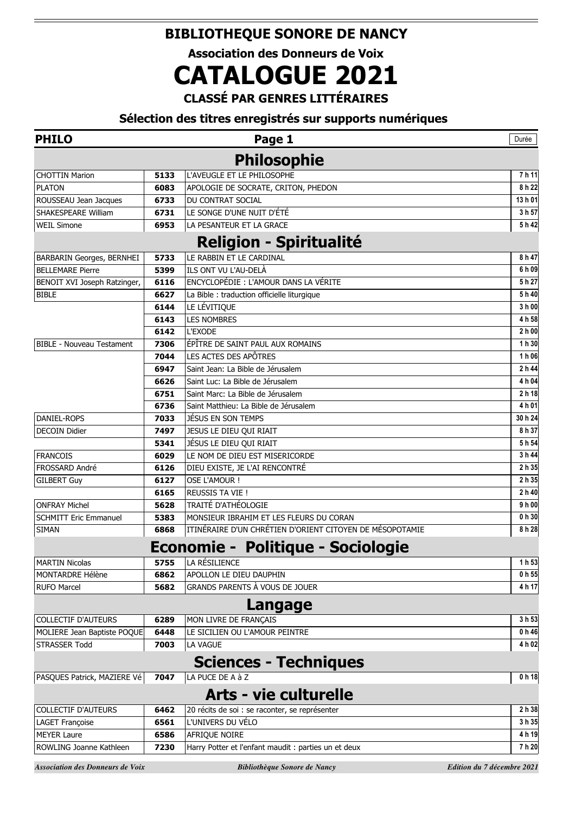## **BIBLIOTHEQUE SONORE DE NANCY**

**Association des Donneurs de Voix**

## **CATALOGUE 2021**

**CLASSÉ PAR GENRES LITTÉRAIRES**

## **Sélection des titres enregistrés sur supports numériques**

| <b>PHILO</b>                     |      | Page 1                                                   | Durée             |
|----------------------------------|------|----------------------------------------------------------|-------------------|
|                                  |      | <b>Philosophie</b>                                       |                   |
| <b>CHOTTIN Marion</b>            | 5133 | L'AVEUGLE ET LE PHILOSOPHE                               | 7h 11             |
| <b>PLATON</b>                    | 6083 | APOLOGIE DE SOCRATE, CRITON, PHEDON                      | 8 h 22            |
| ROUSSEAU Jean Jacques            | 6733 | DU CONTRAT SOCIAL                                        | 13 h 01           |
| SHAKESPEARE William              | 6731 | LE SONGE D'UNE NUIT D'ÉTÉ                                | 3 h 57            |
| <b>WEIL Simone</b>               | 6953 | LA PESANTEUR ET LA GRACE                                 | 5h42              |
|                                  |      | <b>Religion - Spiritualité</b>                           |                   |
| BARBARIN Georges, BERNHEI        | 5733 | LE RABBIN ET LE CARDINAL                                 | 8 h 47            |
| <b>BELLEMARE Pierre</b>          | 5399 | ILS ONT VU L'AU-DELÀ                                     | 6 h 09            |
| BENOIT XVI Joseph Ratzinger,     | 6116 | ENCYCLOPÉDIE : L'AMOUR DANS LA VÉRITE                    | 5 h 27            |
| <b>BIBLE</b>                     | 6627 | La Bible : traduction officielle liturgique              | 5 h 40            |
|                                  | 6144 | LE LÉVITIQUE                                             | 3 h 00            |
|                                  | 6143 | <b>LES NOMBRES</b>                                       | 4 h 58            |
|                                  | 6142 | L'EXODE                                                  | 2 h 00            |
| <b>BIBLE - Nouveau Testament</b> | 7306 | ÉPÎTRE DE SAINT PAUL AUX ROMAINS                         | 1 h 30            |
|                                  | 7044 | LES ACTES DES APÔTRES                                    | 1 h 06            |
|                                  | 6947 | Saint Jean: La Bible de Jérusalem                        | 2 h 44            |
|                                  | 6626 | Saint Luc: La Bible de Jérusalem                         | 4 h 04            |
|                                  | 6751 | Saint Marc: La Bible de Jérusalem                        | 2 h 18            |
|                                  | 6736 | Saint Matthieu: La Bible de Jérusalem                    | 4 h 01            |
| DANIEL-ROPS                      | 7033 | JÉSUS EN SON TEMPS                                       | 30 h 24           |
| <b>DECOIN Didier</b>             | 7497 | JESUS LE DIEU QUI RIAIT                                  | 8 h 37            |
|                                  | 5341 | JÉSUS LE DIEU QUI RIAIT                                  | 5 h 54            |
| <b>FRANCOIS</b>                  | 6029 | LE NOM DE DIEU EST MISERICORDE                           | 3 h 44            |
| FROSSARD André                   | 6126 | DIEU EXISTE, JE L'AI RENCONTRÉ                           | 2 h 35            |
| <b>GILBERT Guy</b>               | 6127 | <b>OSE L'AMOUR!</b>                                      | 2 h 35            |
|                                  | 6165 | <b>REUSSIS TA VIE!</b>                                   | 2 h 40            |
| <b>ONFRAY Michel</b>             | 5628 | TRAITÉ D'ATHÉOLOGIE                                      | 9 h 00            |
| <b>SCHMITT Eric Emmanuel</b>     | 5383 | MONSIEUR IBRAHIM ET LES FLEURS DU CORAN                  | 0 h 30            |
| <b>SIMAN</b>                     | 6868 | ITINÉRAIRE D'UN CHRÉTIEN D'ORIENT CITOYEN DE MÉSOPOTAMIE | 8 h 28            |
|                                  |      | <b>Economie - Politique - Sociologie</b>                 |                   |
| <b>MARTIN Nicolas</b>            | 5755 | LA RÉSILIENCE                                            | 1 h 53            |
| <b>MONTARDRE Hélène</b>          | 6862 | APOLLON LE DIEU DAUPHIN                                  | 0 h 55            |
| <b>RUFO Marcel</b>               | 5682 | GRANDS PARENTS À VOUS DE JOUER                           | 4 h 17            |
|                                  |      | Langage                                                  |                   |
| <b>COLLECTIF D'AUTEURS</b>       | 6289 | MON LIVRE DE FRANÇAIS                                    | 3 h 53            |
| MOLIERE Jean Baptiste POQUE      | 6448 | LE SICILIEN OU L'AMOUR PEINTRE                           | 0 h 46            |
| <b>STRASSER Todd</b>             | 7003 | LA VAGUE                                                 | 4 h 02            |
|                                  |      | <b>Sciences - Techniques</b>                             |                   |
| PASQUES Patrick, MAZIERE Vé      | 7047 | LA PUCE DE A à Z                                         | 0 <sub>h</sub> 18 |
|                                  |      | <b>Arts - vie culturelle</b>                             |                   |
| <b>COLLECTIF D'AUTEURS</b>       | 6462 | 20 récits de soi : se raconter, se représenter           | 2 h 38            |
| LAGET Françoise                  | 6561 | L'UNIVERS DU VÉLO                                        | 3 h 35            |
| <b>MEYER Laure</b>               | 6586 | AFRIQUE NOIRE                                            | 4 h 19            |
| ROWLING Joanne Kathleen          | 7230 | Harry Potter et l'enfant maudit : parties un et deux     | 7 h 20            |

*Association des Donneurs de Voix Bibliothèque Sonore de Nancy Edition du 7 décembre 2021*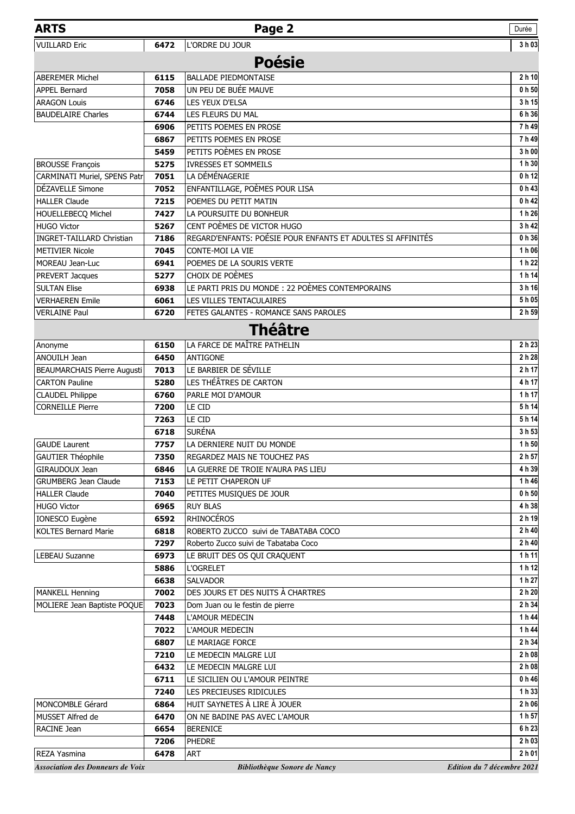| <b>ARTS</b>                             |              | Page 2                                                      | Durée                      |
|-----------------------------------------|--------------|-------------------------------------------------------------|----------------------------|
| <b>VUILLARD Eric</b>                    | 6472         | L'ORDRE DU JOUR                                             | 3h03                       |
|                                         |              | <b>Poésie</b>                                               |                            |
|                                         |              |                                                             |                            |
| <b>ABEREMER Michel</b>                  | 6115         | <b>BALLADE PIEDMONTAISE</b>                                 | 2h10                       |
| <b>APPEL Bernard</b>                    | 7058         | UN PEU DE BUÉE MAUVE                                        | 0 <sub>h</sub> 50          |
| <b>ARAGON Louis</b>                     | 6746         | LES YEUX D'ELSA                                             | 3h 15<br>6 h 36            |
| <b>BAUDELAIRE Charles</b>               | 6744         | LES FLEURS DU MAL                                           | 7h49                       |
|                                         | 6906<br>6867 | PETITS POEMES EN PROSE<br>PETITS POEMES EN PROSE            | 7h49                       |
|                                         | 5459         | PETITS POÈMES EN PROSE                                      | 3 h 00                     |
| <b>BROUSSE François</b>                 | 5275         | <b>IVRESSES ET SOMMEILS</b>                                 | 1 h 30                     |
| CARMINATI Muriel, SPENS Patr            | 7051         | LA DÉMÉNAGERIE                                              | 0 <sub>h</sub> 12          |
| DÉZAVELLE Simone                        | 7052         | ENFANTILLAGE, POÈMES POUR LISA                              | 0h43                       |
| <b>HALLER Claude</b>                    | 7215         | POEMES DU PETIT MATIN                                       | 0h42                       |
| HOUELLEBECQ Michel                      | 7427         | LA POURSUITE DU BONHEUR                                     | 1h26                       |
| <b>HUGO Victor</b>                      | 5267         | CENT POÈMES DE VICTOR HUGO                                  | 3h42                       |
| <b>INGRET-TAILLARD Christian</b>        | 7186         | REGARD'ENFANTS: POÉSIE POUR ENFANTS ET ADULTES SI AFFINITÉS | 0h36                       |
| <b>METIVIER Nicole</b>                  | 7045         | <b>CONTE-MOI LA VIE</b>                                     | 1h06                       |
| <b>MOREAU Jean-Luc</b>                  | 6941         | POEMES DE LA SOURIS VERTE                                   | 1h22                       |
| PREVERT Jacques                         | 5277         | CHOIX DE POÈMES                                             | 1h 14                      |
| <b>SULTAN Elise</b>                     | 6938         | LE PARTI PRIS DU MONDE : 22 POÈMES CONTEMPORAINS            | 3h 16                      |
| <b>VERHAEREN Emile</b>                  | 6061         | LES VILLES TENTACULAIRES                                    | 5 h 05                     |
| <b>VERLAINE Paul</b>                    | 6720         | FETES GALANTES - ROMANCE SANS PAROLES                       | 2 h 59                     |
|                                         |              |                                                             |                            |
|                                         |              | <b>Théâtre</b>                                              |                            |
| Anonyme                                 | 6150         | LA FARCE DE MAÎTRE PATHELIN                                 | 2 h 23                     |
| ANOUILH Jean                            | 6450         | <b>ANTIGONE</b>                                             | 2 h 28                     |
| <b>BEAUMARCHAIS Pierre Augusti</b>      | 7013         | LE BARBIER DE SÉVILLE                                       | 2 h 17                     |
| <b>CARTON Pauline</b>                   | 5280         | LES THÉÂTRES DE CARTON                                      | 4 h 17                     |
| <b>CLAUDEL Philippe</b>                 | 6760         | PARLE MOI D'AMOUR                                           | 1 h 17                     |
| <b>CORNEILLE Pierre</b>                 | 7200         | LE CID                                                      | 5h 14                      |
|                                         | 7263         | LE CID                                                      | 5h 14                      |
|                                         | 6718         | <b>SURÉNA</b>                                               | 3 h 53                     |
| <b>GAUDE Laurent</b>                    | 7757         | LA DERNIERE NUIT DU MONDE                                   | 1 h 50                     |
| <b>GAUTIER Théophile</b>                | 7350         | REGARDEZ MAIS NE TOUCHEZ PAS                                | 2 h 57                     |
| GIRAUDOUX Jean                          | 6846         | LA GUERRE DE TROIE N'AURA PAS LIEU                          | 4 h 39                     |
| <b>GRUMBERG Jean Claude</b>             | 7153         | LE PETIT CHAPERON UF                                        | 1 h 46                     |
| <b>HALLER Claude</b>                    | 7040         | PETITES MUSIQUES DE JOUR                                    | 0 <sub>h</sub> 50          |
| <b>HUGO Victor</b>                      | 6965         | <b>RUY BLAS</b>                                             | 4 h 38                     |
| IONESCO Eugène                          | 6592         | <b>RHINOCÉROS</b>                                           | 2 h 19                     |
| <b>KOLTES Bernard Marie</b>             | 6818         | ROBERTO ZUCCO suivi de TABATABA COCO                        | 2 h 40                     |
|                                         | 7297         | Roberto Zucco suivi de Tabataba Coco                        | 2 h 40                     |
| <b>LEBEAU Suzanne</b>                   | 6973         | LE BRUIT DES OS QUI CRAQUENT                                | 1h11                       |
|                                         | 5886         | <b>L'OGRELET</b>                                            | 1 h 12                     |
|                                         | 6638         | <b>SALVADOR</b>                                             | 1 h 27                     |
| <b>MANKELL Henning</b>                  | 7002         | DES JOURS ET DES NUITS À CHARTRES                           | 2 h 20                     |
| MOLIERE Jean Baptiste POQUE             | 7023         | Dom Juan ou le festin de pierre                             | 2 h 34                     |
|                                         | 7448<br>7022 | L'AMOUR MEDECIN<br>L'AMOUR MEDECIN                          | 1 h 44<br>1 h 44           |
|                                         |              |                                                             | 2 h 34                     |
|                                         | 6807         | LE MARIAGE FORCE                                            | 2 h 08                     |
|                                         | 7210<br>6432 | LE MEDECIN MALGRE LUI<br>LE MEDECIN MALGRE LUI              | 2 h 08                     |
|                                         | 6711         | LE SICILIEN OU L'AMOUR PEINTRE                              | 0 h 46                     |
|                                         | 7240         | LES PRECIEUSES RIDICULES                                    | 1h33                       |
| MONCOMBLE Gérard                        | 6864         | HUIT SAYNETES À LIRE À JOUER                                | 2 h 06                     |
| MUSSET Alfred de                        | 6470         | ON NE BADINE PAS AVEC L'AMOUR                               | 1 h 57                     |
| RACINE Jean                             | 6654         | <b>BERENICE</b>                                             | 6 h 23                     |
|                                         | 7206         | PHEDRE                                                      | 2 h 03                     |
| REZA Yasmina                            | 6478         | <b>ART</b>                                                  | 2 h 01                     |
|                                         |              |                                                             |                            |
| <b>Association des Donneurs de Voix</b> |              | Bibliothèque Sonore de Nancy                                | Edition du 7 décembre 2021 |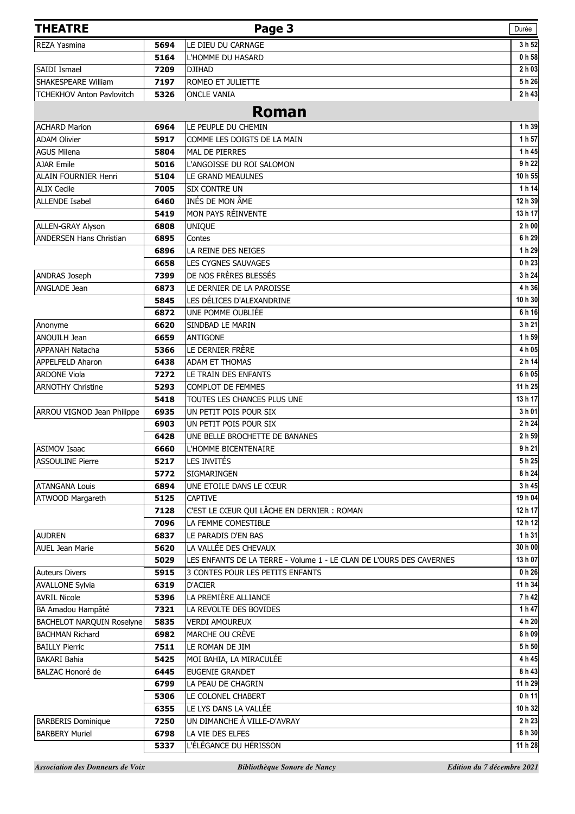| <b>THEATRE</b>                   |              | Page 3                                                                                                  | Durée             |
|----------------------------------|--------------|---------------------------------------------------------------------------------------------------------|-------------------|
| <b>REZA Yasmina</b>              | 5694         | LE DIEU DU CARNAGE                                                                                      | 3 h 52            |
|                                  | 5164         | L'HOMME DU HASARD                                                                                       | 0 h 58            |
| SAIDI Ismael                     | 7209         | <b>DJIHAD</b>                                                                                           | 2 h 03            |
| SHAKESPEARE William              | 7197         | ROMEO ET JULIETTE                                                                                       | 5h26              |
| <b>TCHEKHOV Anton Pavlovitch</b> | 5326         | <b>ONCLE VANIA</b>                                                                                      | 2 h 43            |
|                                  |              | <b>Roman</b>                                                                                            |                   |
| <b>ACHARD Marion</b>             | 6964         | LE PEUPLE DU CHEMIN                                                                                     | 1 h 39            |
| <b>ADAM Olivier</b>              | 5917         | COMME LES DOIGTS DE LA MAIN                                                                             | 1 h 57            |
| <b>AGUS Milena</b>               | 5804         | MAL DE PIERRES                                                                                          | 1 h 45            |
| <b>AJAR Emile</b>                | 5016         | L'ANGOISSE DU ROI SALOMON                                                                               | 9 h 22            |
| ALAIN FOURNIER Henri             | 5104         | LE GRAND MEAULNES                                                                                       | 10 h 55           |
| <b>ALIX Cecile</b>               | 7005         | <b>SIX CONTRE UN</b>                                                                                    | 1 h 14            |
| <b>ALLENDE Isabel</b>            | 6460         | INÉS DE MON ÂME                                                                                         | 12 h 39           |
|                                  | 5419         | MON PAYS RÉINVENTE                                                                                      | 13 h 17           |
| ALLEN-GRAY Alyson                | 6808         | <b>UNIQUE</b>                                                                                           | 2 h 00            |
| ANDERSEN Hans Christian          | 6895         | Contes                                                                                                  | 6 h 29            |
|                                  | 6896         | LA REINE DES NEIGES                                                                                     | 1 h 29            |
|                                  | 6658         | LES CYGNES SAUVAGES                                                                                     | 0 h 23            |
| ANDRAS Joseph                    | 7399         | DE NOS FRÈRES BLESSÉS                                                                                   | 3 h 24            |
| ANGLADE Jean                     | 6873         | LE DERNIER DE LA PAROISSE                                                                               | 4 h 36            |
|                                  | 5845         | LES DÉLICES D'ALEXANDRINE                                                                               | 10 h 30           |
|                                  | 6872         | UNE POMME OUBLIÉE                                                                                       | 6h16              |
| Anonyme                          | 6620         | SINDBAD LE MARIN                                                                                        | 3 h 21            |
| <b>ANOUILH Jean</b>              | 6659         | ANTIGONE                                                                                                | 1 h 59            |
| APPANAH Natacha                  | 5366         | LE DERNIER FRÈRE                                                                                        | 4 h 05            |
| APPELFELD Aharon                 | 6438         | ADAM ET THOMAS                                                                                          | 2 h 14            |
| <b>ARDONE Viola</b>              | 7272         | LE TRAIN DES ENFANTS                                                                                    | 6 h 05            |
| <b>ARNOTHY Christine</b>         | 5293         | <b>COMPLOT DE FEMMES</b>                                                                                | 11 h 25           |
|                                  | 5418         | TOUTES LES CHANCES PLUS UNE                                                                             | 13 h 17           |
| ARROU VIGNOD Jean Philippe       | 6935         | UN PETIT POIS POUR SIX                                                                                  | 3 h 01            |
|                                  | 6903         | UN PETIT POIS POUR SIX                                                                                  | 2 h 24            |
|                                  | 6428         | UNE BELLE BROCHETTE DE BANANES                                                                          | 2 h 59            |
| <b>ASIMOV Isaac</b>              | 6660         | L'HOMME BICENTENAIRE                                                                                    | 9h21              |
| <b>ASSOULINE Pierre</b>          | 5217         | LES INVITÉS                                                                                             | 5h25              |
|                                  | 5772         | SIGMARINGEN                                                                                             | 8 h 24            |
| <b>ATANGANA Louis</b>            | 6894         | UNE ETOILE DANS LE CŒUR                                                                                 | 3 h 45            |
| ATWOOD Margareth                 | 5125         | <b>CAPTIVE</b>                                                                                          | 19 h 04           |
|                                  | 7128         | C'EST LE CŒUR QUI LÂCHE EN DERNIER : ROMAN                                                              | 12 h 17           |
|                                  | 7096         | LA FEMME COMESTIBLE                                                                                     | 12 h 12           |
| <b>AUDREN</b>                    | 6837         | LE PARADIS D'EN BAS                                                                                     | 1 h 31            |
| AUEL Jean Marie                  | 5620         | LA VALLÉE DES CHEVAUX                                                                                   | 30 h 00           |
| <b>Auteurs Divers</b>            | 5029<br>5915 | LES ENFANTS DE LA TERRE - Volume 1 - LE CLAN DE L'OURS DES CAVERNES<br>3 CONTES POUR LES PETITS ENFANTS | 13 h 07<br>0 h 26 |
| <b>AVALLONE Sylvia</b>           | 6319         | <b>D'ACIER</b>                                                                                          | 11 h 34           |
| <b>AVRIL Nicole</b>              | 5396         | LA PREMIÈRE ALLIANCE                                                                                    | 7h42              |
| BA Amadou Hampâté                | 7321         | LA REVOLTE DES BOVIDES                                                                                  | 1 h 47            |
| BACHELOT NARQUIN Roselyne        | 5835         | <b>VERDI AMOUREUX</b>                                                                                   | 4 h 20            |
| <b>BACHMAN Richard</b>           | 6982         | MARCHE OU CRÈVE                                                                                         | 8 h 09            |
| <b>BAILLY Pierric</b>            | 7511         | LE ROMAN DE JIM                                                                                         | 5 h 50            |
| <b>BAKARI Bahia</b>              | 5425         | MOI BAHIA, LA MIRACULÉE                                                                                 | 4 h 45            |
| BALZAC Honoré de                 | 6445         | EUGENIE GRANDET                                                                                         | 8 h 43            |
|                                  | 6799         | LA PEAU DE CHAGRIN                                                                                      | 11 h 29           |
|                                  | 5306         | LE COLONEL CHABERT                                                                                      | 0h11              |
|                                  | 6355         | LE LYS DANS LA VALLÉE                                                                                   | 10 h 32           |
| <b>BARBERIS Dominique</b>        | 7250         | UN DIMANCHE À VILLE-D'AVRAY                                                                             | 2 h 23            |
| <b>BARBERY Muriel</b>            | 6798         | LA VIE DES ELFES                                                                                        | 8 h 30            |
|                                  | 5337         | L'ÉLÉGANCE DU HÉRISSON                                                                                  | 11 h 28           |
|                                  |              |                                                                                                         |                   |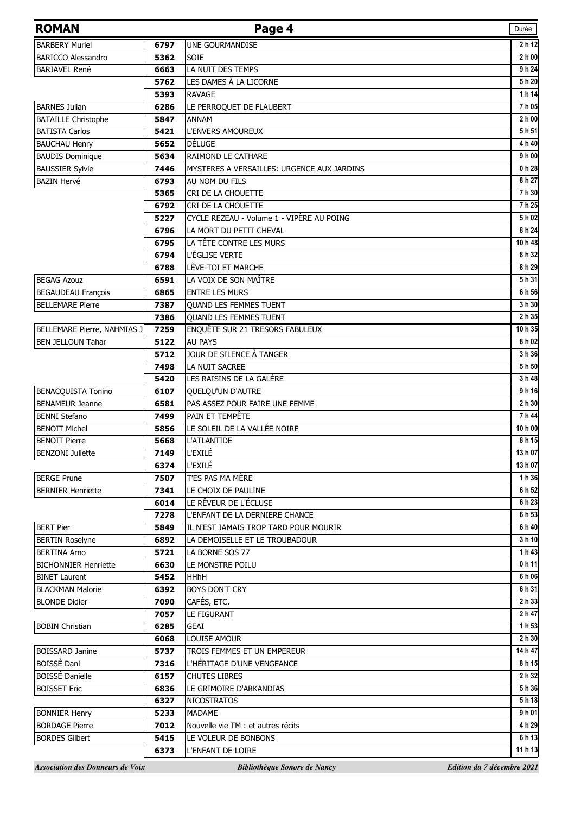| <b>ROMAN</b>                            |              | Page 4                                     | Durée                      |
|-----------------------------------------|--------------|--------------------------------------------|----------------------------|
| <b>BARBERY Muriel</b>                   | 6797         | UNE GOURMANDISE                            | 2 h 12                     |
| <b>BARICCO Alessandro</b>               | 5362         | <b>SOIE</b>                                | 2 h 00                     |
| <b>BARJAVEL René</b>                    | 6663         | LA NUIT DES TEMPS                          | 9 h 24                     |
|                                         | 5762         | LES DAMES À LA LICORNE                     | 5 h 20                     |
|                                         | 5393         | <b>RAVAGE</b>                              | 1 h 14                     |
| <b>BARNES Julian</b>                    | 6286         | LE PERROQUET DE FLAUBERT                   | 7h05                       |
| <b>BATAILLE Christophe</b>              | 5847         | ANNAM                                      | 2 h 00                     |
| <b>BATISTA Carlos</b>                   | 5421         | L'ENVERS AMOUREUX                          | 5 h 51                     |
| <b>BAUCHAU Henry</b>                    | 5652         | DÉLUGE                                     | 4 h 40                     |
| <b>BAUDIS Dominique</b>                 | 5634         | RAIMOND LE CATHARE                         | 9h00                       |
| <b>BAUSSIER Sylvie</b>                  | 7446         | MYSTERES A VERSAILLES: URGENCE AUX JARDINS | 0 <sub>h</sub> 28          |
| <b>BAZIN Hervé</b>                      | 6793         | AU NOM DU FILS                             | 8 h 27                     |
|                                         | 5365         | CRI DE LA CHOUETTE                         | 7 h 30                     |
|                                         | 6792         | CRI DE LA CHOUETTE                         | 7h25                       |
|                                         | 5227         | CYCLE REZEAU - Volume 1 - VIPÈRE AU POING  | 5 h 02                     |
|                                         | 6796         | LA MORT DU PETIT CHEVAL                    | 8 h 24                     |
|                                         | 6795         | LA TÊTE CONTRE LES MURS                    | 10 h 48                    |
|                                         | 6794         | L'ÉGLISE VERTE                             | 8 h 32                     |
|                                         | 6788         | LÈVE-TOI ET MARCHE                         | 8 h 29                     |
| <b>BEGAG Azouz</b>                      | 6591         | LA VOIX DE SON MAÎTRE                      | 5h 31                      |
| <b>BEGAUDEAU François</b>               | 6865         | <b>ENTRE LES MURS</b>                      | 6 h 56                     |
| <b>BELLEMARE Pierre</b>                 | 7387         | QUAND LES FEMMES TUENT                     | 3 h 30                     |
|                                         | 7386         | QUAND LES FEMMES TUENT                     | 2 h 35                     |
| BELLEMARE Pierre, NAHMIAS J             | 7259         | ENQUÊTE SUR 21 TRESORS FABULEUX            | 10 h 35                    |
| <b>BEN JELLOUN Tahar</b>                | 5122         | <b>AU PAYS</b>                             | 8 h 02                     |
|                                         | 5712         | JOUR DE SILENCE À TANGER                   | 3 h 36                     |
|                                         | 7498         | LA NUIT SACREE                             | 5 h 50                     |
|                                         | 5420         | LES RAISINS DE LA GALÈRE                   | 3 h 48                     |
| <b>BENACQUISTA Tonino</b>               | 6107         | QUELQU'UN D'AUTRE                          | 9h16                       |
| <b>BENAMEUR Jeanne</b>                  | 6581         | PAS ASSEZ POUR FAIRE UNE FEMME             | 2 h 30                     |
| <b>BENNI Stefano</b>                    | 7499         | PAIN ET TEMPÊTE                            | 7 h 44                     |
| <b>BENOIT Michel</b>                    | 5856         | LE SOLEIL DE LA VALLÉE NOIRE               | 10 h 00                    |
| <b>BENOIT Pierre</b>                    | 5668         | <b>L'ATLANTIDE</b>                         | 8 h 15                     |
| <b>BENZONI Juliette</b>                 | 7149         | L'EXILÉ                                    | 13 h 07                    |
| <b>BERGE Prune</b>                      | 6374<br>7507 | <b>L'EXILÉ</b><br>T'ES PAS MA MÈRE         | 13 h 07<br>1 h 36          |
| <b>BERNIER Henriette</b>                | 7341         | LE CHOIX DE PAULINE                        | 6 h 52                     |
|                                         | 6014         | LE RÊVEUR DE L'ÉCLUSE                      | 6 h 23                     |
|                                         | 7278         | L'ENFANT DE LA DERNIERE CHANCE             | 6 h 53                     |
| <b>BERT Pier</b>                        | 5849         | IL N'EST JAMAIS TROP TARD POUR MOURIR      | 6 h 40                     |
| <b>BERTIN Roselyne</b>                  | 6892         | LA DEMOISELLE ET LE TROUBADOUR             | 3 h 10                     |
| <b>BERTINA Arno</b>                     | 5721         | LA BORNE SOS 77                            | 1h43                       |
| <b>BICHONNIER Henriette</b>             | 6630         | LE MONSTRE POILU                           | 0h11                       |
| <b>BINET Laurent</b>                    | 5452         | <b>HHhH</b>                                | 6 h 06                     |
| <b>BLACKMAN Malorie</b>                 | 6392         | <b>BOYS DON'T CRY</b>                      | 6 h 31                     |
| <b>BLONDE Didier</b>                    | 7090         | CAFÉS, ETC.                                | 2 h 33                     |
|                                         | 7057         | LE FIGURANT                                | 2 h 47                     |
| <b>BOBIN Christian</b>                  | 6285         | GEAI                                       | 1 h 53                     |
|                                         | 6068         | LOUISE AMOUR                               | 2 h 30                     |
| <b>BOISSARD Janine</b>                  | 5737         | TROIS FEMMES ET UN EMPEREUR                | 14 h 47                    |
| BOISSÉ Dani                             | 7316         | L'HÉRITAGE D'UNE VENGEANCE                 | 8 h 15                     |
| <b>BOISSÉ Danielle</b>                  | 6157         | <b>CHUTES LIBRES</b>                       | 2 h 32                     |
| <b>BOISSET Eric</b>                     | 6836         | LE GRIMOIRE D'ARKANDIAS                    | 5 h 36                     |
|                                         | 6327         | <b>NICOSTRATOS</b>                         | 5 h 18                     |
| <b>BONNIER Henry</b>                    | 5233         | MADAME                                     | 9h01                       |
| <b>BORDAGE Pierre</b>                   | 7012         | Nouvelle vie TM : et autres récits         | 4 h 29                     |
| <b>BORDES Gilbert</b>                   | 5415         | LE VOLEUR DE BONBONS                       | 6 h 13                     |
|                                         | 6373         | L'ENFANT DE LOIRE                          | 11 h 13                    |
| <b>Association des Donneurs de Voix</b> |              | Bibliothèque Sonore de Nancy               | Edition du 7 décembre 2021 |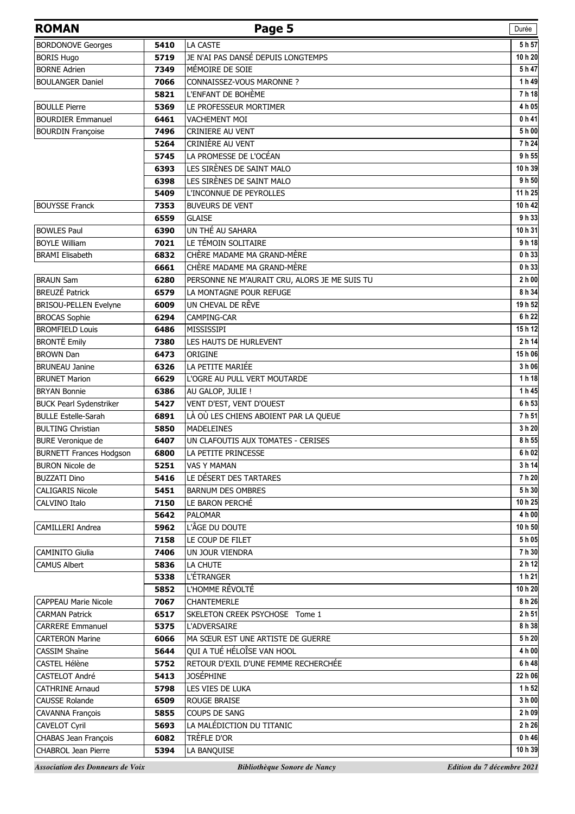| <b>ROMAN</b>                                    |              | Page 5                                        | Durée                      |
|-------------------------------------------------|--------------|-----------------------------------------------|----------------------------|
| <b>BORDONOVE Georges</b>                        | 5410         | LA CASTE                                      | 5 h 57                     |
| <b>BORIS Hugo</b>                               | 5719         | JE N'AI PAS DANSÉ DEPUIS LONGTEMPS            | 10 h 20                    |
| <b>BORNE Adrien</b>                             | 7349         | MÉMOIRE DE SOIE                               | 5h47                       |
| <b>BOULANGER Daniel</b>                         | 7066         | CONNAISSEZ-VOUS MARONNE ?                     | 1 h 49                     |
|                                                 | 5821         | L'ENFANT DE BOHÈME                            | 7h18                       |
| <b>BOULLE Pierre</b>                            | 5369         | LE PROFESSEUR MORTIMER                        | 4 h 05                     |
| <b>BOURDIER Emmanuel</b>                        | 6461         | <b>VACHEMENT MOI</b>                          | 0 <sub>h</sub> 41          |
| <b>BOURDIN Françoise</b>                        | 7496         | <b>CRINIERE AU VENT</b>                       | 5 h 00                     |
|                                                 | 5264         | CRINIÈRE AU VENT                              | 7h24                       |
|                                                 | 5745         | LA PROMESSE DE L'OCÉAN                        | 9 h 55                     |
|                                                 | 6393         | LES SIRÈNES DE SAINT MALO                     | 10 h 39                    |
|                                                 | 6398         | LES SIRÈNES DE SAINT MALO                     | 9 h 50                     |
|                                                 | 5409         | L'INCONNUE DE PEYROLLES                       | 11 h 25                    |
| <b>BOUYSSE Franck</b>                           | 7353         | <b>BUVEURS DE VENT</b>                        | 10 h 42                    |
|                                                 | 6559         | <b>GLAISE</b>                                 | 9 h 33                     |
| <b>BOWLES Paul</b>                              | 6390         | UN THÉ AU SAHARA                              | 10 h 31                    |
| <b>BOYLE William</b>                            | 7021         | LE TÉMOIN SOLITAIRE                           | 9 h 18                     |
| <b>BRAMI Elisabeth</b>                          | 6832         | CHÈRE MADAME MA GRAND-MÈRE                    | 0 h 33                     |
|                                                 | 6661         | CHÈRE MADAME MA GRAND-MÈRE                    | 0h33                       |
| <b>BRAUN Sam</b>                                | 6280         | PERSONNE NE M'AURAIT CRU, ALORS JE ME SUIS TU | 2 h 00                     |
| <b>BREUZÉ Patrick</b>                           | 6579         | LA MONTAGNE POUR REFUGE                       | 8 h 34                     |
| BRISOU-PELLEN Evelyne                           | 6009         | UN CHEVAL DE RÊVE                             | 19 h 52                    |
| <b>BROCAS Sophie</b>                            | 6294         | CAMPING-CAR                                   | 6 h 22                     |
| <b>BROMFIELD Louis</b>                          | 6486         | MISSISSIPI                                    | 15h 12<br>2 h 14           |
| <b>BRONTË Emily</b><br><b>BROWN Dan</b>         | 7380         | LES HAUTS DE HURLEVENT<br>ORIGINE             | 15 h 06                    |
| <b>BRUNEAU Janine</b>                           | 6473<br>6326 | LA PETITE MARIÉE                              | 3 h 06                     |
| <b>BRUNET Marion</b>                            | 6629         | L'OGRE AU PULL VERT MOUTARDE                  | 1 h 18                     |
| <b>BRYAN Bonnie</b>                             | 6386         | AU GALOP, JULIE !                             | 1 h 45                     |
| <b>BUCK Pearl Sydenstriker</b>                  | 5427         | VENT D'EST, VENT D'OUEST                      | 6 h 53                     |
| <b>BULLE Estelle-Sarah</b>                      | 6891         | LÀ OÙ LES CHIENS ABOIENT PAR LA QUEUE         | 7h 51                      |
| <b>BULTING Christian</b>                        | 5850         | <b>MADELEINES</b>                             | 3 h 20                     |
| BURE Veronique de                               | 6407         | UN CLAFOUTIS AUX TOMATES - CERISES            | 8 h 55                     |
| <b>BURNETT Frances Hodgson</b>                  | 6800         | LA PETITE PRINCESSE                           | 6 h 02                     |
| <b>BURON Nicole de</b>                          | 5251         | VAS Y MAMAN                                   | 3 h 14                     |
| <b>BUZZATI Dino</b>                             | 5416         | LE DÉSERT DES TARTARES                        | 7 h 20                     |
| <b>CALIGARIS Nicole</b>                         | 5451         | <b>BARNUM DES OMBRES</b>                      | 5 h 30                     |
| CALVINO Italo                                   | 7150         | LE BARON PERCHÉ                               | 10 h 25                    |
|                                                 | 5642         | <b>PALOMAR</b>                                | 4 h 00                     |
| <b>CAMILLERI Andrea</b>                         | 5962         | L'ÂGE DU DOUTE                                | 10 h 50                    |
|                                                 | 7158         | LE COUP DE FILET                              | 5 h 05                     |
| <b>CAMINITO Giulia</b>                          | 7406         | UN JOUR VIENDRA                               | 7 h 30                     |
| <b>CAMUS Albert</b>                             | 5836         | LA CHUTE                                      | 2 h 12                     |
|                                                 | 5338         | <b>L'ÉTRANGER</b>                             | 1 h 21                     |
|                                                 | 5852         | L'HOMME RÉVOLTÉ                               | 10 h 20                    |
| <b>CAPPEAU Marie Nicole</b>                     | 7067         | <b>CHANTEMERLE</b>                            | 8 h 26                     |
| <b>CARMAN Patrick</b>                           | 6517         | SKELETON CREEK PSYCHOSE Tome 1                | 2 h 51                     |
| <b>CARRERE Emmanuel</b>                         | 5375         | <b>L'ADVERSAIRE</b>                           | 8 h 38                     |
| <b>CARTERON Marine</b>                          | 6066         | MA SŒUR EST UNE ARTISTE DE GUERRE             | 5 h 20                     |
| <b>CASSIM Shaine</b>                            | 5644         | QUI A TUÉ HÉLOÎSE VAN HOOL                    | 4 h 00                     |
| CASTEL Hélène                                   | 5752         | RETOUR D'EXIL D'UNE FEMME RECHERCHÉE          | 6 h 48                     |
| CASTELOT André                                  | 5413         | <b>JOSÉPHINE</b>                              | 22 h 06                    |
| <b>CATHRINE Arnaud</b><br><b>CAUSSE Rolande</b> | 5798<br>6509 | LES VIES DE LUKA<br><b>ROUGE BRAISE</b>       | 1 h 52<br>3 h 00           |
| <b>CAVANNA François</b>                         | 5855         | <b>COUPS DE SANG</b>                          | 2 h 09                     |
| <b>CAVELOT Cyril</b>                            | 5693         | LA MALÉDICTION DU TITANIC                     | 2 h 26                     |
| CHABAS Jean François                            | 6082         | TRÈFLE D'OR                                   | $0h$ 46                    |
| CHABROL Jean Pierre                             | 5394         | LA BANQUISE                                   | 10 h 39                    |
| <b>Association des Donneurs de Voix</b>         |              | Bibliothèque Sonore de Nancy                  | Edition du 7 décembre 2021 |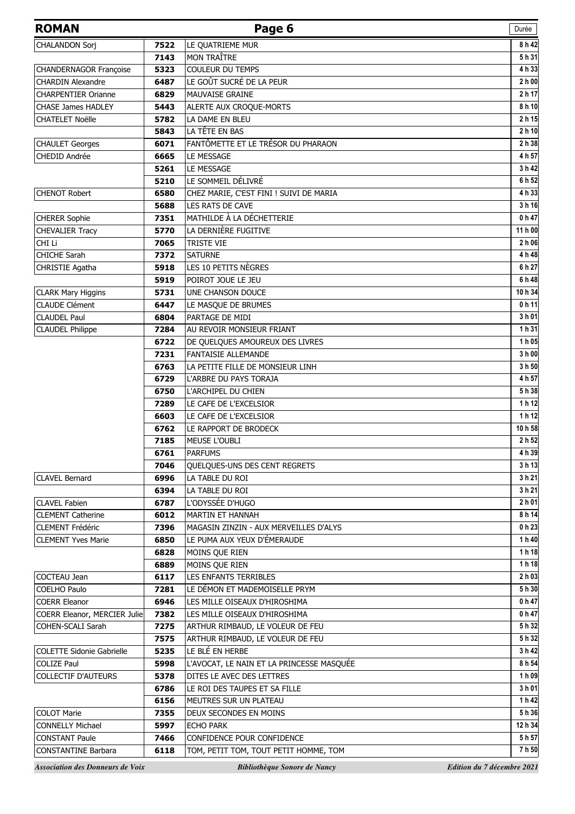| <b>ROMAN</b>                            |              | Page 6                                    | Durée                      |
|-----------------------------------------|--------------|-------------------------------------------|----------------------------|
| <b>CHALANDON Sorj</b>                   | 7522         | LE QUATRIEME MUR                          | 8 h 42                     |
|                                         | 7143         | <b>MON TRAÎTRE</b>                        | 5 h 31                     |
| CHANDERNAGOR Françoise                  | 5323         | <b>COULEUR DU TEMPS</b>                   | 4 h 33                     |
| <b>CHARDIN Alexandre</b>                | 6487         | LE GOÛT SUCRÉ DE LA PEUR                  | 2 h 00                     |
| <b>CHARPENTIER Orianne</b>              | 6829         | MAUVAISE GRAINE                           | 2 h 17                     |
| <b>CHASE James HADLEY</b>               | 5443         | ALERTE AUX CROQUE-MORTS                   | 8 h 10                     |
| <b>CHATELET Noëlle</b>                  | 5782         | LA DAME EN BLEU                           | 2 h 15                     |
|                                         | 5843         | LA TÊTE EN BAS                            | 2 h 10                     |
| <b>CHAULET Georges</b>                  | 6071         | FANTÔMETTE ET LE TRÉSOR DU PHARAON        | 2 h 38                     |
| CHEDID Andrée                           | 6665         | LE MESSAGE                                | 4 h 57                     |
|                                         | 5261         | LE MESSAGE                                | 3 h 42                     |
|                                         | 5210         | LE SOMMEIL DÉLIVRÉ                        | 6 h 52                     |
| <b>CHENOT Robert</b>                    | 6580         | CHEZ MARIE, C'EST FINI ! SUIVI DE MARIA   | 4 h 33                     |
|                                         | 5688         | LES RATS DE CAVE                          | 3 h 16                     |
| <b>CHERER Sophie</b>                    | 7351         | MATHILDE À LA DÉCHETTERIE                 | 0 h 47                     |
| <b>CHEVALIER Tracy</b>                  | 5770         | LA DERNIÈRE FUGITIVE                      | 11 h 00                    |
| CHI Li                                  | 7065         | <b>TRISTE VIE</b>                         | 2 h 06                     |
| <b>CHICHE Sarah</b>                     | 7372         | <b>SATURNE</b>                            | 4 h 48                     |
| CHRISTIE Agatha                         | 5918         | LES 10 PETITS NÈGRES                      | 6 h 27                     |
|                                         | 5919         | POIROT JOUE LE JEU                        | 6 h 48                     |
| <b>CLARK Mary Higgins</b>               | 5731         | <b>UNE CHANSON DOUCE</b>                  | 10 h 34                    |
| <b>CLAUDE</b> Clément                   | 6447         | LE MASQUE DE BRUMES                       | 0 <sub>h</sub> 11          |
| <b>CLAUDEL Paul</b>                     | 6804         | PARTAGE DE MIDI                           | 3 h 01                     |
| <b>CLAUDEL Philippe</b>                 | 7284         | AU REVOIR MONSIEUR FRIANT                 | 1 h 31                     |
|                                         | 6722         | DE QUELQUES AMOUREUX DES LIVRES           | 1 h 05                     |
|                                         | 7231         | <b>FANTAISIE ALLEMANDE</b>                | 3 h 00                     |
|                                         | 6763         | LA PETITE FILLE DE MONSIEUR LINH          | 3 h 50                     |
|                                         | 6729         | L'ARBRE DU PAYS TORAJA                    | 4 h 57                     |
|                                         | 6750         | L'ARCHIPEL DU CHIEN                       | 5 h 38                     |
|                                         | 7289         | LE CAFE DE L'EXCELSIOR                    | 1 h 12                     |
|                                         | 6603         | LE CAFE DE L'EXCELSIOR                    | 1 h 12                     |
|                                         | 6762         | LE RAPPORT DE BRODECK                     | 10 h 58                    |
|                                         | 7185         | MEUSE L'OUBLI                             | 2 h 52<br>4 h 39           |
|                                         | 6761         | <b>PARFUMS</b>                            |                            |
|                                         | 7046         | QUELQUES-UNS DES CENT REGRETS             | 3 h 13<br>3 h 21           |
| <b>CLAVEL Bernard</b>                   | 6996<br>6394 | LA TABLE DU ROI<br>LA TABLE DU ROI        | 3 h 21                     |
| <b>CLAVEL Fabien</b>                    | 6787         | L'ODYSSÉE D'HUGO                          | 2 <sub>h</sub> 01          |
| <b>CLEMENT Catherine</b>                | 6012         | MARTIN ET HANNAH                          | 8 h 14                     |
| CLEMENT Frédéric                        | 7396         | MAGASIN ZINZIN - AUX MERVEILLES D'ALYS    | 0 h 23                     |
| <b>CLEMENT Yves Marie</b>               | 6850         | LE PUMA AUX YEUX D'ÉMERAUDE               | 1 h 40                     |
|                                         | 6828         | MOINS QUE RIEN                            | 1 h 18                     |
|                                         | 6889         | MOINS QUE RIEN                            | 1 h 18                     |
| COCTEAU Jean                            | 6117         | LES ENFANTS TERRIBLES                     | 2 h 03                     |
| <b>COELHO Paulo</b>                     | 7281         | LE DÉMON ET MADEMOISELLE PRYM             | 5 h 30                     |
| <b>COERR Eleanor</b>                    | 6946         | LES MILLE OISEAUX D'HIROSHIMA             | 0 <sub>h</sub> 47          |
| COERR Eleanor, MERCIER Julie            | 7382         | LES MILLE OISEAUX D'HIROSHIMA             | 0 <sub>h</sub> 47          |
| COHEN-SCALI Sarah                       | 7275         | ARTHUR RIMBAUD, LE VOLEUR DE FEU          | 5 h 32                     |
|                                         | 7575         | ARTHUR RIMBAUD, LE VOLEUR DE FEU          | 5 h 32                     |
| <b>COLETTE Sidonie Gabrielle</b>        | 5235         | LE BLÉ EN HERBE                           | 3 h 42                     |
| <b>COLIZE Paul</b>                      | 5998         | L'AVOCAT, LE NAIN ET LA PRINCESSE MASQUÉE | 8 h 54                     |
| <b>COLLECTIF D'AUTEURS</b>              | 5378         | DITES LE AVEC DES LETTRES                 | 1 h 09                     |
|                                         | 6786         | LE ROI DES TAUPES ET SA FILLE             | 3 h 01                     |
|                                         | 6156         | MEUTRES SUR UN PLATEAU                    | 1 h 42                     |
| <b>COLOT Marie</b>                      | 7355         | DEUX SECONDES EN MOINS                    | 5 h 36                     |
| <b>CONNELLY Michael</b>                 | 5997         | <b>ECHO PARK</b>                          | 12 h 34                    |
| <b>CONSTANT Paule</b>                   | 7466         | CONFIDENCE POUR CONFIDENCE                | 5 h 57                     |
| <b>CONSTANTINE Barbara</b>              | 6118         | TOM, PETIT TOM, TOUT PETIT HOMME, TOM     | 7h 50                      |
| <b>Association des Donneurs de Voix</b> |              | Bibliothèque Sonore de Nancy              | Edition du 7 décembre 2021 |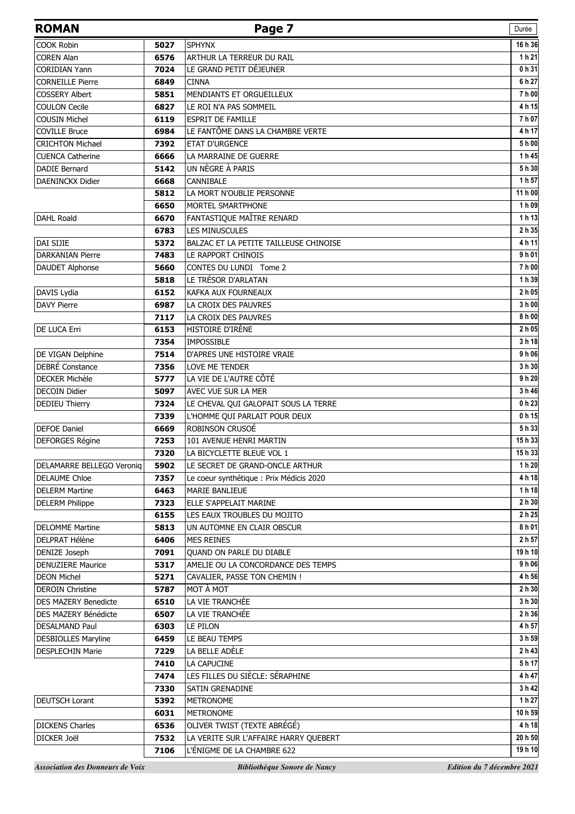| <b>ROMAN</b>                |      | Page 7                                   | Durée   |
|-----------------------------|------|------------------------------------------|---------|
| <b>COOK Robin</b>           | 5027 | <b>SPHYNX</b>                            | 16 h 36 |
| <b>COREN Alan</b>           | 6576 | ARTHUR LA TERREUR DU RAIL                | 1 h 21  |
| <b>CORIDIAN Yann</b>        | 7024 | LE GRAND PETIT DÉJEUNER                  | 0 h 31  |
| <b>CORNEILLE Pierre</b>     | 6849 | <b>CINNA</b>                             | 6 h 27  |
| <b>COSSERY Albert</b>       | 5851 | MENDIANTS ET ORGUEILLEUX                 | 7h00    |
| <b>COULON Cecile</b>        | 6827 | LE ROI N'A PAS SOMMEIL                   | 4 h 15  |
| <b>COUSIN Michel</b>        | 6119 | <b>ESPRIT DE FAMILLE</b>                 | 7 h 07  |
| <b>COVILLE Bruce</b>        | 6984 | LE FANTÔME DANS LA CHAMBRE VERTE         | 4 h 17  |
| <b>CRICHTON Michael</b>     | 7392 | <b>ETAT D'URGENCE</b>                    | 5 h 00  |
| <b>CUENCA Catherine</b>     | 6666 | LA MARRAINE DE GUERRE                    | 1 h 45  |
| <b>DADIE Bernard</b>        | 5142 | UN NÈGRE À PARIS                         | 5 h 30  |
| <b>DAENINCKX Didier</b>     | 6668 | CANNIBALE                                | 1 h 57  |
|                             | 5812 | LA MORT N'OUBLIE PERSONNE                | 11 h 00 |
|                             | 6650 | MORTEL SMARTPHONE                        | 1 h 09  |
| <b>DAHL Roald</b>           | 6670 | FANTASTIQUE MAÎTRE RENARD                | 1 h 13  |
|                             | 6783 | <b>LES MINUSCULES</b>                    | 2 h 35  |
| DAI SIJIE                   | 5372 | BALZAC ET LA PETITE TAILLEUSE CHINOISE   | 4h11    |
| <b>DARKANIAN Pierre</b>     | 7483 | LE RAPPORT CHINOIS                       | 9 h 01  |
| <b>DAUDET Alphonse</b>      | 5660 | CONTES DU LUNDI Tome 2                   | 7h00    |
|                             | 5818 | LE TRÉSOR D'ARLATAN                      | 1 h 39  |
| DAVIS Lydia                 | 6152 | KAFKA AUX FOURNEAUX                      | 2 h 05  |
| <b>DAVY Pierre</b>          | 6987 | LA CROIX DES PAUVRES                     | 3 h 00  |
|                             | 7117 | LA CROIX DES PAUVRES                     | 8 h 00  |
| DE LUCA Erri                | 6153 | HISTOIRE D'IRÈNE                         | 2 h 05  |
|                             | 7354 | <b>IMPOSSIBLE</b>                        | 3 h 18  |
| DE VIGAN Delphine           | 7514 | D'APRES UNE HISTOIRE VRAIE               | 9 h 06  |
| <b>DEBRÉ</b> Constance      | 7356 | <b>LOVE ME TENDER</b>                    | 3 h 30  |
| <b>DECKER Michèle</b>       | 5777 | LA VIE DE L'AUTRE CÔTÉ                   | 9 h 20  |
| <b>DECOIN Didier</b>        | 5097 | AVEC VUE SUR LA MER                      | 3 h 46  |
| <b>DEDIEU Thierry</b>       | 7324 | LE CHEVAL QUI GALOPAIT SOUS LA TERRE     | 0 h 23  |
|                             | 7339 | L'HOMME QUI PARLAIT POUR DEUX            | 0 h 15  |
| <b>DEFOE Daniel</b>         | 6669 | ROBINSON CRUSOÉ                          | 5h 33   |
| <b>DEFORGES Régine</b>      | 7253 | 101 AVENUE HENRI MARTIN                  | 15h 33  |
|                             | 7320 | LA BICYCLETTE BLEUE VOL 1                | 15h 33  |
| DELAMARRE BELLEGO Veroniq   | 5902 | LE SECRET DE GRAND-ONCLE ARTHUR          | 1 h 20  |
| <b>DELAUME Chloe</b>        | 7357 | Le coeur synthétique : Prix Médicis 2020 | 4 h 18  |
| <b>DELERM Martine</b>       | 6463 | <b>MARIE BANLIEUE</b>                    | 1 h 18  |
| <b>DELERM Philippe</b>      | 7323 | ELLE S'APPELAIT MARINE                   | 2 h 30  |
|                             | 6155 | LES EAUX TROUBLES DU MOJITO              | 2 h 25  |
| <b>DELOMME Martine</b>      | 5813 | UN AUTOMNE EN CLAIR OBSCUR               | 8 h 01  |
| <b>DELPRAT Hélène</b>       | 6406 | <b>MES REINES</b>                        | 2 h 57  |
| DENIZE Joseph               | 7091 | QUAND ON PARLE DU DIABLE                 | 19 h 10 |
| <b>DENUZIERE Maurice</b>    | 5317 | AMELIE OU LA CONCORDANCE DES TEMPS       | 9 h 06  |
| <b>DEON Michel</b>          | 5271 | CAVALIER, PASSE TON CHEMIN !             | 4 h 56  |
| <b>DEROIN Christine</b>     | 5787 | MOT À MOT                                | 2 h 30  |
| <b>DES MAZERY Benedicte</b> | 6510 | LA VIE TRANCHÉE                          | 3 h 30  |
| DES MAZERY Bénédicte        | 6507 | LA VIE TRANCHÉE                          | 2 h 36  |
| <b>DESALMAND Paul</b>       | 6303 | LE PILON                                 | 4 h 57  |
| <b>DESBIOLLES Maryline</b>  | 6459 | LE BEAU TEMPS                            | 3 h 59  |
| <b>DESPLECHIN Marie</b>     | 7229 | LA BELLE ADÈLE                           | 2 h 43  |
|                             | 7410 | LA CAPUCINE                              | 5 h 17  |
|                             | 7474 | LES FILLES DU SIÈCLE: SÉRAPHINE          | 4 h 47  |
|                             | 7330 | SATIN GRENADINE                          | 3 h 42  |
| <b>DEUTSCH Lorant</b>       | 5392 | <b>METRONOME</b>                         | 1 h 27  |
|                             | 6031 | <b>METRONOME</b>                         | 10 h 59 |
| <b>DICKENS Charles</b>      | 6536 | OLIVER TWIST (TEXTE ABRÉGÉ)              | 4 h 18  |
| DICKER Joël                 | 7532 | LA VERITE SUR L'AFFAIRE HARRY QUEBERT    | 20 h 50 |
|                             | 7106 | L'ÉNIGME DE LA CHAMBRE 622               | 19 h 10 |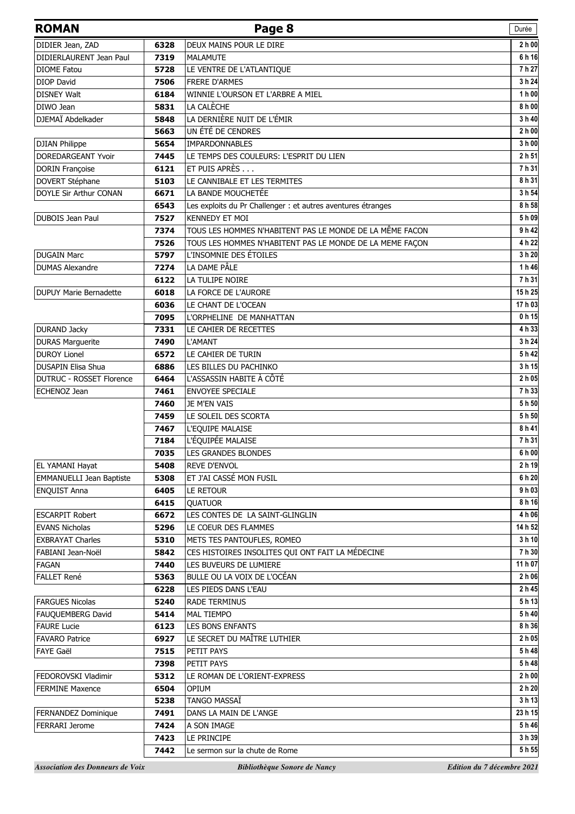| <b>ROMAN</b>                                   |              | Page 8                                                       | Durée                      |
|------------------------------------------------|--------------|--------------------------------------------------------------|----------------------------|
| DIDIER Jean, ZAD                               | 6328         | DEUX MAINS POUR LE DIRE                                      | 2 h 00                     |
| DIDIERLAURENT Jean Paul                        | 7319         | <b>MALAMUTE</b>                                              | 6 h 16                     |
| <b>DIOME Fatou</b>                             | 5728         | LE VENTRE DE L'ATLANTIQUE                                    | 7h 27                      |
| <b>DIOP David</b>                              | 7506         | <b>FRERE D'ARMES</b>                                         | 3 h 24                     |
| <b>DISNEY Walt</b>                             | 6184         | WINNIE L'OURSON ET L'ARBRE A MIEL                            | 1 h 00                     |
| DIWO Jean                                      | 5831         | LA CALÈCHE                                                   | 8 h 00                     |
| DJEMAÏ Abdelkader                              | 5848         | LA DERNIÈRE NUIT DE L'ÉMIR                                   | 3 h 40                     |
|                                                | 5663         | UN ÉTÉ DE CENDRES                                            | 2h00                       |
| <b>DJIAN Philippe</b>                          | 5654         | <b>IMPARDONNABLES</b>                                        | 3 h 00                     |
| DOREDARGEANT Yvoir                             | 7445         | LE TEMPS DES COULEURS: L'ESPRIT DU LIEN                      | 2h51                       |
| <b>DORIN Françoise</b>                         | 6121         | ET PUIS APRÈS                                                | 7h 31                      |
| DOVERT Stéphane                                | 5103         | LE CANNIBALE ET LES TERMITES                                 | 8 h 31                     |
| DOYLE Sir Arthur CONAN                         | 6671         | LA BANDE MOUCHETÉE                                           | 3 h 54                     |
|                                                | 6543         | Les exploits du Pr Challenger : et autres aventures étranges | 8 h 58                     |
| DUBOIS Jean Paul                               | 7527         | KENNEDY ET MOI                                               | 5 h 09                     |
|                                                | 7374         | TOUS LES HOMMES N'HABITENT PAS LE MONDE DE LA MÊME FACON     | 9 h 42                     |
|                                                | 7526         | TOUS LES HOMMES N'HABITENT PAS LE MONDE DE LA MEME FAÇON     | 4 h 22                     |
| <b>DUGAIN Marc</b>                             | 5797         | L'INSOMNIE DES ÉTOILES                                       | 3 h 20                     |
| <b>DUMAS Alexandre</b>                         | 7274         | LA DAME PÂLE                                                 | 1 h 46                     |
|                                                | 6122         | LA TULIPE NOIRE                                              | 7h 31                      |
| <b>DUPUY Marie Bernadette</b>                  | 6018         | LA FORCE DE L'AURORE                                         | 15h 25                     |
|                                                | 6036         | LE CHANT DE L'OCEAN                                          | $\overline{17}$ h 03       |
|                                                | 7095         | L'ORPHELINE DE MANHATTAN                                     | 0h15                       |
| <b>DURAND Jacky</b>                            | 7331         | LE CAHIER DE RECETTES                                        | 4 h 33<br>3 h 24           |
| <b>DURAS Marguerite</b><br><b>DUROY Lionel</b> | 7490<br>6572 | L'AMANT                                                      | 5 h 42                     |
| DUSAPIN Elisa Shua                             | 6886         | LE CAHIER DE TURIN<br>LES BILLES DU PACHINKO                 | 3 h 15                     |
| <b>DUTRUC - ROSSET Florence</b>                | 6464         | L'ASSASSIN HABITE À CÔTÉ                                     | 2 h 05                     |
| ECHENOZ Jean                                   | 7461         | <b>ENVOYEE SPECIALE</b>                                      | 7h 33                      |
|                                                | 7460         | JE M'EN VAIS                                                 | 5 h 50                     |
|                                                | 7459         | LE SOLEIL DES SCORTA                                         | 5 h 50                     |
|                                                | 7467         | L'EQUIPE MALAISE                                             | 8 h 41                     |
|                                                | 7184         | L'ÉQUIPÉE MALAISE                                            | 7h 31                      |
|                                                | 7035         | LES GRANDES BLONDES                                          | 6 h 00                     |
| EL YAMANI Hayat                                | 5408         | <b>REVE D'ENVOL</b>                                          | 2 h 19                     |
| <b>EMMANUELLI Jean Baptiste</b>                | 5308         | ET J'AI CASSÉ MON FUSIL                                      | 6 h 20                     |
| <b>ENQUIST Anna</b>                            | 6405         | LE RETOUR                                                    | 9 h 03                     |
|                                                | 6415         | <b>QUATUOR</b>                                               | 8 h 16                     |
| <b>ESCARPIT Robert</b>                         | 6672         | LES CONTES DE LA SAINT-GLINGLIN                              | 4 h 06                     |
| <b>EVANS Nicholas</b>                          | 5296         | LE COEUR DES FLAMMES                                         | 14 h 52                    |
| <b>EXBRAYAT Charles</b>                        | 5310         | METS TES PANTOUFLES, ROMEO                                   | 3 h 10                     |
| FABIANI Jean-Noël                              | 5842         | CES HISTOIRES INSOLITES QUI ONT FAIT LA MÉDECINE             | 7 h 30                     |
| <b>FAGAN</b>                                   | 7440         | LES BUVEURS DE LUMIERE                                       | 11 h 07                    |
| <b>FALLET René</b>                             | 5363         | BULLE OU LA VOIX DE L'OCÉAN                                  | 2 h 06                     |
|                                                | 6228         | LES PIEDS DANS L'EAU                                         | 2 h 45                     |
| <b>FARGUES Nicolas</b>                         | 5240         | <b>RADE TERMINUS</b>                                         | 5 h 13                     |
| FAUQUEMBERG David                              | 5414         | <b>MAL TIEMPO</b>                                            | 5 h 40                     |
| <b>FAURE Lucie</b>                             | 6123         | <b>LES BONS ENFANTS</b>                                      | 8 h 36                     |
| <b>FAVARO Patrice</b>                          | 6927         | LE SECRET DU MAÎTRE LUTHIER                                  | 2 h 05                     |
| <b>FAYE Gaël</b>                               | 7515         | PETIT PAYS                                                   | 5 h 48                     |
|                                                | 7398         | PETIT PAYS                                                   | 5 h 48                     |
| FEDOROVSKI Vladimir                            | 5312         | LE ROMAN DE L'ORIENT-EXPRESS                                 | 2 h 00                     |
| <b>FERMINE Maxence</b>                         | 6504         | OPIUM                                                        | 2 h 20                     |
|                                                | 5238         | TANGO MASSAÏ                                                 | 3 h 13                     |
| FERNANDEZ Dominique                            | 7491         | DANS LA MAIN DE L'ANGE                                       | 23 h 15                    |
| <b>FERRARI</b> Jerome                          | 7424         | A SON IMAGE                                                  | 5h46                       |
|                                                | 7423         | LE PRINCIPE                                                  | 3 h 39                     |
|                                                | 7442         | Le sermon sur la chute de Rome                               | 5 h 55                     |
| <b>Association des Donneurs de Voix</b>        |              | Bibliothèque Sonore de Nancy                                 | Edition du 7 décembre 2021 |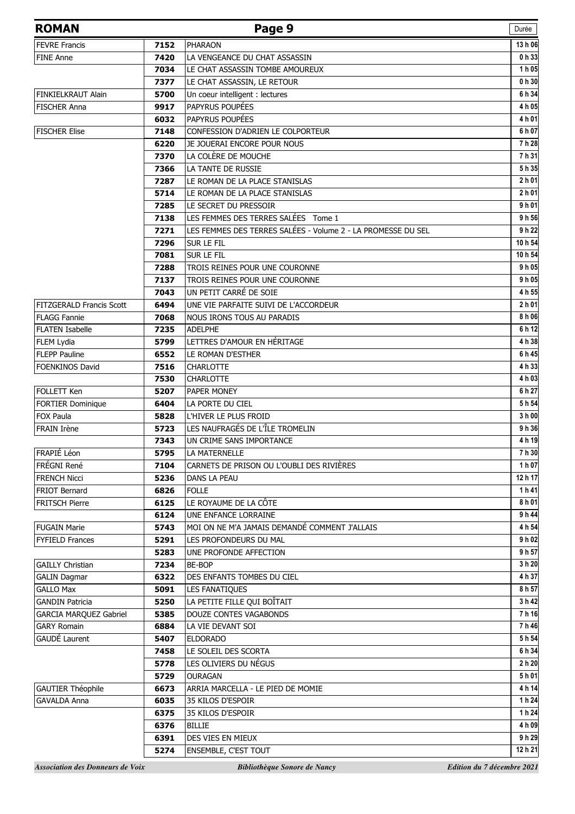| <b>ROMAN</b>                            |              | Page 9                                                       | Durée                      |
|-----------------------------------------|--------------|--------------------------------------------------------------|----------------------------|
| <b>FEVRE Francis</b>                    | 7152         | <b>PHARAON</b>                                               | 13 h 06                    |
| <b>FINE Anne</b>                        | 7420         | LA VENGEANCE DU CHAT ASSASSIN                                | 0 h 33                     |
|                                         | 7034         | LE CHAT ASSASSIN TOMBE AMOUREUX                              | 1 h 05                     |
|                                         | 7377         | LE CHAT ASSASSIN, LE RETOUR                                  | 0 h 30                     |
| FINKIELKRAUT Alain                      | 5700         | Un coeur intelligent : lectures                              | 6 h 34                     |
| <b>FISCHER Anna</b>                     | 9917         | PAPYRUS POUPÉES                                              | 4 h 05                     |
|                                         | 6032         | PAPYRUS POUPÉES                                              | 4 h 01                     |
| <b>FISCHER Elise</b>                    | 7148         | CONFESSION D'ADRIEN LE COLPORTEUR                            | 6 h 07                     |
|                                         | 6220         | JE JOUERAI ENCORE POUR NOUS                                  | 7 h 28                     |
|                                         | 7370         | LA COLÈRE DE MOUCHE                                          | 7h 31                      |
|                                         | 7366         | LA TANTE DE RUSSIE                                           | 5 h 35                     |
|                                         | 7287         | LE ROMAN DE LA PLACE STANISLAS                               | $2h$ 01                    |
|                                         | 5714         | LE ROMAN DE LA PLACE STANISLAS                               | 2 h 01                     |
|                                         | 7285         | LE SECRET DU PRESSOIR                                        | 9h01                       |
|                                         | 7138         | LES FEMMES DES TERRES SALÉES Tome 1                          | 9 h 56                     |
|                                         | 7271         | LES FEMMES DES TERRES SALÉES - Volume 2 - LA PROMESSE DU SEL | 9 h 22                     |
|                                         | 7296         | SUR LE FIL                                                   | 10 h 54                    |
|                                         | 7081         | SUR LE FIL                                                   | 10 h 54                    |
|                                         | 7288         | TROIS REINES POUR UNE COURONNE                               | 9 h 05                     |
|                                         | 7137         | TROIS REINES POUR UNE COURONNE                               | 9h05                       |
|                                         | 7043         | UN PETIT CARRÉ DE SOIE                                       | 4 h 55                     |
| <b>FITZGERALD Francis Scott</b>         | 6494         | UNE VIE PARFAITE SUIVI DE L'ACCORDEUR                        | 2 h 01                     |
| <b>FLAGG Fannie</b>                     | 7068         | NOUS IRONS TOUS AU PARADIS                                   | 8 h 06                     |
| <b>FLATEN Isabelle</b>                  | 7235         | <b>ADELPHE</b>                                               | 6 h 12                     |
| FLEM Lydia                              | 5799         | LETTRES D'AMOUR EN HÉRITAGE                                  | 4 h 38                     |
| <b>FLEPP Pauline</b>                    | 6552         | LE ROMAN D'ESTHER                                            | 6 h 45                     |
| <b>FOENKINOS David</b>                  | 7516         | <b>CHARLOTTE</b>                                             | 4 h 33                     |
|                                         | 7530         | CHARLOTTE                                                    | 4 h 03                     |
| FOLLETT Ken                             | 5207         | PAPER MONEY                                                  | 6 h 27                     |
| FORTIER Dominique                       | 6404         | LA PORTE DU CIEL                                             | 5h 54                      |
| <b>FOX Paula</b>                        | 5828         | L'HIVER LE PLUS FROID<br>LES NAUFRAGÉS DE L'ÎLE TROMELIN     | 3 h 00<br>9 h 36           |
| <b>FRAIN Irène</b>                      | 5723<br>7343 | UN CRIME SANS IMPORTANCE                                     | 4 h 19                     |
| FRAPIÉ Léon                             | 5795         | LA MATERNELLE                                                | 7 h 30                     |
| FRÉGNI René                             | 7104         | CARNETS DE PRISON OU L'OUBLI DES RIVIÈRES                    | 1 h 07                     |
| <b>FRENCH Nicci</b>                     | 5236         | DANS LA PEAU                                                 | 12 h 17                    |
| <b>FRIOT Bernard</b>                    | 6826         | <b>FOLLE</b>                                                 | 1h41                       |
| <b>FRITSCH Pierre</b>                   | 6125         | LE ROYAUME DE LA CÔTE                                        | 8 h 01                     |
|                                         | 6124         | UNE ENFANCE LORRAINE                                         | 9 h 44                     |
| <b>FUGAIN Marie</b>                     | 5743         | MOI ON NE M'A JAMAIS DEMANDÉ COMMENT J'ALLAIS                | 4 h 54                     |
| <b>FYFIELD Frances</b>                  | 5291         | LES PROFONDEURS DU MAL                                       | 9 h 02                     |
|                                         | 5283         | UNE PROFONDE AFFECTION                                       | 9 h 57                     |
| <b>GAILLY Christian</b>                 | 7234         | <b>BE-BOP</b>                                                | 3 h 20                     |
| <b>GALIN Dagmar</b>                     | 6322         | DES ENFANTS TOMBES DU CIEL                                   | 4 h 37                     |
| <b>GALLO Max</b>                        | 5091         | LES FANATIQUES                                               | 8 h 57                     |
| <b>GANDIN Patricia</b>                  | 5250         | LA PETITE FILLE QUI BOÎTAIT                                  | 3 h 42                     |
| <b>GARCIA MARQUEZ Gabriel</b>           | 5385         | DOUZE CONTES VAGABONDS                                       | 7h16                       |
| <b>GARY Romain</b>                      | 6884         | LA VIE DEVANT SOI                                            | 7 h 46                     |
| GAUDÉ Laurent                           | 5407         | <b>ELDORADO</b>                                              | 5 h 54                     |
|                                         | 7458         | LE SOLEIL DES SCORTA                                         | 6 h 34                     |
|                                         | 5778         | LES OLIVIERS DU NÉGUS                                        | 2 h 20                     |
|                                         | 5729         | <b>OURAGAN</b>                                               | 5h01                       |
| <b>GAUTIER Théophile</b>                | 6673         | ARRIA MARCELLA - LE PIED DE MOMIE                            | 4 h 14                     |
| <b>GAVALDA Anna</b>                     | 6035         | 35 KILOS D'ESPOIR                                            | 1 h 24                     |
|                                         | 6375         | 35 KILOS D'ESPOIR                                            | 1 h 24                     |
|                                         | 6376         | <b>BILLIE</b>                                                | 4 h 09                     |
|                                         | 6391         | DES VIES EN MIEUX                                            | 9 h 29                     |
|                                         | 5274         | ENSEMBLE, C'EST TOUT                                         | 12 h 21                    |
| <b>Association des Donneurs de Voix</b> |              | Bibliothèque Sonore de Nancy                                 | Edition du 7 décembre 2021 |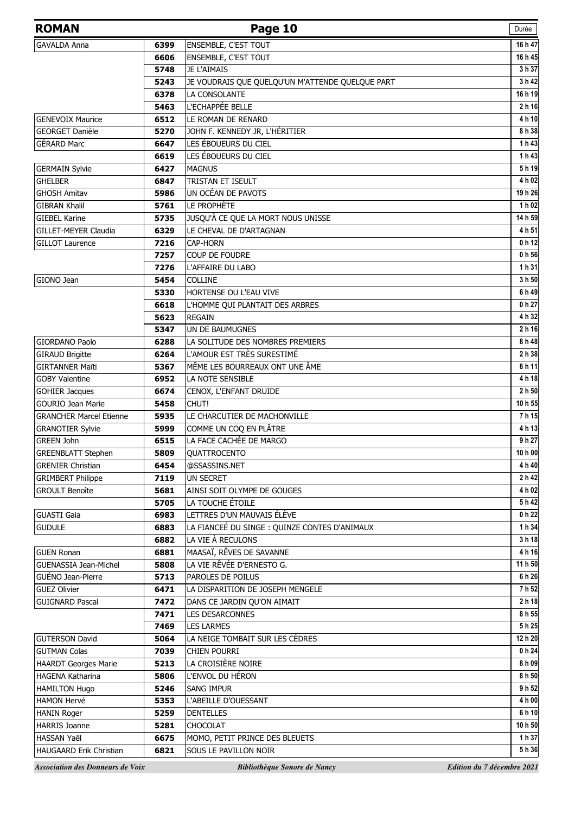| <b>ENSEMBLE, C'EST TOUT</b><br><b>GAVALDA Anna</b><br>6399<br>6606<br>ENSEMBLE, C'EST TOUT<br><b>JE L'AIMAIS</b><br>5748<br>5243<br>JE VOUDRAIS QUE QUELQU'UN M'ATTENDE QUELQUE PART<br>LA CONSOLANTE<br>6378<br>L'ECHAPPÉE BELLE<br>5463<br><b>GENEVOIX Maurice</b><br>LE ROMAN DE RENARD<br>6512<br><b>GEORGET Danièle</b><br>JOHN F. KENNEDY JR, L'HÉRITIER<br>5270<br><b>GÉRARD Marc</b><br>LES ÉBOUEURS DU CIEL<br>6647<br>LES ÉBOUEURS DU CIEL<br>6619<br><b>GERMAIN Sylvie</b><br>6427<br><b>MAGNUS</b><br><b>GHELBER</b><br>TRISTAN ET ISEULT<br>6847<br>UN OCÉAN DE PAVOTS<br><b>GHOSH Amitav</b><br>5986<br>LE PROPHÈTE<br><b>GIBRAN Khalil</b><br>5761<br>JUSQU'À CE QUE LA MORT NOUS UNISSE<br><b>GIEBEL Karine</b><br>5735<br><b>GILLET-MEYER Claudia</b><br>LE CHEVAL DE D'ARTAGNAN<br>6329<br>7216<br>CAP-HORN<br><b>GILLOT Laurence</b><br>7257<br><b>COUP DE FOUDRE</b><br>7276<br>L'AFFAIRE DU LABO<br>GIONO Jean<br>COLLINE<br>5454<br>5330<br>HORTENSE OU L'EAU VIVE<br>6618<br>L'HOMME QUI PLANTAIT DES ARBRES<br>5623<br><b>REGAIN</b><br>UN DE BAUMUGNES<br>5347<br>LA SOLITUDE DES NOMBRES PREMIERS<br><b>GIORDANO Paolo</b><br>6288<br>L'AMOUR EST TRÈS SURESTIMÉ<br><b>GIRAUD Brigitte</b><br>6264<br>MÊME LES BOURREAUX ONT UNE ÂME<br><b>GIRTANNER Maiti</b><br>5367<br>LA NOTE SENSIBLE<br><b>GOBY Valentine</b><br>6952<br>CENOX, L'ENFANT DRUIDE<br><b>GOHIER Jacques</b><br>6674<br><b>GOURIO Jean Marie</b><br>CHUT!<br>5458<br>LE CHARCUTIER DE MACHONVILLE<br><b>GRANCHER Marcel Etienne</b><br>5935<br>COMME UN COQ EN PLÂTRE<br>5999<br><b>GRANOTIER Sylvie</b><br>LA FACE CACHÉE DE MARGO<br><b>GREEN John</b><br>6515<br>5809<br><b>GREENBLATT Stephen</b><br>QUATTROCENTO<br><b>GRENIER Christian</b><br>@SSASSINS.NET<br>6454<br><b>GRIMBERT Philippe</b><br>7119<br>UN SECRET<br><b>GROULT Benoîte</b><br>5681<br>AINSI SOIT OLYMPE DE GOUGES<br>LA TOUCHE ÉTOILE<br>5705<br>LETTRES D'UN MAUVAIS ÉLÈVE<br><b>GUASTI Gaia</b><br>6983<br><b>GUDULE</b><br>LA FIANCEÉ DU SINGE : QUINZE CONTES D'ANIMAUX<br>6883<br>LA VIE À RECULONS<br>6882<br>MAASAÏ, RÊVES DE SAVANNE<br><b>GUEN Ronan</b><br>6881<br>LA VIE RÊVÉE D'ERNESTO G.<br><b>GUENASSIA Jean-Michel</b><br>5808<br>GUÉNO Jean-Pierre<br>PAROLES DE POILUS<br>5713<br><b>GUEZ Olivier</b><br>6471<br>LA DISPARITION DE JOSEPH MENGELE<br><b>GUIGNARD Pascal</b><br>7472<br>DANS CE JARDIN QU'ON AIMAIT<br>7471<br><b>LES DESARCONNES</b><br>7469<br><b>LES LARMES</b><br>LA NEIGE TOMBAIT SUR LES CÈDRES<br><b>GUTERSON David</b><br>5064<br><b>GUTMAN Colas</b><br>7039<br>CHIEN POURRI<br>LA CROISIÈRE NOIRE<br><b>HAARDT Georges Marie</b><br>5213<br>l'envol du Héron<br><b>HAGENA Katharina</b><br>5806<br>5246<br><b>SANG IMPUR</b><br><b>HAMILTON Hugo</b><br><b>HAMON Hervé</b><br>5353<br>L'ABEILLE D'OUESSANT<br>5259<br><b>DENTELLES</b><br><b>HANIN Roger</b> | <b>ROMAN</b> | Page 10 | Durée            |
|-------------------------------------------------------------------------------------------------------------------------------------------------------------------------------------------------------------------------------------------------------------------------------------------------------------------------------------------------------------------------------------------------------------------------------------------------------------------------------------------------------------------------------------------------------------------------------------------------------------------------------------------------------------------------------------------------------------------------------------------------------------------------------------------------------------------------------------------------------------------------------------------------------------------------------------------------------------------------------------------------------------------------------------------------------------------------------------------------------------------------------------------------------------------------------------------------------------------------------------------------------------------------------------------------------------------------------------------------------------------------------------------------------------------------------------------------------------------------------------------------------------------------------------------------------------------------------------------------------------------------------------------------------------------------------------------------------------------------------------------------------------------------------------------------------------------------------------------------------------------------------------------------------------------------------------------------------------------------------------------------------------------------------------------------------------------------------------------------------------------------------------------------------------------------------------------------------------------------------------------------------------------------------------------------------------------------------------------------------------------------------------------------------------------------------------------------------------------------------------------------------------------------------------------------------------------------------------------------------------------------------------------------------------------------------------------------------------------------------------------------------------------------------------------------------------------------------------------------------------------------------|--------------|---------|------------------|
|                                                                                                                                                                                                                                                                                                                                                                                                                                                                                                                                                                                                                                                                                                                                                                                                                                                                                                                                                                                                                                                                                                                                                                                                                                                                                                                                                                                                                                                                                                                                                                                                                                                                                                                                                                                                                                                                                                                                                                                                                                                                                                                                                                                                                                                                                                                                                                                                                                                                                                                                                                                                                                                                                                                                                                                                                                                                               |              |         | 16 h 47          |
|                                                                                                                                                                                                                                                                                                                                                                                                                                                                                                                                                                                                                                                                                                                                                                                                                                                                                                                                                                                                                                                                                                                                                                                                                                                                                                                                                                                                                                                                                                                                                                                                                                                                                                                                                                                                                                                                                                                                                                                                                                                                                                                                                                                                                                                                                                                                                                                                                                                                                                                                                                                                                                                                                                                                                                                                                                                                               |              |         | 16 h 45          |
|                                                                                                                                                                                                                                                                                                                                                                                                                                                                                                                                                                                                                                                                                                                                                                                                                                                                                                                                                                                                                                                                                                                                                                                                                                                                                                                                                                                                                                                                                                                                                                                                                                                                                                                                                                                                                                                                                                                                                                                                                                                                                                                                                                                                                                                                                                                                                                                                                                                                                                                                                                                                                                                                                                                                                                                                                                                                               |              |         | 3 h 37           |
|                                                                                                                                                                                                                                                                                                                                                                                                                                                                                                                                                                                                                                                                                                                                                                                                                                                                                                                                                                                                                                                                                                                                                                                                                                                                                                                                                                                                                                                                                                                                                                                                                                                                                                                                                                                                                                                                                                                                                                                                                                                                                                                                                                                                                                                                                                                                                                                                                                                                                                                                                                                                                                                                                                                                                                                                                                                                               |              |         | 3 h 42           |
|                                                                                                                                                                                                                                                                                                                                                                                                                                                                                                                                                                                                                                                                                                                                                                                                                                                                                                                                                                                                                                                                                                                                                                                                                                                                                                                                                                                                                                                                                                                                                                                                                                                                                                                                                                                                                                                                                                                                                                                                                                                                                                                                                                                                                                                                                                                                                                                                                                                                                                                                                                                                                                                                                                                                                                                                                                                                               |              |         | 16h19            |
|                                                                                                                                                                                                                                                                                                                                                                                                                                                                                                                                                                                                                                                                                                                                                                                                                                                                                                                                                                                                                                                                                                                                                                                                                                                                                                                                                                                                                                                                                                                                                                                                                                                                                                                                                                                                                                                                                                                                                                                                                                                                                                                                                                                                                                                                                                                                                                                                                                                                                                                                                                                                                                                                                                                                                                                                                                                                               |              |         | 2 h 16           |
|                                                                                                                                                                                                                                                                                                                                                                                                                                                                                                                                                                                                                                                                                                                                                                                                                                                                                                                                                                                                                                                                                                                                                                                                                                                                                                                                                                                                                                                                                                                                                                                                                                                                                                                                                                                                                                                                                                                                                                                                                                                                                                                                                                                                                                                                                                                                                                                                                                                                                                                                                                                                                                                                                                                                                                                                                                                                               |              |         | 4 h 10           |
|                                                                                                                                                                                                                                                                                                                                                                                                                                                                                                                                                                                                                                                                                                                                                                                                                                                                                                                                                                                                                                                                                                                                                                                                                                                                                                                                                                                                                                                                                                                                                                                                                                                                                                                                                                                                                                                                                                                                                                                                                                                                                                                                                                                                                                                                                                                                                                                                                                                                                                                                                                                                                                                                                                                                                                                                                                                                               |              |         | 8 h 38           |
|                                                                                                                                                                                                                                                                                                                                                                                                                                                                                                                                                                                                                                                                                                                                                                                                                                                                                                                                                                                                                                                                                                                                                                                                                                                                                                                                                                                                                                                                                                                                                                                                                                                                                                                                                                                                                                                                                                                                                                                                                                                                                                                                                                                                                                                                                                                                                                                                                                                                                                                                                                                                                                                                                                                                                                                                                                                                               |              |         | 1 h 43           |
|                                                                                                                                                                                                                                                                                                                                                                                                                                                                                                                                                                                                                                                                                                                                                                                                                                                                                                                                                                                                                                                                                                                                                                                                                                                                                                                                                                                                                                                                                                                                                                                                                                                                                                                                                                                                                                                                                                                                                                                                                                                                                                                                                                                                                                                                                                                                                                                                                                                                                                                                                                                                                                                                                                                                                                                                                                                                               |              |         | 1 h 43           |
|                                                                                                                                                                                                                                                                                                                                                                                                                                                                                                                                                                                                                                                                                                                                                                                                                                                                                                                                                                                                                                                                                                                                                                                                                                                                                                                                                                                                                                                                                                                                                                                                                                                                                                                                                                                                                                                                                                                                                                                                                                                                                                                                                                                                                                                                                                                                                                                                                                                                                                                                                                                                                                                                                                                                                                                                                                                                               |              |         | 5h19             |
|                                                                                                                                                                                                                                                                                                                                                                                                                                                                                                                                                                                                                                                                                                                                                                                                                                                                                                                                                                                                                                                                                                                                                                                                                                                                                                                                                                                                                                                                                                                                                                                                                                                                                                                                                                                                                                                                                                                                                                                                                                                                                                                                                                                                                                                                                                                                                                                                                                                                                                                                                                                                                                                                                                                                                                                                                                                                               |              |         | 4 h 02           |
|                                                                                                                                                                                                                                                                                                                                                                                                                                                                                                                                                                                                                                                                                                                                                                                                                                                                                                                                                                                                                                                                                                                                                                                                                                                                                                                                                                                                                                                                                                                                                                                                                                                                                                                                                                                                                                                                                                                                                                                                                                                                                                                                                                                                                                                                                                                                                                                                                                                                                                                                                                                                                                                                                                                                                                                                                                                                               |              |         | 19 h 26          |
|                                                                                                                                                                                                                                                                                                                                                                                                                                                                                                                                                                                                                                                                                                                                                                                                                                                                                                                                                                                                                                                                                                                                                                                                                                                                                                                                                                                                                                                                                                                                                                                                                                                                                                                                                                                                                                                                                                                                                                                                                                                                                                                                                                                                                                                                                                                                                                                                                                                                                                                                                                                                                                                                                                                                                                                                                                                                               |              |         | 1 h 02           |
|                                                                                                                                                                                                                                                                                                                                                                                                                                                                                                                                                                                                                                                                                                                                                                                                                                                                                                                                                                                                                                                                                                                                                                                                                                                                                                                                                                                                                                                                                                                                                                                                                                                                                                                                                                                                                                                                                                                                                                                                                                                                                                                                                                                                                                                                                                                                                                                                                                                                                                                                                                                                                                                                                                                                                                                                                                                                               |              |         | 14 h 59          |
|                                                                                                                                                                                                                                                                                                                                                                                                                                                                                                                                                                                                                                                                                                                                                                                                                                                                                                                                                                                                                                                                                                                                                                                                                                                                                                                                                                                                                                                                                                                                                                                                                                                                                                                                                                                                                                                                                                                                                                                                                                                                                                                                                                                                                                                                                                                                                                                                                                                                                                                                                                                                                                                                                                                                                                                                                                                                               |              |         | 4 h 51           |
|                                                                                                                                                                                                                                                                                                                                                                                                                                                                                                                                                                                                                                                                                                                                                                                                                                                                                                                                                                                                                                                                                                                                                                                                                                                                                                                                                                                                                                                                                                                                                                                                                                                                                                                                                                                                                                                                                                                                                                                                                                                                                                                                                                                                                                                                                                                                                                                                                                                                                                                                                                                                                                                                                                                                                                                                                                                                               |              |         | 0 h 12           |
|                                                                                                                                                                                                                                                                                                                                                                                                                                                                                                                                                                                                                                                                                                                                                                                                                                                                                                                                                                                                                                                                                                                                                                                                                                                                                                                                                                                                                                                                                                                                                                                                                                                                                                                                                                                                                                                                                                                                                                                                                                                                                                                                                                                                                                                                                                                                                                                                                                                                                                                                                                                                                                                                                                                                                                                                                                                                               |              |         | 0 h 56           |
|                                                                                                                                                                                                                                                                                                                                                                                                                                                                                                                                                                                                                                                                                                                                                                                                                                                                                                                                                                                                                                                                                                                                                                                                                                                                                                                                                                                                                                                                                                                                                                                                                                                                                                                                                                                                                                                                                                                                                                                                                                                                                                                                                                                                                                                                                                                                                                                                                                                                                                                                                                                                                                                                                                                                                                                                                                                                               |              |         | 1 h 31           |
|                                                                                                                                                                                                                                                                                                                                                                                                                                                                                                                                                                                                                                                                                                                                                                                                                                                                                                                                                                                                                                                                                                                                                                                                                                                                                                                                                                                                                                                                                                                                                                                                                                                                                                                                                                                                                                                                                                                                                                                                                                                                                                                                                                                                                                                                                                                                                                                                                                                                                                                                                                                                                                                                                                                                                                                                                                                                               |              |         | 3 h 50           |
|                                                                                                                                                                                                                                                                                                                                                                                                                                                                                                                                                                                                                                                                                                                                                                                                                                                                                                                                                                                                                                                                                                                                                                                                                                                                                                                                                                                                                                                                                                                                                                                                                                                                                                                                                                                                                                                                                                                                                                                                                                                                                                                                                                                                                                                                                                                                                                                                                                                                                                                                                                                                                                                                                                                                                                                                                                                                               |              |         | 6 h 49           |
|                                                                                                                                                                                                                                                                                                                                                                                                                                                                                                                                                                                                                                                                                                                                                                                                                                                                                                                                                                                                                                                                                                                                                                                                                                                                                                                                                                                                                                                                                                                                                                                                                                                                                                                                                                                                                                                                                                                                                                                                                                                                                                                                                                                                                                                                                                                                                                                                                                                                                                                                                                                                                                                                                                                                                                                                                                                                               |              |         | 0 h 27           |
|                                                                                                                                                                                                                                                                                                                                                                                                                                                                                                                                                                                                                                                                                                                                                                                                                                                                                                                                                                                                                                                                                                                                                                                                                                                                                                                                                                                                                                                                                                                                                                                                                                                                                                                                                                                                                                                                                                                                                                                                                                                                                                                                                                                                                                                                                                                                                                                                                                                                                                                                                                                                                                                                                                                                                                                                                                                                               |              |         | 4 h 32           |
|                                                                                                                                                                                                                                                                                                                                                                                                                                                                                                                                                                                                                                                                                                                                                                                                                                                                                                                                                                                                                                                                                                                                                                                                                                                                                                                                                                                                                                                                                                                                                                                                                                                                                                                                                                                                                                                                                                                                                                                                                                                                                                                                                                                                                                                                                                                                                                                                                                                                                                                                                                                                                                                                                                                                                                                                                                                                               |              |         | 2 h 16           |
|                                                                                                                                                                                                                                                                                                                                                                                                                                                                                                                                                                                                                                                                                                                                                                                                                                                                                                                                                                                                                                                                                                                                                                                                                                                                                                                                                                                                                                                                                                                                                                                                                                                                                                                                                                                                                                                                                                                                                                                                                                                                                                                                                                                                                                                                                                                                                                                                                                                                                                                                                                                                                                                                                                                                                                                                                                                                               |              |         | 8 h 48           |
|                                                                                                                                                                                                                                                                                                                                                                                                                                                                                                                                                                                                                                                                                                                                                                                                                                                                                                                                                                                                                                                                                                                                                                                                                                                                                                                                                                                                                                                                                                                                                                                                                                                                                                                                                                                                                                                                                                                                                                                                                                                                                                                                                                                                                                                                                                                                                                                                                                                                                                                                                                                                                                                                                                                                                                                                                                                                               |              |         | 2 h 38           |
|                                                                                                                                                                                                                                                                                                                                                                                                                                                                                                                                                                                                                                                                                                                                                                                                                                                                                                                                                                                                                                                                                                                                                                                                                                                                                                                                                                                                                                                                                                                                                                                                                                                                                                                                                                                                                                                                                                                                                                                                                                                                                                                                                                                                                                                                                                                                                                                                                                                                                                                                                                                                                                                                                                                                                                                                                                                                               |              |         | 8 h 11<br>4 h 18 |
|                                                                                                                                                                                                                                                                                                                                                                                                                                                                                                                                                                                                                                                                                                                                                                                                                                                                                                                                                                                                                                                                                                                                                                                                                                                                                                                                                                                                                                                                                                                                                                                                                                                                                                                                                                                                                                                                                                                                                                                                                                                                                                                                                                                                                                                                                                                                                                                                                                                                                                                                                                                                                                                                                                                                                                                                                                                                               |              |         | 2 h 50           |
|                                                                                                                                                                                                                                                                                                                                                                                                                                                                                                                                                                                                                                                                                                                                                                                                                                                                                                                                                                                                                                                                                                                                                                                                                                                                                                                                                                                                                                                                                                                                                                                                                                                                                                                                                                                                                                                                                                                                                                                                                                                                                                                                                                                                                                                                                                                                                                                                                                                                                                                                                                                                                                                                                                                                                                                                                                                                               |              |         | 10 h 55          |
|                                                                                                                                                                                                                                                                                                                                                                                                                                                                                                                                                                                                                                                                                                                                                                                                                                                                                                                                                                                                                                                                                                                                                                                                                                                                                                                                                                                                                                                                                                                                                                                                                                                                                                                                                                                                                                                                                                                                                                                                                                                                                                                                                                                                                                                                                                                                                                                                                                                                                                                                                                                                                                                                                                                                                                                                                                                                               |              |         | 7h15             |
|                                                                                                                                                                                                                                                                                                                                                                                                                                                                                                                                                                                                                                                                                                                                                                                                                                                                                                                                                                                                                                                                                                                                                                                                                                                                                                                                                                                                                                                                                                                                                                                                                                                                                                                                                                                                                                                                                                                                                                                                                                                                                                                                                                                                                                                                                                                                                                                                                                                                                                                                                                                                                                                                                                                                                                                                                                                                               |              |         | 4 h 13           |
|                                                                                                                                                                                                                                                                                                                                                                                                                                                                                                                                                                                                                                                                                                                                                                                                                                                                                                                                                                                                                                                                                                                                                                                                                                                                                                                                                                                                                                                                                                                                                                                                                                                                                                                                                                                                                                                                                                                                                                                                                                                                                                                                                                                                                                                                                                                                                                                                                                                                                                                                                                                                                                                                                                                                                                                                                                                                               |              |         | 9 h 27           |
|                                                                                                                                                                                                                                                                                                                                                                                                                                                                                                                                                                                                                                                                                                                                                                                                                                                                                                                                                                                                                                                                                                                                                                                                                                                                                                                                                                                                                                                                                                                                                                                                                                                                                                                                                                                                                                                                                                                                                                                                                                                                                                                                                                                                                                                                                                                                                                                                                                                                                                                                                                                                                                                                                                                                                                                                                                                                               |              |         | 10 h 00          |
|                                                                                                                                                                                                                                                                                                                                                                                                                                                                                                                                                                                                                                                                                                                                                                                                                                                                                                                                                                                                                                                                                                                                                                                                                                                                                                                                                                                                                                                                                                                                                                                                                                                                                                                                                                                                                                                                                                                                                                                                                                                                                                                                                                                                                                                                                                                                                                                                                                                                                                                                                                                                                                                                                                                                                                                                                                                                               |              |         | 4 h 40           |
|                                                                                                                                                                                                                                                                                                                                                                                                                                                                                                                                                                                                                                                                                                                                                                                                                                                                                                                                                                                                                                                                                                                                                                                                                                                                                                                                                                                                                                                                                                                                                                                                                                                                                                                                                                                                                                                                                                                                                                                                                                                                                                                                                                                                                                                                                                                                                                                                                                                                                                                                                                                                                                                                                                                                                                                                                                                                               |              |         | 2 h 42           |
|                                                                                                                                                                                                                                                                                                                                                                                                                                                                                                                                                                                                                                                                                                                                                                                                                                                                                                                                                                                                                                                                                                                                                                                                                                                                                                                                                                                                                                                                                                                                                                                                                                                                                                                                                                                                                                                                                                                                                                                                                                                                                                                                                                                                                                                                                                                                                                                                                                                                                                                                                                                                                                                                                                                                                                                                                                                                               |              |         | 4 h 02           |
|                                                                                                                                                                                                                                                                                                                                                                                                                                                                                                                                                                                                                                                                                                                                                                                                                                                                                                                                                                                                                                                                                                                                                                                                                                                                                                                                                                                                                                                                                                                                                                                                                                                                                                                                                                                                                                                                                                                                                                                                                                                                                                                                                                                                                                                                                                                                                                                                                                                                                                                                                                                                                                                                                                                                                                                                                                                                               |              |         | 5h42             |
|                                                                                                                                                                                                                                                                                                                                                                                                                                                                                                                                                                                                                                                                                                                                                                                                                                                                                                                                                                                                                                                                                                                                                                                                                                                                                                                                                                                                                                                                                                                                                                                                                                                                                                                                                                                                                                                                                                                                                                                                                                                                                                                                                                                                                                                                                                                                                                                                                                                                                                                                                                                                                                                                                                                                                                                                                                                                               |              |         | 0 h 22           |
|                                                                                                                                                                                                                                                                                                                                                                                                                                                                                                                                                                                                                                                                                                                                                                                                                                                                                                                                                                                                                                                                                                                                                                                                                                                                                                                                                                                                                                                                                                                                                                                                                                                                                                                                                                                                                                                                                                                                                                                                                                                                                                                                                                                                                                                                                                                                                                                                                                                                                                                                                                                                                                                                                                                                                                                                                                                                               |              |         | 1 h 34           |
|                                                                                                                                                                                                                                                                                                                                                                                                                                                                                                                                                                                                                                                                                                                                                                                                                                                                                                                                                                                                                                                                                                                                                                                                                                                                                                                                                                                                                                                                                                                                                                                                                                                                                                                                                                                                                                                                                                                                                                                                                                                                                                                                                                                                                                                                                                                                                                                                                                                                                                                                                                                                                                                                                                                                                                                                                                                                               |              |         | 3 h 18           |
|                                                                                                                                                                                                                                                                                                                                                                                                                                                                                                                                                                                                                                                                                                                                                                                                                                                                                                                                                                                                                                                                                                                                                                                                                                                                                                                                                                                                                                                                                                                                                                                                                                                                                                                                                                                                                                                                                                                                                                                                                                                                                                                                                                                                                                                                                                                                                                                                                                                                                                                                                                                                                                                                                                                                                                                                                                                                               |              |         | 4 h 16           |
|                                                                                                                                                                                                                                                                                                                                                                                                                                                                                                                                                                                                                                                                                                                                                                                                                                                                                                                                                                                                                                                                                                                                                                                                                                                                                                                                                                                                                                                                                                                                                                                                                                                                                                                                                                                                                                                                                                                                                                                                                                                                                                                                                                                                                                                                                                                                                                                                                                                                                                                                                                                                                                                                                                                                                                                                                                                                               |              |         | 11 h 50          |
|                                                                                                                                                                                                                                                                                                                                                                                                                                                                                                                                                                                                                                                                                                                                                                                                                                                                                                                                                                                                                                                                                                                                                                                                                                                                                                                                                                                                                                                                                                                                                                                                                                                                                                                                                                                                                                                                                                                                                                                                                                                                                                                                                                                                                                                                                                                                                                                                                                                                                                                                                                                                                                                                                                                                                                                                                                                                               |              |         | 6 h 26           |
|                                                                                                                                                                                                                                                                                                                                                                                                                                                                                                                                                                                                                                                                                                                                                                                                                                                                                                                                                                                                                                                                                                                                                                                                                                                                                                                                                                                                                                                                                                                                                                                                                                                                                                                                                                                                                                                                                                                                                                                                                                                                                                                                                                                                                                                                                                                                                                                                                                                                                                                                                                                                                                                                                                                                                                                                                                                                               |              |         | 7 h 52           |
|                                                                                                                                                                                                                                                                                                                                                                                                                                                                                                                                                                                                                                                                                                                                                                                                                                                                                                                                                                                                                                                                                                                                                                                                                                                                                                                                                                                                                                                                                                                                                                                                                                                                                                                                                                                                                                                                                                                                                                                                                                                                                                                                                                                                                                                                                                                                                                                                                                                                                                                                                                                                                                                                                                                                                                                                                                                                               |              |         | 2 h 18           |
|                                                                                                                                                                                                                                                                                                                                                                                                                                                                                                                                                                                                                                                                                                                                                                                                                                                                                                                                                                                                                                                                                                                                                                                                                                                                                                                                                                                                                                                                                                                                                                                                                                                                                                                                                                                                                                                                                                                                                                                                                                                                                                                                                                                                                                                                                                                                                                                                                                                                                                                                                                                                                                                                                                                                                                                                                                                                               |              |         | 8 h 55           |
|                                                                                                                                                                                                                                                                                                                                                                                                                                                                                                                                                                                                                                                                                                                                                                                                                                                                                                                                                                                                                                                                                                                                                                                                                                                                                                                                                                                                                                                                                                                                                                                                                                                                                                                                                                                                                                                                                                                                                                                                                                                                                                                                                                                                                                                                                                                                                                                                                                                                                                                                                                                                                                                                                                                                                                                                                                                                               |              |         | 5h25             |
|                                                                                                                                                                                                                                                                                                                                                                                                                                                                                                                                                                                                                                                                                                                                                                                                                                                                                                                                                                                                                                                                                                                                                                                                                                                                                                                                                                                                                                                                                                                                                                                                                                                                                                                                                                                                                                                                                                                                                                                                                                                                                                                                                                                                                                                                                                                                                                                                                                                                                                                                                                                                                                                                                                                                                                                                                                                                               |              |         | 12 h 20          |
|                                                                                                                                                                                                                                                                                                                                                                                                                                                                                                                                                                                                                                                                                                                                                                                                                                                                                                                                                                                                                                                                                                                                                                                                                                                                                                                                                                                                                                                                                                                                                                                                                                                                                                                                                                                                                                                                                                                                                                                                                                                                                                                                                                                                                                                                                                                                                                                                                                                                                                                                                                                                                                                                                                                                                                                                                                                                               |              |         | 0 h 24           |
|                                                                                                                                                                                                                                                                                                                                                                                                                                                                                                                                                                                                                                                                                                                                                                                                                                                                                                                                                                                                                                                                                                                                                                                                                                                                                                                                                                                                                                                                                                                                                                                                                                                                                                                                                                                                                                                                                                                                                                                                                                                                                                                                                                                                                                                                                                                                                                                                                                                                                                                                                                                                                                                                                                                                                                                                                                                                               |              |         | 8 h 09           |
|                                                                                                                                                                                                                                                                                                                                                                                                                                                                                                                                                                                                                                                                                                                                                                                                                                                                                                                                                                                                                                                                                                                                                                                                                                                                                                                                                                                                                                                                                                                                                                                                                                                                                                                                                                                                                                                                                                                                                                                                                                                                                                                                                                                                                                                                                                                                                                                                                                                                                                                                                                                                                                                                                                                                                                                                                                                                               |              |         | 8 h 50           |
|                                                                                                                                                                                                                                                                                                                                                                                                                                                                                                                                                                                                                                                                                                                                                                                                                                                                                                                                                                                                                                                                                                                                                                                                                                                                                                                                                                                                                                                                                                                                                                                                                                                                                                                                                                                                                                                                                                                                                                                                                                                                                                                                                                                                                                                                                                                                                                                                                                                                                                                                                                                                                                                                                                                                                                                                                                                                               |              |         | 9 h 52           |
|                                                                                                                                                                                                                                                                                                                                                                                                                                                                                                                                                                                                                                                                                                                                                                                                                                                                                                                                                                                                                                                                                                                                                                                                                                                                                                                                                                                                                                                                                                                                                                                                                                                                                                                                                                                                                                                                                                                                                                                                                                                                                                                                                                                                                                                                                                                                                                                                                                                                                                                                                                                                                                                                                                                                                                                                                                                                               |              |         | 4 h 00           |
|                                                                                                                                                                                                                                                                                                                                                                                                                                                                                                                                                                                                                                                                                                                                                                                                                                                                                                                                                                                                                                                                                                                                                                                                                                                                                                                                                                                                                                                                                                                                                                                                                                                                                                                                                                                                                                                                                                                                                                                                                                                                                                                                                                                                                                                                                                                                                                                                                                                                                                                                                                                                                                                                                                                                                                                                                                                                               |              |         | 6 h 10           |
| <b>HARRIS Joanne</b><br>5281<br>CHOCOLAT                                                                                                                                                                                                                                                                                                                                                                                                                                                                                                                                                                                                                                                                                                                                                                                                                                                                                                                                                                                                                                                                                                                                                                                                                                                                                                                                                                                                                                                                                                                                                                                                                                                                                                                                                                                                                                                                                                                                                                                                                                                                                                                                                                                                                                                                                                                                                                                                                                                                                                                                                                                                                                                                                                                                                                                                                                      |              |         | 10 h 50          |
| HASSAN Yaël<br>6675<br>MOMO, PETIT PRINCE DES BLEUETS                                                                                                                                                                                                                                                                                                                                                                                                                                                                                                                                                                                                                                                                                                                                                                                                                                                                                                                                                                                                                                                                                                                                                                                                                                                                                                                                                                                                                                                                                                                                                                                                                                                                                                                                                                                                                                                                                                                                                                                                                                                                                                                                                                                                                                                                                                                                                                                                                                                                                                                                                                                                                                                                                                                                                                                                                         |              |         | 1 h 37           |
| HAUGAARD Erik Christian<br>6821<br>SOUS LE PAVILLON NOIR                                                                                                                                                                                                                                                                                                                                                                                                                                                                                                                                                                                                                                                                                                                                                                                                                                                                                                                                                                                                                                                                                                                                                                                                                                                                                                                                                                                                                                                                                                                                                                                                                                                                                                                                                                                                                                                                                                                                                                                                                                                                                                                                                                                                                                                                                                                                                                                                                                                                                                                                                                                                                                                                                                                                                                                                                      |              |         | 5h 36            |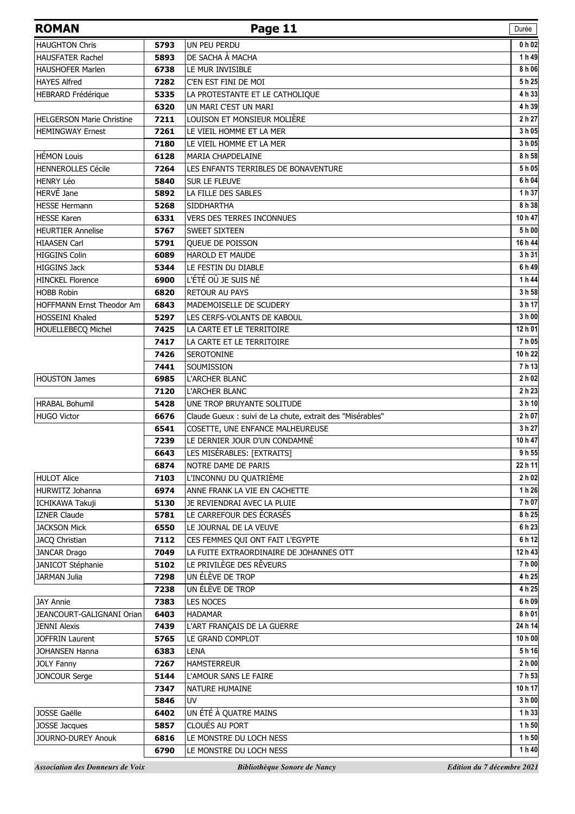| <b>HAUGHTON Chris</b><br>UN PEU PERDU<br>5793<br>DE SACHA À MACHA<br><b>HAUSFATER Rachel</b><br>5893<br><b>HAUSHOFER Marlen</b><br>6738<br>LE MUR INVISIBLE<br><b>HAYES Alfred</b><br>C'EN EST FINI DE MOI<br>7282<br><b>HEBRARD Frédérique</b><br>LA PROTESTANTE ET LE CATHOLIQUE<br>5335<br>UN MARI C'EST UN MARI<br>6320<br>LOUISON ET MONSIEUR MOLIÈRE<br><b>HELGERSON Marie Christine</b><br>7211<br><b>HEMINGWAY Ernest</b><br>7261<br>LE VIEIL HOMME ET LA MER<br>7180<br>LE VIEIL HOMME ET LA MER<br><b>HÉMON Louis</b><br>6128<br>MARIA CHAPDELAINE<br><b>HENNEROLLES Cécile</b><br>7264<br>LES ENFANTS TERRIBLES DE BONAVENTURE<br><b>HENRY Léo</b><br>SUR LE FLEUVE<br>5840<br>HERVÉ Jane<br>5892<br>LA FILLE DES SABLES<br><b>HESSE Hermann</b><br>5268<br><b>SIDDHARTHA</b><br><b>HESSE Karen</b><br>6331<br><b>VERS DES TERRES INCONNUES</b><br><b>HEURTIER Annelise</b><br>5767<br><b>SWEET SIXTEEN</b><br><b>HIAASEN Carl</b><br>5791<br><b>OUEUE DE POISSON</b><br><b>HIGGINS Colin</b><br>6089<br><b>HAROLD ET MAUDE</b><br><b>HIGGINS Jack</b><br>5344<br>LE FESTIN DU DIABLE<br>L'ÉTÉ OÙ JE SUIS NÉ<br><b>HINCKEL Florence</b><br>6900<br><b>RETOUR AU PAYS</b><br><b>HOBB Robin</b><br>6820<br>HOFFMANN Ernst Theodor Am<br>6843<br>MADEMOISELLE DE SCUDERY<br><b>HOSSEINI Khaled</b><br>5297<br>LES CERFS-VOLANTS DE KABOUL<br>HOUELLEBECQ Michel<br>7425<br>LA CARTE ET LE TERRITOIRE<br>7417<br>LA CARTE ET LE TERRITOIRE<br>7426<br><b>SEROTONINE</b><br>7441<br>SOUMISSION<br><b>HOUSTON James</b><br>6985<br>L'ARCHER BLANC<br>7120<br>L'ARCHER BLANC<br><b>HRABAL Bohumil</b><br>5428<br>UNE TROP BRUYANTE SOLITUDE<br><b>HUGO Victor</b><br>6676<br>Claude Gueux : suivi de La chute, extrait des "Misérables"<br>COSETTE, UNE ENFANCE MALHEUREUSE<br>6541<br>LE DERNIER JOUR D'UN CONDAMNÉ<br>7239<br>LES MISÉRABLES: [EXTRAITS]<br>6643<br>6874<br>NOTRE DAME DE PARIS<br><b>HULOT Alice</b><br>7103<br>L'INCONNU DU QUATRIÈME<br>HURWITZ Johanna<br>ANNE FRANK LA VIE EN CACHETTE<br>6974<br>5130<br>JE REVIENDRAI AVEC LA PLUIE<br>ICHIKAWA Takuji<br>LE CARREFOUR DES ÉCRASÉS<br><b>IZNER Claude</b><br>5781<br>LE JOURNAL DE LA VEUVE<br><b>JACKSON Mick</b><br>6550<br>CES FEMMES QUI ONT FAIT L'EGYPTE<br>JACQ Christian<br>7112<br>LA FUITE EXTRAORDINAIRE DE JOHANNES OTT<br>JANCAR Drago<br>7049<br>LE PRIVILÈGE DES RÊVEURS<br>JANICOT Stéphanie<br>5102<br>UN ÉLÈVE DE TROP<br><b>JARMAN Julia</b><br>7298<br>UN ÉLÈVE DE TROP<br>7238<br><b>JAY Annie</b><br><b>LES NOCES</b><br>7383<br>JEANCOURT-GALIGNANI Orian<br>6403<br><b>HADAMAR</b><br>7439<br>L'ART FRANÇAIS DE LA GUERRE<br><b>JENNI Alexis</b><br><b>JOFFRIN Laurent</b><br>5765<br>LE GRAND COMPLOT<br>JOHANSEN Hanna<br>6383<br><b>LENA</b><br><b>JOLY Fanny</b><br>7267<br><b>HAMSTERREUR</b><br>JONCOUR Serge<br>5144<br>L'AMOUR SANS LE FAIRE<br>7347<br>NATURE HUMAINE<br>5846<br>UV.<br>UN ÉTÉ À QUATRE MAINS<br>JOSSE Gaëlle<br>6402<br>CLOUÉS AU PORT<br>JOSSE Jacques<br>5857 | <b>ROMAN</b>       |      | Page 11                 | Durée             |
|------------------------------------------------------------------------------------------------------------------------------------------------------------------------------------------------------------------------------------------------------------------------------------------------------------------------------------------------------------------------------------------------------------------------------------------------------------------------------------------------------------------------------------------------------------------------------------------------------------------------------------------------------------------------------------------------------------------------------------------------------------------------------------------------------------------------------------------------------------------------------------------------------------------------------------------------------------------------------------------------------------------------------------------------------------------------------------------------------------------------------------------------------------------------------------------------------------------------------------------------------------------------------------------------------------------------------------------------------------------------------------------------------------------------------------------------------------------------------------------------------------------------------------------------------------------------------------------------------------------------------------------------------------------------------------------------------------------------------------------------------------------------------------------------------------------------------------------------------------------------------------------------------------------------------------------------------------------------------------------------------------------------------------------------------------------------------------------------------------------------------------------------------------------------------------------------------------------------------------------------------------------------------------------------------------------------------------------------------------------------------------------------------------------------------------------------------------------------------------------------------------------------------------------------------------------------------------------------------------------------------------------------------------------------------------------------------------------------------------------------------------------------------------------------------------------------------------------------------------------------------------------------------------------------------------------------------------------------------------------------|--------------------|------|-------------------------|-------------------|
|                                                                                                                                                                                                                                                                                                                                                                                                                                                                                                                                                                                                                                                                                                                                                                                                                                                                                                                                                                                                                                                                                                                                                                                                                                                                                                                                                                                                                                                                                                                                                                                                                                                                                                                                                                                                                                                                                                                                                                                                                                                                                                                                                                                                                                                                                                                                                                                                                                                                                                                                                                                                                                                                                                                                                                                                                                                                                                                                                                                                |                    |      |                         | 0 h 02            |
|                                                                                                                                                                                                                                                                                                                                                                                                                                                                                                                                                                                                                                                                                                                                                                                                                                                                                                                                                                                                                                                                                                                                                                                                                                                                                                                                                                                                                                                                                                                                                                                                                                                                                                                                                                                                                                                                                                                                                                                                                                                                                                                                                                                                                                                                                                                                                                                                                                                                                                                                                                                                                                                                                                                                                                                                                                                                                                                                                                                                |                    |      |                         | 1 h 49            |
|                                                                                                                                                                                                                                                                                                                                                                                                                                                                                                                                                                                                                                                                                                                                                                                                                                                                                                                                                                                                                                                                                                                                                                                                                                                                                                                                                                                                                                                                                                                                                                                                                                                                                                                                                                                                                                                                                                                                                                                                                                                                                                                                                                                                                                                                                                                                                                                                                                                                                                                                                                                                                                                                                                                                                                                                                                                                                                                                                                                                |                    |      |                         | 8 h 06            |
|                                                                                                                                                                                                                                                                                                                                                                                                                                                                                                                                                                                                                                                                                                                                                                                                                                                                                                                                                                                                                                                                                                                                                                                                                                                                                                                                                                                                                                                                                                                                                                                                                                                                                                                                                                                                                                                                                                                                                                                                                                                                                                                                                                                                                                                                                                                                                                                                                                                                                                                                                                                                                                                                                                                                                                                                                                                                                                                                                                                                |                    |      |                         | 5h25              |
|                                                                                                                                                                                                                                                                                                                                                                                                                                                                                                                                                                                                                                                                                                                                                                                                                                                                                                                                                                                                                                                                                                                                                                                                                                                                                                                                                                                                                                                                                                                                                                                                                                                                                                                                                                                                                                                                                                                                                                                                                                                                                                                                                                                                                                                                                                                                                                                                                                                                                                                                                                                                                                                                                                                                                                                                                                                                                                                                                                                                |                    |      |                         | 4 h 33            |
|                                                                                                                                                                                                                                                                                                                                                                                                                                                                                                                                                                                                                                                                                                                                                                                                                                                                                                                                                                                                                                                                                                                                                                                                                                                                                                                                                                                                                                                                                                                                                                                                                                                                                                                                                                                                                                                                                                                                                                                                                                                                                                                                                                                                                                                                                                                                                                                                                                                                                                                                                                                                                                                                                                                                                                                                                                                                                                                                                                                                |                    |      |                         | 4 h 39            |
|                                                                                                                                                                                                                                                                                                                                                                                                                                                                                                                                                                                                                                                                                                                                                                                                                                                                                                                                                                                                                                                                                                                                                                                                                                                                                                                                                                                                                                                                                                                                                                                                                                                                                                                                                                                                                                                                                                                                                                                                                                                                                                                                                                                                                                                                                                                                                                                                                                                                                                                                                                                                                                                                                                                                                                                                                                                                                                                                                                                                |                    |      |                         | 2 h 27            |
|                                                                                                                                                                                                                                                                                                                                                                                                                                                                                                                                                                                                                                                                                                                                                                                                                                                                                                                                                                                                                                                                                                                                                                                                                                                                                                                                                                                                                                                                                                                                                                                                                                                                                                                                                                                                                                                                                                                                                                                                                                                                                                                                                                                                                                                                                                                                                                                                                                                                                                                                                                                                                                                                                                                                                                                                                                                                                                                                                                                                |                    |      |                         | 3 h 05            |
|                                                                                                                                                                                                                                                                                                                                                                                                                                                                                                                                                                                                                                                                                                                                                                                                                                                                                                                                                                                                                                                                                                                                                                                                                                                                                                                                                                                                                                                                                                                                                                                                                                                                                                                                                                                                                                                                                                                                                                                                                                                                                                                                                                                                                                                                                                                                                                                                                                                                                                                                                                                                                                                                                                                                                                                                                                                                                                                                                                                                |                    |      |                         | 3 h 05            |
|                                                                                                                                                                                                                                                                                                                                                                                                                                                                                                                                                                                                                                                                                                                                                                                                                                                                                                                                                                                                                                                                                                                                                                                                                                                                                                                                                                                                                                                                                                                                                                                                                                                                                                                                                                                                                                                                                                                                                                                                                                                                                                                                                                                                                                                                                                                                                                                                                                                                                                                                                                                                                                                                                                                                                                                                                                                                                                                                                                                                |                    |      |                         | 8 h 58            |
|                                                                                                                                                                                                                                                                                                                                                                                                                                                                                                                                                                                                                                                                                                                                                                                                                                                                                                                                                                                                                                                                                                                                                                                                                                                                                                                                                                                                                                                                                                                                                                                                                                                                                                                                                                                                                                                                                                                                                                                                                                                                                                                                                                                                                                                                                                                                                                                                                                                                                                                                                                                                                                                                                                                                                                                                                                                                                                                                                                                                |                    |      |                         | 5 h 05            |
|                                                                                                                                                                                                                                                                                                                                                                                                                                                                                                                                                                                                                                                                                                                                                                                                                                                                                                                                                                                                                                                                                                                                                                                                                                                                                                                                                                                                                                                                                                                                                                                                                                                                                                                                                                                                                                                                                                                                                                                                                                                                                                                                                                                                                                                                                                                                                                                                                                                                                                                                                                                                                                                                                                                                                                                                                                                                                                                                                                                                |                    |      |                         | 6 h 04            |
|                                                                                                                                                                                                                                                                                                                                                                                                                                                                                                                                                                                                                                                                                                                                                                                                                                                                                                                                                                                                                                                                                                                                                                                                                                                                                                                                                                                                                                                                                                                                                                                                                                                                                                                                                                                                                                                                                                                                                                                                                                                                                                                                                                                                                                                                                                                                                                                                                                                                                                                                                                                                                                                                                                                                                                                                                                                                                                                                                                                                |                    |      |                         | 1 h 37            |
|                                                                                                                                                                                                                                                                                                                                                                                                                                                                                                                                                                                                                                                                                                                                                                                                                                                                                                                                                                                                                                                                                                                                                                                                                                                                                                                                                                                                                                                                                                                                                                                                                                                                                                                                                                                                                                                                                                                                                                                                                                                                                                                                                                                                                                                                                                                                                                                                                                                                                                                                                                                                                                                                                                                                                                                                                                                                                                                                                                                                |                    |      |                         | 8 h 38            |
|                                                                                                                                                                                                                                                                                                                                                                                                                                                                                                                                                                                                                                                                                                                                                                                                                                                                                                                                                                                                                                                                                                                                                                                                                                                                                                                                                                                                                                                                                                                                                                                                                                                                                                                                                                                                                                                                                                                                                                                                                                                                                                                                                                                                                                                                                                                                                                                                                                                                                                                                                                                                                                                                                                                                                                                                                                                                                                                                                                                                |                    |      |                         | 10 h 47           |
|                                                                                                                                                                                                                                                                                                                                                                                                                                                                                                                                                                                                                                                                                                                                                                                                                                                                                                                                                                                                                                                                                                                                                                                                                                                                                                                                                                                                                                                                                                                                                                                                                                                                                                                                                                                                                                                                                                                                                                                                                                                                                                                                                                                                                                                                                                                                                                                                                                                                                                                                                                                                                                                                                                                                                                                                                                                                                                                                                                                                |                    |      |                         | 5 h 00            |
|                                                                                                                                                                                                                                                                                                                                                                                                                                                                                                                                                                                                                                                                                                                                                                                                                                                                                                                                                                                                                                                                                                                                                                                                                                                                                                                                                                                                                                                                                                                                                                                                                                                                                                                                                                                                                                                                                                                                                                                                                                                                                                                                                                                                                                                                                                                                                                                                                                                                                                                                                                                                                                                                                                                                                                                                                                                                                                                                                                                                |                    |      |                         | 16 h 44           |
|                                                                                                                                                                                                                                                                                                                                                                                                                                                                                                                                                                                                                                                                                                                                                                                                                                                                                                                                                                                                                                                                                                                                                                                                                                                                                                                                                                                                                                                                                                                                                                                                                                                                                                                                                                                                                                                                                                                                                                                                                                                                                                                                                                                                                                                                                                                                                                                                                                                                                                                                                                                                                                                                                                                                                                                                                                                                                                                                                                                                |                    |      |                         | 3 h 31            |
|                                                                                                                                                                                                                                                                                                                                                                                                                                                                                                                                                                                                                                                                                                                                                                                                                                                                                                                                                                                                                                                                                                                                                                                                                                                                                                                                                                                                                                                                                                                                                                                                                                                                                                                                                                                                                                                                                                                                                                                                                                                                                                                                                                                                                                                                                                                                                                                                                                                                                                                                                                                                                                                                                                                                                                                                                                                                                                                                                                                                |                    |      |                         | 6 h 49            |
|                                                                                                                                                                                                                                                                                                                                                                                                                                                                                                                                                                                                                                                                                                                                                                                                                                                                                                                                                                                                                                                                                                                                                                                                                                                                                                                                                                                                                                                                                                                                                                                                                                                                                                                                                                                                                                                                                                                                                                                                                                                                                                                                                                                                                                                                                                                                                                                                                                                                                                                                                                                                                                                                                                                                                                                                                                                                                                                                                                                                |                    |      |                         | 1 h 44            |
|                                                                                                                                                                                                                                                                                                                                                                                                                                                                                                                                                                                                                                                                                                                                                                                                                                                                                                                                                                                                                                                                                                                                                                                                                                                                                                                                                                                                                                                                                                                                                                                                                                                                                                                                                                                                                                                                                                                                                                                                                                                                                                                                                                                                                                                                                                                                                                                                                                                                                                                                                                                                                                                                                                                                                                                                                                                                                                                                                                                                |                    |      |                         | 3 h 58            |
|                                                                                                                                                                                                                                                                                                                                                                                                                                                                                                                                                                                                                                                                                                                                                                                                                                                                                                                                                                                                                                                                                                                                                                                                                                                                                                                                                                                                                                                                                                                                                                                                                                                                                                                                                                                                                                                                                                                                                                                                                                                                                                                                                                                                                                                                                                                                                                                                                                                                                                                                                                                                                                                                                                                                                                                                                                                                                                                                                                                                |                    |      |                         | 3 h 17            |
|                                                                                                                                                                                                                                                                                                                                                                                                                                                                                                                                                                                                                                                                                                                                                                                                                                                                                                                                                                                                                                                                                                                                                                                                                                                                                                                                                                                                                                                                                                                                                                                                                                                                                                                                                                                                                                                                                                                                                                                                                                                                                                                                                                                                                                                                                                                                                                                                                                                                                                                                                                                                                                                                                                                                                                                                                                                                                                                                                                                                |                    |      |                         | 3 h 00            |
|                                                                                                                                                                                                                                                                                                                                                                                                                                                                                                                                                                                                                                                                                                                                                                                                                                                                                                                                                                                                                                                                                                                                                                                                                                                                                                                                                                                                                                                                                                                                                                                                                                                                                                                                                                                                                                                                                                                                                                                                                                                                                                                                                                                                                                                                                                                                                                                                                                                                                                                                                                                                                                                                                                                                                                                                                                                                                                                                                                                                |                    |      |                         | 12 h 01           |
|                                                                                                                                                                                                                                                                                                                                                                                                                                                                                                                                                                                                                                                                                                                                                                                                                                                                                                                                                                                                                                                                                                                                                                                                                                                                                                                                                                                                                                                                                                                                                                                                                                                                                                                                                                                                                                                                                                                                                                                                                                                                                                                                                                                                                                                                                                                                                                                                                                                                                                                                                                                                                                                                                                                                                                                                                                                                                                                                                                                                |                    |      |                         | 7 h 05            |
|                                                                                                                                                                                                                                                                                                                                                                                                                                                                                                                                                                                                                                                                                                                                                                                                                                                                                                                                                                                                                                                                                                                                                                                                                                                                                                                                                                                                                                                                                                                                                                                                                                                                                                                                                                                                                                                                                                                                                                                                                                                                                                                                                                                                                                                                                                                                                                                                                                                                                                                                                                                                                                                                                                                                                                                                                                                                                                                                                                                                |                    |      |                         | 10 h 22           |
|                                                                                                                                                                                                                                                                                                                                                                                                                                                                                                                                                                                                                                                                                                                                                                                                                                                                                                                                                                                                                                                                                                                                                                                                                                                                                                                                                                                                                                                                                                                                                                                                                                                                                                                                                                                                                                                                                                                                                                                                                                                                                                                                                                                                                                                                                                                                                                                                                                                                                                                                                                                                                                                                                                                                                                                                                                                                                                                                                                                                |                    |      |                         | 7h13              |
|                                                                                                                                                                                                                                                                                                                                                                                                                                                                                                                                                                                                                                                                                                                                                                                                                                                                                                                                                                                                                                                                                                                                                                                                                                                                                                                                                                                                                                                                                                                                                                                                                                                                                                                                                                                                                                                                                                                                                                                                                                                                                                                                                                                                                                                                                                                                                                                                                                                                                                                                                                                                                                                                                                                                                                                                                                                                                                                                                                                                |                    |      |                         | 2 h 02            |
|                                                                                                                                                                                                                                                                                                                                                                                                                                                                                                                                                                                                                                                                                                                                                                                                                                                                                                                                                                                                                                                                                                                                                                                                                                                                                                                                                                                                                                                                                                                                                                                                                                                                                                                                                                                                                                                                                                                                                                                                                                                                                                                                                                                                                                                                                                                                                                                                                                                                                                                                                                                                                                                                                                                                                                                                                                                                                                                                                                                                |                    |      |                         | 2 h 23            |
|                                                                                                                                                                                                                                                                                                                                                                                                                                                                                                                                                                                                                                                                                                                                                                                                                                                                                                                                                                                                                                                                                                                                                                                                                                                                                                                                                                                                                                                                                                                                                                                                                                                                                                                                                                                                                                                                                                                                                                                                                                                                                                                                                                                                                                                                                                                                                                                                                                                                                                                                                                                                                                                                                                                                                                                                                                                                                                                                                                                                |                    |      |                         | 3 h 10            |
|                                                                                                                                                                                                                                                                                                                                                                                                                                                                                                                                                                                                                                                                                                                                                                                                                                                                                                                                                                                                                                                                                                                                                                                                                                                                                                                                                                                                                                                                                                                                                                                                                                                                                                                                                                                                                                                                                                                                                                                                                                                                                                                                                                                                                                                                                                                                                                                                                                                                                                                                                                                                                                                                                                                                                                                                                                                                                                                                                                                                |                    |      |                         | 2 h 07            |
|                                                                                                                                                                                                                                                                                                                                                                                                                                                                                                                                                                                                                                                                                                                                                                                                                                                                                                                                                                                                                                                                                                                                                                                                                                                                                                                                                                                                                                                                                                                                                                                                                                                                                                                                                                                                                                                                                                                                                                                                                                                                                                                                                                                                                                                                                                                                                                                                                                                                                                                                                                                                                                                                                                                                                                                                                                                                                                                                                                                                |                    |      |                         | 3 h 27<br>10 h 47 |
|                                                                                                                                                                                                                                                                                                                                                                                                                                                                                                                                                                                                                                                                                                                                                                                                                                                                                                                                                                                                                                                                                                                                                                                                                                                                                                                                                                                                                                                                                                                                                                                                                                                                                                                                                                                                                                                                                                                                                                                                                                                                                                                                                                                                                                                                                                                                                                                                                                                                                                                                                                                                                                                                                                                                                                                                                                                                                                                                                                                                |                    |      |                         | 9 h 55            |
|                                                                                                                                                                                                                                                                                                                                                                                                                                                                                                                                                                                                                                                                                                                                                                                                                                                                                                                                                                                                                                                                                                                                                                                                                                                                                                                                                                                                                                                                                                                                                                                                                                                                                                                                                                                                                                                                                                                                                                                                                                                                                                                                                                                                                                                                                                                                                                                                                                                                                                                                                                                                                                                                                                                                                                                                                                                                                                                                                                                                |                    |      |                         | 22 h 11           |
|                                                                                                                                                                                                                                                                                                                                                                                                                                                                                                                                                                                                                                                                                                                                                                                                                                                                                                                                                                                                                                                                                                                                                                                                                                                                                                                                                                                                                                                                                                                                                                                                                                                                                                                                                                                                                                                                                                                                                                                                                                                                                                                                                                                                                                                                                                                                                                                                                                                                                                                                                                                                                                                                                                                                                                                                                                                                                                                                                                                                |                    |      |                         | 2 h 02            |
|                                                                                                                                                                                                                                                                                                                                                                                                                                                                                                                                                                                                                                                                                                                                                                                                                                                                                                                                                                                                                                                                                                                                                                                                                                                                                                                                                                                                                                                                                                                                                                                                                                                                                                                                                                                                                                                                                                                                                                                                                                                                                                                                                                                                                                                                                                                                                                                                                                                                                                                                                                                                                                                                                                                                                                                                                                                                                                                                                                                                |                    |      |                         | 1 h 26            |
|                                                                                                                                                                                                                                                                                                                                                                                                                                                                                                                                                                                                                                                                                                                                                                                                                                                                                                                                                                                                                                                                                                                                                                                                                                                                                                                                                                                                                                                                                                                                                                                                                                                                                                                                                                                                                                                                                                                                                                                                                                                                                                                                                                                                                                                                                                                                                                                                                                                                                                                                                                                                                                                                                                                                                                                                                                                                                                                                                                                                |                    |      |                         | 7 h 07            |
|                                                                                                                                                                                                                                                                                                                                                                                                                                                                                                                                                                                                                                                                                                                                                                                                                                                                                                                                                                                                                                                                                                                                                                                                                                                                                                                                                                                                                                                                                                                                                                                                                                                                                                                                                                                                                                                                                                                                                                                                                                                                                                                                                                                                                                                                                                                                                                                                                                                                                                                                                                                                                                                                                                                                                                                                                                                                                                                                                                                                |                    |      |                         | 8 h 25            |
|                                                                                                                                                                                                                                                                                                                                                                                                                                                                                                                                                                                                                                                                                                                                                                                                                                                                                                                                                                                                                                                                                                                                                                                                                                                                                                                                                                                                                                                                                                                                                                                                                                                                                                                                                                                                                                                                                                                                                                                                                                                                                                                                                                                                                                                                                                                                                                                                                                                                                                                                                                                                                                                                                                                                                                                                                                                                                                                                                                                                |                    |      |                         | 6 h 23            |
|                                                                                                                                                                                                                                                                                                                                                                                                                                                                                                                                                                                                                                                                                                                                                                                                                                                                                                                                                                                                                                                                                                                                                                                                                                                                                                                                                                                                                                                                                                                                                                                                                                                                                                                                                                                                                                                                                                                                                                                                                                                                                                                                                                                                                                                                                                                                                                                                                                                                                                                                                                                                                                                                                                                                                                                                                                                                                                                                                                                                |                    |      |                         | 6 h 12            |
|                                                                                                                                                                                                                                                                                                                                                                                                                                                                                                                                                                                                                                                                                                                                                                                                                                                                                                                                                                                                                                                                                                                                                                                                                                                                                                                                                                                                                                                                                                                                                                                                                                                                                                                                                                                                                                                                                                                                                                                                                                                                                                                                                                                                                                                                                                                                                                                                                                                                                                                                                                                                                                                                                                                                                                                                                                                                                                                                                                                                |                    |      |                         | 12 h 43           |
|                                                                                                                                                                                                                                                                                                                                                                                                                                                                                                                                                                                                                                                                                                                                                                                                                                                                                                                                                                                                                                                                                                                                                                                                                                                                                                                                                                                                                                                                                                                                                                                                                                                                                                                                                                                                                                                                                                                                                                                                                                                                                                                                                                                                                                                                                                                                                                                                                                                                                                                                                                                                                                                                                                                                                                                                                                                                                                                                                                                                |                    |      |                         | 7 h 00            |
|                                                                                                                                                                                                                                                                                                                                                                                                                                                                                                                                                                                                                                                                                                                                                                                                                                                                                                                                                                                                                                                                                                                                                                                                                                                                                                                                                                                                                                                                                                                                                                                                                                                                                                                                                                                                                                                                                                                                                                                                                                                                                                                                                                                                                                                                                                                                                                                                                                                                                                                                                                                                                                                                                                                                                                                                                                                                                                                                                                                                |                    |      |                         | 4 h 25            |
|                                                                                                                                                                                                                                                                                                                                                                                                                                                                                                                                                                                                                                                                                                                                                                                                                                                                                                                                                                                                                                                                                                                                                                                                                                                                                                                                                                                                                                                                                                                                                                                                                                                                                                                                                                                                                                                                                                                                                                                                                                                                                                                                                                                                                                                                                                                                                                                                                                                                                                                                                                                                                                                                                                                                                                                                                                                                                                                                                                                                |                    |      |                         | 4 h 25            |
|                                                                                                                                                                                                                                                                                                                                                                                                                                                                                                                                                                                                                                                                                                                                                                                                                                                                                                                                                                                                                                                                                                                                                                                                                                                                                                                                                                                                                                                                                                                                                                                                                                                                                                                                                                                                                                                                                                                                                                                                                                                                                                                                                                                                                                                                                                                                                                                                                                                                                                                                                                                                                                                                                                                                                                                                                                                                                                                                                                                                |                    |      |                         | 6 h 09            |
|                                                                                                                                                                                                                                                                                                                                                                                                                                                                                                                                                                                                                                                                                                                                                                                                                                                                                                                                                                                                                                                                                                                                                                                                                                                                                                                                                                                                                                                                                                                                                                                                                                                                                                                                                                                                                                                                                                                                                                                                                                                                                                                                                                                                                                                                                                                                                                                                                                                                                                                                                                                                                                                                                                                                                                                                                                                                                                                                                                                                |                    |      |                         | 8 h 01            |
|                                                                                                                                                                                                                                                                                                                                                                                                                                                                                                                                                                                                                                                                                                                                                                                                                                                                                                                                                                                                                                                                                                                                                                                                                                                                                                                                                                                                                                                                                                                                                                                                                                                                                                                                                                                                                                                                                                                                                                                                                                                                                                                                                                                                                                                                                                                                                                                                                                                                                                                                                                                                                                                                                                                                                                                                                                                                                                                                                                                                |                    |      |                         | 24 h 14           |
|                                                                                                                                                                                                                                                                                                                                                                                                                                                                                                                                                                                                                                                                                                                                                                                                                                                                                                                                                                                                                                                                                                                                                                                                                                                                                                                                                                                                                                                                                                                                                                                                                                                                                                                                                                                                                                                                                                                                                                                                                                                                                                                                                                                                                                                                                                                                                                                                                                                                                                                                                                                                                                                                                                                                                                                                                                                                                                                                                                                                |                    |      |                         | 10 h 00           |
|                                                                                                                                                                                                                                                                                                                                                                                                                                                                                                                                                                                                                                                                                                                                                                                                                                                                                                                                                                                                                                                                                                                                                                                                                                                                                                                                                                                                                                                                                                                                                                                                                                                                                                                                                                                                                                                                                                                                                                                                                                                                                                                                                                                                                                                                                                                                                                                                                                                                                                                                                                                                                                                                                                                                                                                                                                                                                                                                                                                                |                    |      |                         | 5h 16             |
|                                                                                                                                                                                                                                                                                                                                                                                                                                                                                                                                                                                                                                                                                                                                                                                                                                                                                                                                                                                                                                                                                                                                                                                                                                                                                                                                                                                                                                                                                                                                                                                                                                                                                                                                                                                                                                                                                                                                                                                                                                                                                                                                                                                                                                                                                                                                                                                                                                                                                                                                                                                                                                                                                                                                                                                                                                                                                                                                                                                                |                    |      |                         | 2 h 00            |
|                                                                                                                                                                                                                                                                                                                                                                                                                                                                                                                                                                                                                                                                                                                                                                                                                                                                                                                                                                                                                                                                                                                                                                                                                                                                                                                                                                                                                                                                                                                                                                                                                                                                                                                                                                                                                                                                                                                                                                                                                                                                                                                                                                                                                                                                                                                                                                                                                                                                                                                                                                                                                                                                                                                                                                                                                                                                                                                                                                                                |                    |      |                         | 7 h 53            |
|                                                                                                                                                                                                                                                                                                                                                                                                                                                                                                                                                                                                                                                                                                                                                                                                                                                                                                                                                                                                                                                                                                                                                                                                                                                                                                                                                                                                                                                                                                                                                                                                                                                                                                                                                                                                                                                                                                                                                                                                                                                                                                                                                                                                                                                                                                                                                                                                                                                                                                                                                                                                                                                                                                                                                                                                                                                                                                                                                                                                |                    |      |                         | 10 h 17           |
|                                                                                                                                                                                                                                                                                                                                                                                                                                                                                                                                                                                                                                                                                                                                                                                                                                                                                                                                                                                                                                                                                                                                                                                                                                                                                                                                                                                                                                                                                                                                                                                                                                                                                                                                                                                                                                                                                                                                                                                                                                                                                                                                                                                                                                                                                                                                                                                                                                                                                                                                                                                                                                                                                                                                                                                                                                                                                                                                                                                                |                    |      |                         | 3 h 00            |
|                                                                                                                                                                                                                                                                                                                                                                                                                                                                                                                                                                                                                                                                                                                                                                                                                                                                                                                                                                                                                                                                                                                                                                                                                                                                                                                                                                                                                                                                                                                                                                                                                                                                                                                                                                                                                                                                                                                                                                                                                                                                                                                                                                                                                                                                                                                                                                                                                                                                                                                                                                                                                                                                                                                                                                                                                                                                                                                                                                                                |                    |      |                         | 1 h 33            |
|                                                                                                                                                                                                                                                                                                                                                                                                                                                                                                                                                                                                                                                                                                                                                                                                                                                                                                                                                                                                                                                                                                                                                                                                                                                                                                                                                                                                                                                                                                                                                                                                                                                                                                                                                                                                                                                                                                                                                                                                                                                                                                                                                                                                                                                                                                                                                                                                                                                                                                                                                                                                                                                                                                                                                                                                                                                                                                                                                                                                |                    |      |                         | 1 h 50            |
|                                                                                                                                                                                                                                                                                                                                                                                                                                                                                                                                                                                                                                                                                                                                                                                                                                                                                                                                                                                                                                                                                                                                                                                                                                                                                                                                                                                                                                                                                                                                                                                                                                                                                                                                                                                                                                                                                                                                                                                                                                                                                                                                                                                                                                                                                                                                                                                                                                                                                                                                                                                                                                                                                                                                                                                                                                                                                                                                                                                                | JOURNO-DUREY Anouk | 6816 | LE MONSTRE DU LOCH NESS | 1 h 50            |
| 6790<br>LE MONSTRE DU LOCH NESS                                                                                                                                                                                                                                                                                                                                                                                                                                                                                                                                                                                                                                                                                                                                                                                                                                                                                                                                                                                                                                                                                                                                                                                                                                                                                                                                                                                                                                                                                                                                                                                                                                                                                                                                                                                                                                                                                                                                                                                                                                                                                                                                                                                                                                                                                                                                                                                                                                                                                                                                                                                                                                                                                                                                                                                                                                                                                                                                                                |                    |      |                         | 1 h 40            |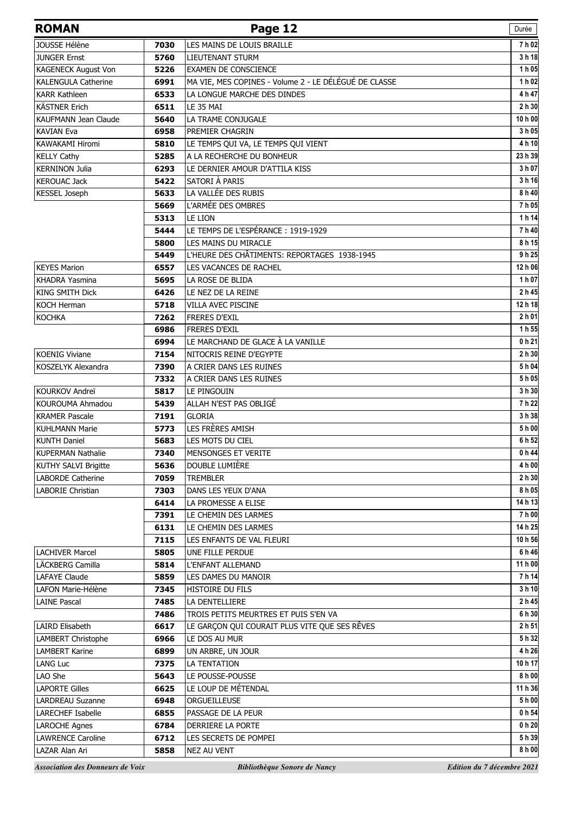| <b>ROMAN</b>                            |              | Page 12                                                   | Durée                      |
|-----------------------------------------|--------------|-----------------------------------------------------------|----------------------------|
| JOUSSE Hélène                           | 7030         | LES MAINS DE LOUIS BRAILLE                                | 7 h 02                     |
| <b>JUNGER Ernst</b>                     | 5760         | LIEUTENANT STURM                                          | 3 h 18                     |
| KAGENECK August Von                     | 5226         | <b>EXAMEN DE CONSCIENCE</b>                               | 1 h 05                     |
| <b>KALENGULA Catherine</b>              | 6991         | MA VIE, MES COPINES - Volume 2 - LE DÉLÉGUÉ DE CLASSE     | 1 h 02                     |
| <b>KARR Kathleen</b>                    | 6533         | LA LONGUE MARCHE DES DINDES                               | 4 h 47                     |
| <b>KÄSTNER Erich</b>                    | 6511         | LE 35 MAI                                                 | 2 h 30                     |
| <b>KAUFMANN Jean Claude</b>             | 5640         | LA TRAME CONJUGALE                                        | 10 h 00                    |
| <b>KAVIAN Eva</b>                       | 6958         | PREMIER CHAGRIN                                           | 3 h 05                     |
| KAWAKAMI Hiromi                         | 5810         | LE TEMPS QUI VA, LE TEMPS QUI VIENT                       | 4 h 10                     |
| <b>KELLY Cathy</b>                      | 5285         | A LA RECHERCHE DU BONHEUR                                 | 23 h 39                    |
| <b>KERNINON Julia</b>                   | 6293         | LE DERNIER AMOUR D'ATTILA KISS                            | 3 h 07                     |
| <b>KEROUAC Jack</b>                     | 5422         | SATORI À PARIS                                            | 3 h 16                     |
| KESSEL Joseph                           | 5633         | LA VALLÉE DES RUBIS                                       | 8 h 40                     |
|                                         | 5669         | L'ARMÉE DES OMBRES                                        | 7h05                       |
|                                         | 5313         | LE LION                                                   | 1 h 14                     |
|                                         | 5444         | LE TEMPS DE L'ESPÉRANCE : 1919-1929                       | 7h40                       |
|                                         | 5800         | LES MAINS DU MIRACLE                                      | 8 h 15                     |
|                                         | 5449         | L'HEURE DES CHÂTIMENTS: REPORTAGES 1938-1945              | 9 h 25                     |
| <b>KEYES Marion</b>                     | 6557         | LES VACANCES DE RACHEL                                    | 12 h 06                    |
| <b>KHADRA Yasmina</b>                   | 5695         | LA ROSE DE BLIDA                                          | 1 h 07                     |
| <b>KING SMITH Dick</b>                  | 6426         | LE NEZ DE LA REINE                                        | 2 h 45                     |
| <b>KOCH Herman</b>                      | 5718         | VILLA AVEC PISCINE                                        | 12 h 18                    |
| <b>KOCHKA</b>                           | 7262         | <b>FRERES D'EXIL</b>                                      | 2 h 01<br>1 h 55           |
|                                         | 6986         | <b>FRERES D'EXIL</b><br>LE MARCHAND DE GLACE À LA VANILLE | 0 h 21                     |
| <b>KOENIG Viviane</b>                   | 6994<br>7154 | NITOCRIS REINE D'EGYPTE                                   | 2 h 30                     |
| KOSZELYK Alexandra                      | 7390         | A CRIER DANS LES RUINES                                   | 5 h 04                     |
|                                         | 7332         | A CRIER DANS LES RUINES                                   | 5h05                       |
| <b>KOURKOV Andrei</b>                   | 5817         | LE PINGOUIN                                               | 3 h 30                     |
| KOUROUMA Ahmadou                        | 5439         | ALLAH N'EST PAS OBLIGÉ                                    | 7h 22                      |
| <b>KRAMER Pascale</b>                   | 7191         | <b>GLORIA</b>                                             | 3 h 38                     |
| <b>KUHLMANN Marie</b>                   | 5773         | LES FRÈRES AMISH                                          | 5 h 00                     |
| <b>KUNTH Daniel</b>                     | 5683         | LES MOTS DU CIEL                                          | 6 h 52                     |
| KUPERMAN Nathalie                       | 7340         | MENSONGES ET VERITE                                       | 0 h 44                     |
| KUTHY SALVI Brigitte                    | 5636         | DOUBLE LUMIÈRE                                            | 4 h 00                     |
| LABORDE Catherine                       | 7059         | <b>TREMBLER</b>                                           | 2 h 30                     |
| LABORIE Christian                       | 7303         | DANS LES YEUX D'ANA                                       | 8 h 05                     |
|                                         | 6414         | LA PROMESSE A ELISE                                       | 14 h 13                    |
|                                         | 7391         | LE CHEMIN DES LARMES                                      | 7 h 00                     |
|                                         | 6131         | LE CHEMIN DES LARMES                                      | 14 h 25                    |
|                                         | 7115         | LES ENFANTS DE VAL FLEURI                                 | 10 h 56                    |
| <b>LACHIVER Marcel</b>                  | 5805         | UNE FILLE PERDUE                                          | 6 h 46                     |
| LÄCKBERG Camilla                        | 5814         | L'ENFANT ALLEMAND                                         | 11 h 00                    |
| <b>LAFAYE Claude</b>                    | 5859         | LES DAMES DU MANOIR                                       | 7h14                       |
| LAFON Marie-Hélène                      | 7345         | HISTOIRE DU FILS                                          | 3 h 10                     |
| <b>LAINE Pascal</b>                     | 7485         | LA DENTELLIERE                                            | 2 h 45                     |
|                                         | 7486         | TROIS PETITS MEURTRES ET PUIS S'EN VA                     | 6 h 30                     |
| LAIRD Elisabeth                         | 6617         | LE GARÇON QUI COURAIT PLUS VITE QUE SES RÊVES             | 2 h 51                     |
| LAMBERT Christophe                      | 6966         | LE DOS AU MUR                                             | 5 h 32                     |
| <b>LAMBERT Karine</b>                   | 6899         | UN ARBRE, UN JOUR                                         | 4 h 26                     |
| <b>LANG Luc</b>                         | 7375         | LA TENTATION                                              | 10 h 17                    |
| LAO She                                 | 5643         | LE POUSSE-POUSSE                                          | 8 h 00                     |
| <b>LAPORTE Gilles</b>                   | 6625         | LE LOUP DE MÉTENDAL                                       | 11 h 36<br>5 h 00          |
| LARDREAU Suzanne<br>LARECHEF Isabelle   | 6948<br>6855 | ORGUEILLEUSE<br>PASSAGE DE LA PEUR                        | 0 h 54                     |
| <b>LAROCHE Agnes</b>                    | 6784         | DERRIERE LA PORTE                                         | $0h$ 20                    |
| <b>LAWRENCE Caroline</b>                | 6712         | LES SECRETS DE POMPEI                                     | 5 h 39                     |
| LAZAR Alan Ari                          | 5858         | NEZ AU VENT                                               | 8 h 00                     |
|                                         |              |                                                           |                            |
| <b>Association des Donneurs de Voix</b> |              | Bibliothèque Sonore de Nancy                              | Edition du 7 décembre 2021 |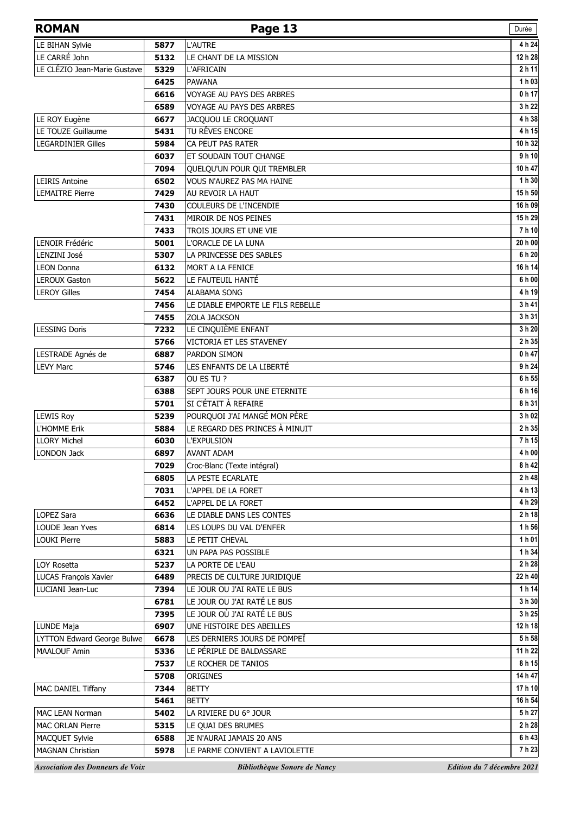| <b>ROMAN</b>                      |      | Page 13                           | Durée             |
|-----------------------------------|------|-----------------------------------|-------------------|
| LE BIHAN Sylvie                   | 5877 | <b>L'AUTRE</b>                    | 4 h 24            |
| LE CARRÉ John                     | 5132 | LE CHANT DE LA MISSION            | 12 h 28           |
| LE CLÉZIO Jean-Marie Gustave      | 5329 | <b>L'AFRICAIN</b>                 | 2 h 11            |
|                                   | 6425 | <b>PAWANA</b>                     | 1 h 03            |
|                                   | 6616 | <b>VOYAGE AU PAYS DES ARBRES</b>  | 0 <sub>h</sub> 17 |
|                                   | 6589 | VOYAGE AU PAYS DES ARBRES         | 3 h 22            |
| LE ROY Eugène                     | 6677 | JACQUOU LE CROQUANT               | 4 h 38            |
| LE TOUZE Guillaume                | 5431 | TU RÊVES ENCORE                   | 4 h 15            |
| <b>LEGARDINIER Gilles</b>         | 5984 | CA PEUT PAS RATER                 | 10 h 32           |
|                                   | 6037 | ET SOUDAIN TOUT CHANGE            | 9 h 10            |
|                                   | 7094 | QUELQU'UN POUR QUI TREMBLER       | 10 h 47           |
| <b>LEIRIS Antoine</b>             | 6502 | <b>VOUS N'AUREZ PAS MA HAINE</b>  | 1 h 30            |
| <b>LEMAITRE Pierre</b>            | 7429 | AU REVOIR LA HAUT                 | 15h 50            |
|                                   | 7430 | COULEURS DE L'INCENDIE            | 16 h 09           |
|                                   | 7431 | MIROIR DE NOS PEINES              | 15h 29            |
|                                   | 7433 | TROIS JOURS ET UNE VIE            | 7h10              |
| <b>LENOIR Frédéric</b>            | 5001 | L'ORACLE DE LA LUNA               | 20 h 00           |
| LENZINI José                      | 5307 | LA PRINCESSE DES SABLES           | 6 h 20            |
| <b>LEON Donna</b>                 | 6132 | MORT A LA FENICE                  | 16 h 14           |
| <b>LEROUX Gaston</b>              | 5622 | LE FAUTEUIL HANTÉ                 | 6 h 00            |
| <b>LEROY Gilles</b>               | 7454 | <b>ALABAMA SONG</b>               | 4 h 19            |
|                                   | 7456 | LE DIABLE EMPORTE LE FILS REBELLE | 3 h 41            |
|                                   | 7455 | <b>ZOLA JACKSON</b>               | 3 h 31            |
| <b>LESSING Doris</b>              | 7232 | LE CINQUIÈME ENFANT               | 3 h 20            |
|                                   | 5766 | VICTORIA ET LES STAVENEY          | 2 h 35            |
| LESTRADE Agnés de                 | 6887 | PARDON SIMON                      | 0 h 47            |
| <b>LEVY Marc</b>                  | 5746 | LES ENFANTS DE LA LIBERTÉ         | 9 h 24            |
|                                   | 6387 | OU ES TU ?                        | 6 h 55            |
|                                   | 6388 | SEPT JOURS POUR UNE ETERNITE      | 6h16              |
|                                   | 5701 | SI C'ÉTAIT À REFAIRE              | 8 h 31            |
| <b>LEWIS Roy</b>                  | 5239 | POURQUOI J'AI MANGÉ MON PÈRE      | 3 h 02            |
| L'HOMME Erik                      | 5884 | LE REGARD DES PRINCES À MINUIT    | 2 h 35            |
| <b>LLORY Michel</b>               | 6030 | <b>L'EXPULSION</b>                | 7h 15             |
| LONDON Jack                       | 6897 | <b>AVANT ADAM</b>                 | 4 h 00            |
|                                   | 7029 | Croc-Blanc (Texte intégral)       | 8 h 42            |
|                                   | 6805 | LA PESTE ECARLATE                 | 2 h 48            |
|                                   | 7031 | L'APPEL DE LA FORET               | 4 h 13            |
|                                   | 6452 | L'APPEL DE LA FORET               | 4 h 29            |
| LOPEZ Sara                        | 6636 | LE DIABLE DANS LES CONTES         | 2 h 18            |
| LOUDE Jean Yves                   | 6814 | LES LOUPS DU VAL D'ENFER          | 1 h 56            |
| <b>LOUKI Pierre</b>               | 5883 | LE PETIT CHEVAL                   | 1 h 01            |
|                                   | 6321 | UN PAPA PAS POSSIBLE              | 1 h 34            |
| LOY Rosetta                       | 5237 | LA PORTE DE L'EAU                 | 2 h 28            |
| <b>LUCAS François Xavier</b>      | 6489 | PRECIS DE CULTURE JURIDIQUE       | 22 h 40           |
| LUCIANI Jean-Luc                  | 7394 | LE JOUR OU J'AI RATE LE BUS       | 1 h 14            |
|                                   | 6781 | LE JOUR OU J'AI RATÉ LE BUS       | 3 h 30            |
|                                   | 7395 | LE JOUR OÙ J'AI RATÉ LE BUS       | 3 h 25            |
| LUNDE Maja                        | 6907 | UNE HISTOIRE DES ABEILLES         | 12 h 18           |
| <b>LYTTON Edward George Bulwe</b> | 6678 | LES DERNIERS JOURS DE POMPEÏ      | 5h 58             |
| <b>MAALOUF Amin</b>               | 5336 | LE PÉRIPLE DE BALDASSARE          | 11 h 22           |
|                                   | 7537 | LE ROCHER DE TANIOS               | 8 h 15            |
|                                   | 5708 | ORIGINES                          | 14 h 47           |
| MAC DANIEL Tiffany                | 7344 | <b>BETTY</b>                      | 17 h 10           |
|                                   | 5461 | BETTY                             | 16 h 54           |
| <b>MAC LEAN Norman</b>            | 5402 | LA RIVIERE DU 6° JOUR             | 5 h 27            |
| <b>MAC ORLAN Pierre</b>           | 5315 | LE QUAI DES BRUMES                | 2 h 28            |
| MACQUET Sylvie                    | 6588 | JE N'AURAI JAMAIS 20 ANS          | 6 h 43            |
| <b>MAGNAN Christian</b>           | 5978 | LE PARME CONVIENT A LAVIOLETTE    | 7h23              |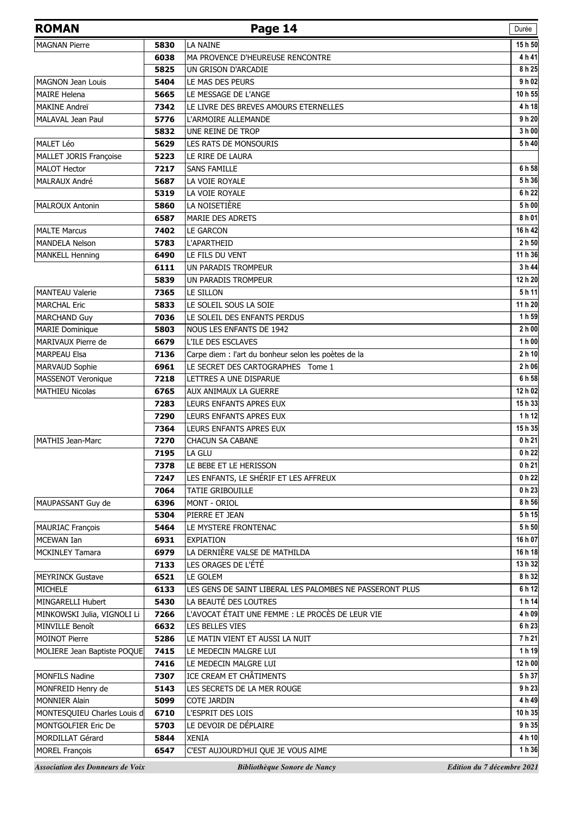| <b>ROMAN</b>                              |              | Page 14                                                  | Durée                      |
|-------------------------------------------|--------------|----------------------------------------------------------|----------------------------|
| <b>MAGNAN Pierre</b>                      | 5830         | LA NAINE                                                 | 15h 50                     |
|                                           | 6038         | MA PROVENCE D'HEUREUSE RENCONTRE                         | 4 h 41                     |
|                                           | 5825         | UN GRISON D'ARCADIE                                      | 8 h 25                     |
| <b>MAGNON Jean Louis</b>                  | 5404         | LE MAS DES PEURS                                         | 9 h 02                     |
| <b>MAIRE Helena</b>                       | 5665         | LE MESSAGE DE L'ANGE                                     | 10 h 55                    |
| MAKINE Andreï                             | 7342         | LE LIVRE DES BREVES AMOURS ETERNELLES                    | 4 h 18                     |
| MALAVAL Jean Paul                         | 5776         | L'ARMOIRE ALLEMANDE                                      | 9 h 20                     |
|                                           | 5832         | UNE REINE DE TROP                                        | 3 h 00                     |
| MALET Léo                                 | 5629         | <b>LES RATS DE MONSOURIS</b>                             | 5 h 40                     |
| MALLET JORIS Françoise                    | 5223         | LE RIRE DE LAURA                                         |                            |
| <b>MALOT Hector</b>                       | 7217         | <b>SANS FAMILLE</b>                                      | 6 h 58                     |
| MALRAUX André                             | 5687         | LA VOIE ROYALE                                           | 5 h 36                     |
|                                           | 5319         | LA VOIE ROYALE                                           | 6 h 22                     |
| <b>MALROUX Antonin</b>                    | 5860         | LA NOISETIÈRE                                            | 5 h 00                     |
|                                           | 6587         | <b>MARIE DES ADRETS</b>                                  | 8 h 01                     |
| <b>MALTE Marcus</b>                       | 7402         | <b>LE GARCON</b>                                         | 16 h 42                    |
| <b>MANDELA Nelson</b>                     | 5783         | <b>L'APARTHEID</b>                                       | 2 h 50<br>11 h 36          |
| <b>MANKELL Henning</b>                    | 6490<br>6111 | LE FILS DU VENT<br>UN PARADIS TROMPEUR                   | 3 h 44                     |
|                                           | 5839         | UN PARADIS TROMPEUR                                      | 12 h 20                    |
| <b>MANTEAU Valerie</b>                    | 7365         | LE SILLON                                                | 5h11                       |
| <b>MARCHAL Eric</b>                       | 5833         | LE SOLEIL SOUS LA SOIE                                   | 11 h 20                    |
| <b>MARCHAND Guy</b>                       | 7036         | LE SOLEIL DES ENFANTS PERDUS                             | 1 h 59                     |
| <b>MARIE Dominique</b>                    | 5803         | <b>NOUS LES ENFANTS DE 1942</b>                          | 2 h 00                     |
| MARIVAUX Pierre de                        | 6679         | L'ILE DES ESCLAVES                                       | 1 h 00                     |
| MARPEAU Elsa                              | 7136         | Carpe diem : l'art du bonheur selon les poètes de la     | 2 <sub>h</sub> 10          |
| MARVAUD Sophie                            | 6961         | LE SECRET DES CARTOGRAPHES Tome 1                        | 2 h 06                     |
| MASSENOT Veronique                        | 7218         | LETTRES A UNE DISPARUE                                   | 6 h 58                     |
| <b>MATHIEU Nicolas</b>                    | 6765         | AUX ANIMAUX LA GUERRE                                    | 12 h 02                    |
|                                           | 7283         | LEURS ENFANTS APRES EUX                                  | 15h 33                     |
|                                           | 7290         | LEURS ENFANTS APRES EUX                                  | 1 h 12                     |
|                                           | 7364         | LEURS ENFANTS APRES EUX                                  | 15h 35                     |
| <b>MATHIS Jean-Marc</b>                   | 7270         | <b>CHACUN SA CABANE</b>                                  | 0 h 21                     |
|                                           | 7195         | LA GLU                                                   | 0 h 22                     |
|                                           | 7378         | LE BEBE ET LE HERISSON                                   | 0 h 21                     |
|                                           | 7247         | LES ENFANTS, LE SHÉRIF ET LES AFFREUX                    | 0 h 22                     |
|                                           | 7064         | TATIE GRIBOUILLE                                         | 0 h 23                     |
| MAUPASSANT Guy de                         | 6396         | MONT - ORIOL                                             | 8 h 56                     |
|                                           | 5304         | PIERRE ET JEAN                                           | 5 h 15                     |
| <b>MAURIAC François</b>                   | 5464         | LE MYSTERE FRONTENAC                                     | 5 h 50                     |
| MCEWAN Ian                                | 6931         | <b>EXPIATION</b>                                         | 16 h 07                    |
| <b>MCKINLEY Tamara</b>                    | 6979         | LA DERNIÈRE VALSE DE MATHILDA                            | 16 h 18                    |
|                                           | 7133         | LES ORAGES DE L'ÉTÉ                                      | 13 h 32                    |
| <b>MEYRINCK Gustave</b>                   | 6521         | LE GOLEM                                                 | 8 h 32                     |
| MICHELE                                   | 6133         | LES GENS DE SAINT LIBERAL LES PALOMBES NE PASSERONT PLUS | 6 h 12                     |
| MINGARELLI Hubert                         | 5430         | LA BEAUTÉ DES LOUTRES                                    | 1 h 14                     |
| MINKOWSKI Julia, VIGNOLI Li               | 7266         | L'AVOCAT ÉTAIT UNE FEMME : LE PROCÈS DE LEUR VIE         | 4 h 09                     |
| <b>MINVILLE Benoît</b>                    | 6632         | LES BELLES VIES                                          | 6 h 23                     |
| <b>MOINOT Pierre</b>                      | 5286         | LE MATIN VIENT ET AUSSI LA NUIT                          | 7h21                       |
| MOLIERE Jean Baptiste POQUE               | 7415         | LE MEDECIN MALGRE LUI                                    | 1 h 19                     |
|                                           | 7416         | LE MEDECIN MALGRE LUI                                    | 12 h 00<br>5 h 37          |
| <b>MONFILS Nadine</b>                     | 7307         | ICE CREAM ET CHÂTIMENTS                                  | 9 h 23                     |
| MONFREID Henry de<br><b>MONNIER Alain</b> | 5143<br>5099 | LES SECRETS DE LA MER ROUGE<br><b>COTE JARDIN</b>        | 4 h 49                     |
| MONTESQUIEU Charles Louis d               | 6710         | L'ESPRIT DES LOIS                                        | 10 h 35                    |
| MONTGOLFIER Eric De                       | 5703         | LE DEVOIR DE DÉPLAIRE                                    | 9 h 35                     |
| MORDILLAT Gérard                          | 5844         | <b>XENIA</b>                                             | 4 h 10                     |
| <b>MOREL François</b>                     | 6547         | C'EST AUJOURD'HUI QUE JE VOUS AIME                       | 1 h 36                     |
| <b>Association des Donneurs de Voix</b>   |              | Bibliothèque Sonore de Nancy                             | Edition du 7 décembre 2021 |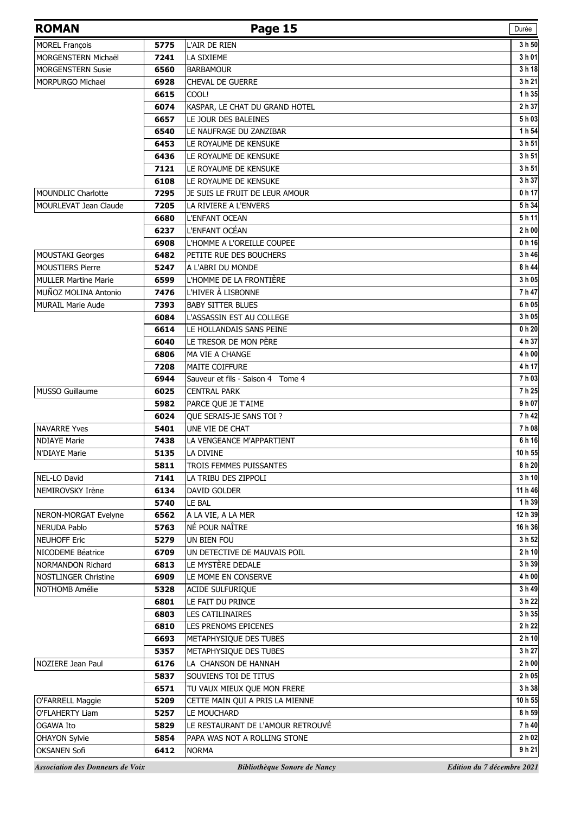| <b>ROMAN</b>                            |      | Page 15                           | Durée                      |
|-----------------------------------------|------|-----------------------------------|----------------------------|
| <b>MOREL François</b>                   | 5775 | L'AIR DE RIEN                     | 3 h 50                     |
| MORGENSTERN Michaël                     | 7241 | LA SIXIEME                        | 3 h 01                     |
| <b>MORGENSTERN Susie</b>                | 6560 | <b>BARBAMOUR</b>                  | 3 h 18                     |
| <b>MORPURGO Michael</b>                 | 6928 | <b>CHEVAL DE GUERRE</b>           | 3 h 21                     |
|                                         | 6615 | COOL!                             | 1 h 35                     |
|                                         | 6074 | KASPAR, LE CHAT DU GRAND HOTEL    | 2 h 37                     |
|                                         | 6657 | LE JOUR DES BALEINES              | 5h03                       |
|                                         | 6540 | LE NAUFRAGE DU ZANZIBAR           | 1 h 54                     |
|                                         | 6453 | LE ROYAUME DE KENSUKE             | 3 h 51                     |
|                                         | 6436 | LE ROYAUME DE KENSUKE             | 3 h 51                     |
|                                         | 7121 | LE ROYAUME DE KENSUKE             | 3 h 51                     |
|                                         | 6108 | LE ROYAUME DE KENSUKE             | 3 h 37                     |
| <b>MOUNDLIC Charlotte</b>               | 7295 | JE SUIS LE FRUIT DE LEUR AMOUR    | 0 h 17                     |
| <b>MOURLEVAT Jean Claude</b>            | 7205 | LA RIVIERE A L'ENVERS             | 5 h 34                     |
|                                         | 6680 | L'ENFANT OCEAN                    | 5h11                       |
|                                         | 6237 | L'ENFANT OCÉAN                    | 2 h 00                     |
|                                         | 6908 | L'HOMME A L'OREILLE COUPEE        | 0 <sub>h</sub> 16          |
| <b>MOUSTAKI Georges</b>                 | 6482 | PETITE RUE DES BOUCHERS           | 3 h 46                     |
| <b>MOUSTIERS Pierre</b>                 | 5247 | A L'ABRI DU MONDE                 | 8 h 44                     |
| <b>MULLER Martine Marie</b>             | 6599 | L'HOMME DE LA FRONTIÈRE           | 3 h 05                     |
| MUÑOZ MOLINA Antonio                    | 7476 | L'HIVER À LISBONNE                | 7 h 47                     |
| <b>MURAIL Marie Aude</b>                | 7393 | <b>BABY SITTER BLUES</b>          | 6 h 05                     |
|                                         | 6084 | L'ASSASSIN EST AU COLLEGE         | 3 h 05                     |
|                                         | 6614 | LE HOLLANDAIS SANS PEINE          | $0h$ 20                    |
|                                         | 6040 | LE TRESOR DE MON PÈRE             | 4 h 37                     |
|                                         | 6806 | MA VIE A CHANGE                   | 4 h 00                     |
|                                         | 7208 | <b>MAITE COIFFURE</b>             | 4 h 17                     |
|                                         | 6944 | Sauveur et fils - Saison 4 Tome 4 | 7h03                       |
| MUSSO Guillaume                         | 6025 | <b>CENTRAL PARK</b>               | 7h25                       |
|                                         | 5982 | PARCE QUE JE T'AIME               | 9 h 07                     |
|                                         | 6024 | <b>OUE SERAIS-JE SANS TOI ?</b>   | 7 h 42                     |
| <b>NAVARRE Yves</b>                     | 5401 | UNE VIE DE CHAT                   | 7 h 08                     |
| <b>NDIAYE Marie</b>                     | 7438 | LA VENGEANCE M'APPARTIENT         | 6 h 16                     |
| N'DIAYE Marie                           | 5135 | LA DIVINE                         | 10 h 55                    |
|                                         | 5811 | TROIS FEMMES PUISSANTES           | 8 h 20                     |
| NEL-LO David                            | 7141 | LA TRIBU DES ZIPPOLI              | 3h10                       |
| NEMIROVSKY Irène                        | 6134 | DAVID GOLDER                      | 11 h 46                    |
|                                         | 5740 | LE BAL                            | 1 h 39                     |
| NERON-MORGAT Evelyne                    | 6562 | A LA VIE, A LA MER                | 12 h 39                    |
| <b>NERUDA Pablo</b>                     | 5763 | NÉ POUR NAÎTRE                    | 16 h 36                    |
| <b>NEUHOFF Eric</b>                     | 5279 | UN BIEN FOU                       | 3 h 52                     |
| NICODEME Béatrice                       | 6709 | UN DETECTIVE DE MAUVAIS POIL      | 2 h 10                     |
| NORMANDON Richard                       | 6813 | LE MYSTÈRE DEDALE                 | 3 h 39                     |
| <b>NOSTLINGER Christine</b>             | 6909 | LE MOME EN CONSERVE               | 4 h 00                     |
| NOTHOMB Amélie                          | 5328 | ACIDE SULFURIQUE                  | 3 h 49                     |
|                                         | 6801 | LE FAIT DU PRINCE                 | 3 h 22                     |
|                                         | 6803 | <b>LES CATILINAIRES</b>           | 3 h 35                     |
|                                         | 6810 | LES PRENOMS EPICENES              | 2 h 22                     |
|                                         | 6693 | METAPHYSIQUE DES TUBES            | 2 h 10                     |
|                                         | 5357 | METAPHYSIQUE DES TUBES            | 3 h 27                     |
| NOZIERE Jean Paul                       | 6176 | LA CHANSON DE HANNAH              | 2 h 00                     |
|                                         | 5837 | SOUVIENS TOI DE TITUS             | 2 h 05                     |
|                                         | 6571 | TU VAUX MIEUX QUE MON FRERE       | 3 h 38                     |
| O'FARRELL Maggie                        | 5209 | CETTE MAIN QUI A PRIS LA MIENNE   | 10 h 55                    |
| O'FLAHERTY Liam                         | 5257 | LE MOUCHARD                       | 8 h 59                     |
| OGAWA Ito                               | 5829 | LE RESTAURANT DE L'AMOUR RETROUVÉ | 7h40                       |
| <b>OHAYON Sylvie</b>                    | 5854 | PAPA WAS NOT A ROLLING STONE      | 2 h 02                     |
| <b>OKSANEN Sofi</b>                     | 6412 | <b>NORMA</b>                      | 9h21                       |
| <b>Association des Donneurs de Voix</b> |      | Bibliothèque Sonore de Nancy      | Edition du 7 décembre 2021 |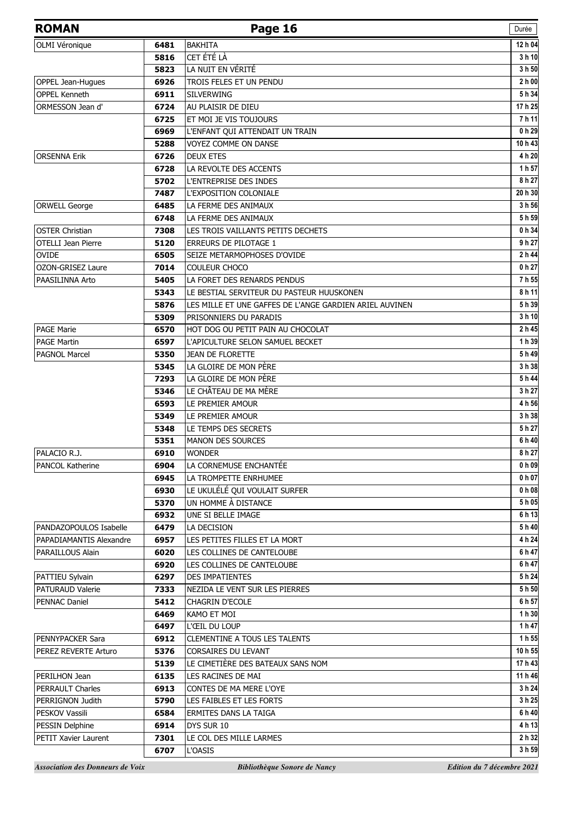| <b>ROMAN</b>              |              | Page 16                                                 | Durée                                 |
|---------------------------|--------------|---------------------------------------------------------|---------------------------------------|
| OLMI Véronique            | 6481         | <b>BAKHITA</b>                                          | 12 h 04                               |
|                           | 5816         | CET ÉTÉ LÀ                                              | 3 h 10                                |
|                           | 5823         | LA NUIT EN VÉRITÉ                                       | 3 h 50                                |
| OPPEL Jean-Hugues         | 6926         | TROIS FELES ET UN PENDU                                 | 2h00                                  |
| <b>OPPEL Kenneth</b>      | 6911         | <b>SILVERWING</b>                                       | 5 h 34                                |
| ORMESSON Jean d'          | 6724         | AU PLAISIR DE DIEU                                      | 17h25                                 |
|                           | 6725         | ET MOI JE VIS TOUJOURS                                  | 7h11                                  |
|                           | 6969         | L'ENFANT QUI ATTENDAIT UN TRAIN                         | 0 h 29                                |
|                           | 5288         | VOYEZ COMME ON DANSE                                    | 10h43                                 |
| <b>ORSENNA Erik</b>       | 6726         | <b>DEUX ETES</b>                                        | 4 h 20                                |
|                           | 6728         | LA REVOLTE DES ACCENTS                                  | 1 h 57                                |
|                           | 5702         | L'ENTREPRISE DES INDES                                  | 8 h 27                                |
|                           | 7487         | L'EXPOSITION COLONIALE                                  | 20 h 30                               |
| <b>ORWELL George</b>      | 6485         | LA FERME DES ANIMAUX                                    | 3 h 56                                |
|                           | 6748         | LA FERME DES ANIMAUX                                    | 5 h 59                                |
| <b>OSTER Christian</b>    | 7308         | LES TROIS VAILLANTS PETITS DECHETS                      | 0 h 34                                |
| <b>OTELLI Jean Pierre</b> | 5120         | <b>ERREURS DE PILOTAGE 1</b>                            | 9 h 27                                |
| <b>OVIDE</b>              | 6505         | SEIZE METARMOPHOSES D'OVIDE                             | 2 h 44                                |
| <b>OZON-GRISEZ Laure</b>  | 7014         | COULEUR CHOCO                                           | 0 h 27                                |
| PAASILINNA Arto           | 5405         | LA FORET DES RENARDS PENDUS                             | 7h 55                                 |
|                           | 5343         | LE BESTIAL SERVITEUR DU PASTEUR HUUSKONEN               | 8h11                                  |
|                           | 5876         | LES MILLE ET UNE GAFFES DE L'ANGE GARDIEN ARIEL AUVINEN | 5h 39                                 |
|                           | 5309         | PRISONNIERS DU PARADIS                                  | 3 h 10                                |
| <b>PAGE Marie</b>         | 6570         | HOT DOG OU PETIT PAIN AU CHOCOLAT                       | 2 h 45                                |
| <b>PAGE Martin</b>        | 6597         | L'APICULTURE SELON SAMUEL BECKET                        | 1h39                                  |
| <b>PAGNOL Marcel</b>      | 5350         | <b>JEAN DE FLORETTE</b>                                 | 5h49                                  |
|                           | 5345         | LA GLOIRE DE MON PÈRE                                   | 3 h 38                                |
|                           | 7293         | LA GLOIRE DE MON PÈRE                                   | 5h44                                  |
|                           | 5346         | LE CHÂTEAU DE MA MÈRE                                   | 3 h 27                                |
|                           | 6593         | LE PREMIER AMOUR                                        | 4 h 56                                |
|                           | 5349         | LE PREMIER AMOUR                                        | 3 h 38                                |
|                           | 5348         | LE TEMPS DES SECRETS                                    | 5 h 27                                |
|                           | 5351         | <b>MANON DES SOURCES</b>                                | 6 h 40                                |
| PALACIO R.J.              | 6910         | <b>WONDER</b>                                           | 8 h 27                                |
| <b>PANCOL Katherine</b>   | 6904         | LA CORNEMUSE ENCHANTÉE                                  | 0 h 09                                |
|                           | 6945         | LA TROMPETTE ENRHUMEE                                   | 0 <sub>h</sub> 07                     |
|                           | 6930         | LE UKULÉLÉ QUI VOULAIT SURFER<br>UN HOMME À DISTANCE    | 0 <sub>h</sub> 0 <sub>8</sub><br>5h05 |
|                           | 5370<br>6932 | UNE SI BELLE IMAGE                                      | 6 h 13                                |
| PANDAZOPOULOS Isabelle    | 6479         | LA DECISION                                             | 5h40                                  |
| PAPADIAMANTIS Alexandre   | 6957         | LES PETITES FILLES ET LA MORT                           | 4 h 24                                |
| PARAILLOUS Alain          | 6020         | LES COLLINES DE CANTELOUBE                              | 6h47                                  |
|                           | 6920         | LES COLLINES DE CANTELOUBE                              | 6 h 47                                |
| PATTIEU Sylvain           | 6297         | <b>DES IMPATIENTES</b>                                  | 5h24                                  |
| <b>PATURAUD Valerie</b>   | 7333         | NEZIDA LE VENT SUR LES PIERRES                          | 5h 50                                 |
| <b>PENNAC Daniel</b>      | 5412         | <b>CHAGRIN D'ECOLE</b>                                  | 6 h 57                                |
|                           | 6469         | KAMO ET MOI                                             | 1h30                                  |
|                           | 6497         | L'ŒIL DU LOUP                                           | 1 h 47                                |
| PENNYPACKER Sara          | 6912         | <b>CLEMENTINE A TOUS LES TALENTS</b>                    | 1 h 55                                |
| PEREZ REVERTE Arturo      | 5376         | <b>CORSAIRES DU LEVANT</b>                              | 10 h 55                               |
|                           | 5139         | LE CIMETIÈRE DES BATEAUX SANS NOM                       | 17 h 43                               |
| PERILHON Jean             | 6135         | LES RACINES DE MAI                                      | 11 h 46                               |
| <b>PERRAULT Charles</b>   | 6913         | CONTES DE MA MERE L'OYE                                 | 3 h 24                                |
| PERRIGNON Judith          | 5790         | LES FAIBLES ET LES FORTS                                | 3 h 25                                |
| PESKOV Vassili            | 6584         | ERMITES DANS LA TAIGA                                   | 6 h 40                                |
| PESSIN Delphine           | 6914         | DYS SUR 10                                              | 4h13                                  |
| PETIT Xavier Laurent      | 7301         | LE COL DES MILLE LARMES                                 | 2 h 32                                |
|                           | 6707         | L'OASIS                                                 | 3 h 59                                |
|                           |              |                                                         |                                       |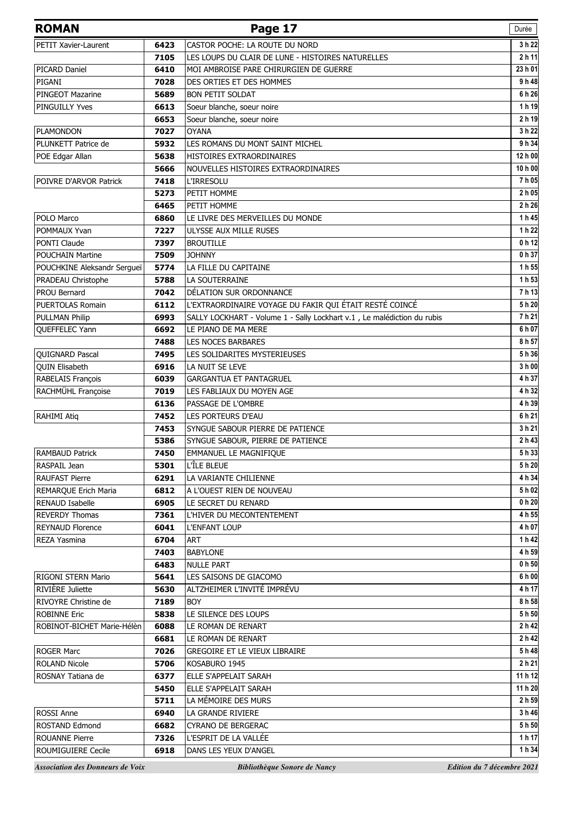| <b>ROMAN</b>                            |      | Page 17                                                                 | Durée                      |
|-----------------------------------------|------|-------------------------------------------------------------------------|----------------------------|
| PETIT Xavier-Laurent                    | 6423 | CASTOR POCHE: LA ROUTE DU NORD                                          | 3 h 22                     |
|                                         | 7105 | LES LOUPS DU CLAIR DE LUNE - HISTOIRES NATURELLES                       | 2 h 11                     |
| <b>PICARD Daniel</b>                    | 6410 | MOI AMBROISE PARE CHIRURGIEN DE GUERRE                                  | 23 h 01                    |
| PIGANI                                  | 7028 | DES ORTIES ET DES HOMMES                                                | 9 h 48                     |
| PINGEOT Mazarine                        | 5689 | <b>BON PETIT SOLDAT</b>                                                 | 6 h 26                     |
| <b>PINGUILLY Yves</b>                   | 6613 | Soeur blanche, soeur noire                                              | 1h19                       |
|                                         | 6653 | Soeur blanche, soeur noire                                              | 2 h 19                     |
| <b>PLAMONDON</b>                        | 7027 | <b>OYANA</b>                                                            | 3 h 22                     |
| PLUNKETT Patrice de                     | 5932 | LES ROMANS DU MONT SAINT MICHEL                                         | 9 h 34                     |
| POE Edgar Allan                         | 5638 | HISTOIRES EXTRAORDINAIRES                                               | 12 h 00                    |
|                                         | 5666 | NOUVELLES HISTOIRES EXTRAORDINAIRES                                     | 10 h 00                    |
| POIVRE D'ARVOR Patrick                  | 7418 | <b>L'IRRESOLU</b>                                                       | 7h05                       |
|                                         | 5273 | PETIT HOMME                                                             | 2 h 05                     |
|                                         | 6465 | PETIT HOMME                                                             | 2 h 26                     |
| POLO Marco                              | 6860 | LE LIVRE DES MERVEILLES DU MONDE                                        | 1 h 45                     |
| POMMAUX Yvan                            | 7227 | ULYSSE AUX MILLE RUSES                                                  | 1 h 22                     |
| PONTI Claude                            | 7397 | <b>BROUTILLE</b>                                                        | 0 h 12                     |
| <b>POUCHAIN Martine</b>                 | 7509 | <b>JOHNNY</b>                                                           | 0 h 37                     |
| POUCHKINE Aleksandr Sergueï             | 5774 | LA FILLE DU CAPITAINE                                                   | 1h 55                      |
| PRADEAU Christophe                      | 5788 | LA SOUTERRAINE                                                          | 1 h 53                     |
| <b>PROU Bernard</b>                     | 7042 | DÉLATION SUR ORDONNANCE                                                 | 7 h 13                     |
| PUERTOLAS Romain                        | 6112 | L'EXTRAORDINAIRE VOYAGE DU FAKIR QUI ÉTAIT RESTÉ COINCÉ                 | 5 h 20                     |
| <b>PULLMAN Philip</b>                   | 6993 | SALLY LOCKHART - Volume 1 - Sally Lockhart v.1, Le malédiction du rubis | 7h21                       |
| QUEFFELEC Yann                          | 6692 | LE PIANO DE MA MERE                                                     | 6 h 07                     |
|                                         | 7488 | <b>LES NOCES BARBARES</b>                                               | 8 h 57                     |
| QUIGNARD Pascal                         | 7495 | LES SOLIDARITES MYSTERIEUSES                                            | 5 h 36                     |
| <b>QUIN Elisabeth</b>                   | 6916 | LA NUIT SE LEVE                                                         | 3 h 00                     |
| RABELAIS François                       | 6039 | <b>GARGANTUA ET PANTAGRUEL</b>                                          | 4 h 37                     |
| RACHMÜHL Françoise                      | 7019 | LES FABLIAUX DU MOYEN AGE                                               | 4 h 32                     |
|                                         | 6136 | PASSAGE DE L'OMBRE                                                      | 4 h 39                     |
| <b>RAHIMI Atiq</b>                      | 7452 | LES PORTEURS D'EAU                                                      | 6 h 21                     |
|                                         | 7453 | SYNGUE SABOUR PIERRE DE PATIENCE                                        | 3h21                       |
|                                         | 5386 | SYNGUE SABOUR, PIERRE DE PATIENCE                                       | 2 h 43                     |
| <b>RAMBAUD Patrick</b>                  | 7450 | EMMANUEL LE MAGNIFIQUE                                                  | 5 h 33                     |
| RASPAIL Jean                            | 5301 | L'ÎLE BLEUE                                                             | 5 h 20                     |
| <b>RAUFAST Pierre</b>                   | 6291 | LA VARIANTE CHILIENNE                                                   | 4 h 34                     |
| REMARQUE Erich Maria                    | 6812 | A L'OUEST RIEN DE NOUVEAU                                               | 5 h 02                     |
| <b>RENAUD Isabelle</b>                  | 6905 | LE SECRET DU RENARD                                                     | $0h$ 20                    |
| <b>REVERDY Thomas</b>                   | 7361 | L'HIVER DU MECONTENTEMENT                                               | 4 h 55                     |
| <b>REYNAUD Florence</b>                 | 6041 | <b>L'ENFANT LOUP</b>                                                    | 4 h 07                     |
| REZA Yasmina                            | 6704 | <b>ART</b>                                                              | 1 h 42                     |
|                                         | 7403 | <b>BABYLONE</b>                                                         | 4 h 59                     |
|                                         | 6483 | <b>NULLE PART</b>                                                       | 0 <sub>h</sub> 50          |
| RIGONI STERN Mario                      | 5641 | LES SAISONS DE GIACOMO                                                  | 6 h 00                     |
| RIVIÈRE Juliette                        | 5630 | ALTZHEIMER L'INVITÉ IMPRÉVU                                             | 4 h 17                     |
| RIVOYRE Christine de                    | 7189 | <b>BOY</b>                                                              | 8 h 58                     |
| <b>ROBINNE Eric</b>                     | 5838 | LE SILENCE DES LOUPS                                                    | 5 h 50                     |
| ROBINOT-BICHET Marie-Hélèn              | 6088 | LE ROMAN DE RENART                                                      | 2 h 42                     |
|                                         | 6681 | LE ROMAN DE RENART                                                      | 2 h 42                     |
| <b>ROGER Marc</b>                       | 7026 | <b>GREGOIRE ET LE VIEUX LIBRAIRE</b>                                    | 5 h 48                     |
| <b>ROLAND Nicole</b>                    | 5706 | KOSABURO 1945                                                           | 2 h 21                     |
| ROSNAY Tatiana de                       | 6377 | ELLE S'APPELAIT SARAH                                                   | 11 h 12                    |
|                                         | 5450 | ELLE S'APPELAIT SARAH                                                   | 11 h 20                    |
|                                         | 5711 | LA MÉMOIRE DES MURS                                                     | 2 h 59                     |
| ROSSI Anne                              | 6940 | LA GRANDE RIVIERE                                                       | 3 h 46                     |
| <b>ROSTAND Edmond</b>                   | 6682 | <b>CYRANO DE BERGERAC</b>                                               | 5 h 50                     |
| <b>ROUANNE Pierre</b>                   | 7326 | L'ESPRIT DE LA VALLÉE                                                   | 1 h 17                     |
| ROUMIGUIERE Cecile                      | 6918 | DANS LES YEUX D'ANGEL                                                   | 1 h 34                     |
| <b>Association des Donneurs de Voix</b> |      | Bibliothèque Sonore de Nancy                                            | Edition du 7 décembre 2021 |
|                                         |      |                                                                         |                            |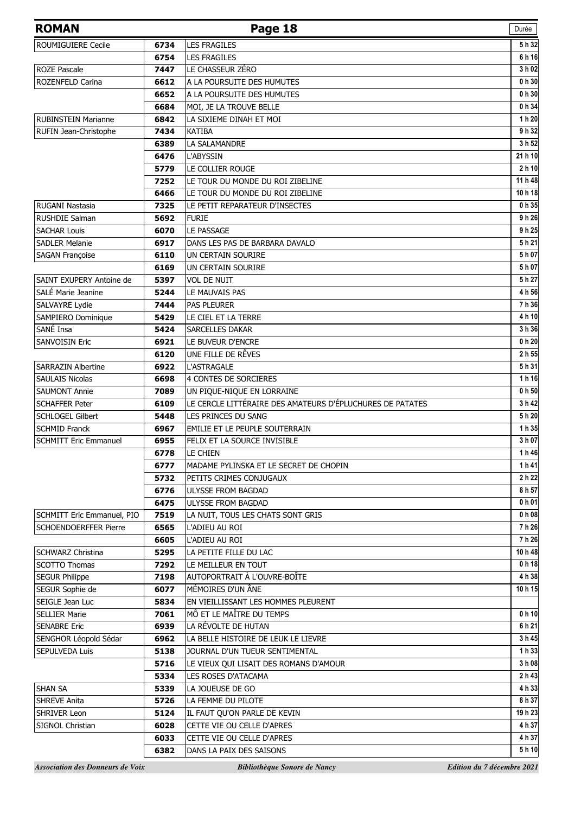| <b>ROMAN</b>                            |              | Page 18                                                   | Durée                      |
|-----------------------------------------|--------------|-----------------------------------------------------------|----------------------------|
| ROUMIGUIERE Cecile                      | 6734         | <b>LES FRAGILES</b>                                       | 5 h 32                     |
|                                         | 6754         | <b>LES FRAGILES</b>                                       | 6 h 16                     |
| <b>ROZE Pascale</b>                     | 7447         | LE CHASSEUR ZÉRO                                          | 3 h 02                     |
| <b>ROZENFELD Carina</b>                 | 6612         | A LA POURSUITE DES HUMUTES                                | 0 h 30                     |
|                                         | 6652         | A LA POURSUITE DES HUMUTES                                | 0 h 30                     |
|                                         | 6684         | MOI, JE LA TROUVE BELLE                                   | 0 h 34                     |
| <b>RUBINSTEIN Marianne</b>              | 6842         | LA SIXIEME DINAH ET MOI                                   | 1 h 20                     |
| RUFIN Jean-Christophe                   | 7434         | <b>KATIBA</b>                                             | 9 h 32                     |
|                                         | 6389         | LA SALAMANDRE                                             | 3 h 52                     |
|                                         | 6476         | L'ABYSSIN                                                 | 21 h 10                    |
|                                         | 5779         | LE COLLIER ROUGE                                          | 2 h 10                     |
|                                         | 7252         | LE TOUR DU MONDE DU ROI ZIBELINE                          | 11 h 48                    |
|                                         | 6466         | LE TOUR DU MONDE DU ROI ZIBELINE                          | 10 h 18                    |
| <b>RUGANI Nastasia</b>                  | 7325         | LE PETIT REPARATEUR D'INSECTES                            | 0h35                       |
| <b>RUSHDIE Salman</b>                   | 5692         | <b>FURIE</b>                                              | 9h26                       |
| <b>SACHAR Louis</b>                     | 6070         | LE PASSAGE                                                | 9 h 25                     |
| <b>SADLER Melanie</b>                   | 6917         | DANS LES PAS DE BARBARA DAVALO                            | 5h21                       |
| SAGAN Françoise                         | 6110         | UN CERTAIN SOURIRE                                        | 5 h 07                     |
|                                         | 6169         | UN CERTAIN SOURIRE                                        | 5 h 07                     |
| SAINT EXUPERY Antoine de                | 5397         | <b>VOL DE NUIT</b>                                        | 5 h 27                     |
| SALÉ Marie Jeanine                      | 5244         | LE MAUVAIS PAS                                            | 4 h 56                     |
| SALVAYRE Lydie                          | 7444         | <b>PAS PLEURER</b>                                        | 7h 36                      |
| SAMPIERO Dominique                      | 5429         | LE CIEL ET LA TERRE                                       | 4 h 10                     |
| SANÉ Insa                               | 5424         | SARCELLES DAKAR                                           | 3 h 36                     |
| <b>SANVOISIN Eric</b>                   | 6921         | LE BUVEUR D'ENCRE                                         | $0h$ 20                    |
|                                         | 6120         | UNE FILLE DE RÊVES                                        | 2 h 55                     |
| <b>SARRAZIN Albertine</b>               | 6922         | <b>L'ASTRAGALE</b>                                        | 5 h 31                     |
| <b>SAULAIS Nicolas</b>                  | 6698         | <b>4 CONTES DE SORCIERES</b>                              | 1 h 16                     |
| <b>SAUMONT Annie</b>                    | 7089         | UN PIQUE-NIQUE EN LORRAINE                                | 0 <sub>h</sub> 50          |
| <b>SCHAFFER Peter</b>                   | 6109         | LE CERCLE LITTÉRAIRE DES AMATEURS D'ÉPLUCHURES DE PATATES | 3 h 42                     |
| SCHLOGEL Gilbert                        | 5448         | LES PRINCES DU SANG                                       | 5 h 20                     |
| <b>SCHMID Franck</b>                    | 6967         | EMILIE ET LE PEUPLE SOUTERRAIN                            | 1 h 35                     |
| <b>SCHMITT Eric Emmanuel</b>            | 6955         | FELIX ET LA SOURCE INVISIBLE                              | 3 h 07<br>1 h 46           |
|                                         | 6778         | LE CHIEN<br>MADAME PYLINSKA ET LE SECRET DE CHOPIN        |                            |
|                                         | 6777<br>5732 | PETITS CRIMES CONJUGAUX                                   | 1h41<br>2 h 22             |
|                                         | 6776         | ULYSSE FROM BAGDAD                                        | 8 h 57                     |
|                                         | 6475         | <b>ULYSSE FROM BAGDAD</b>                                 | 0 h 01                     |
| SCHMITT Eric Emmanuel, PIO              | 7519         | LA NUIT, TOUS LES CHATS SONT GRIS                         | 0 h 08                     |
| <b>SCHOENDOERFFER Pierre</b>            | 6565         | L'ADIEU AU ROI                                            | 7 h 26                     |
|                                         | 6605         | L'ADIEU AU ROI                                            | 7 h 26                     |
| SCHWARZ Christina                       | 5295         | LA PETITE FILLE DU LAC                                    | 10 h 48                    |
| SCOTTO Thomas                           | 7292         | LE MEILLEUR EN TOUT                                       | 0 <sub>h</sub> 18          |
| <b>SEGUR Philippe</b>                   | 7198         | AUTOPORTRAIT À L'OUVRE-BOÎTE                              | 4 h 38                     |
| SEGUR Sophie de                         | 6077         | MÉMOIRES D'UN ÂNE                                         | 10h15                      |
| SEIGLE Jean Luc                         | 5834         | EN VIEILLISSANT LES HOMMES PLEURENT                       |                            |
| <b>SELLIER Marie</b>                    | 7061         | MÔ ET LE MAÎTRE DU TEMPS                                  | 0 <sub>h</sub> 10          |
| <b>SENABRE Eric</b>                     | 6939         | LA RÉVOLTE DE HUTAN                                       | 6 h 21                     |
| SENGHOR Léopold Sédar                   | 6962         | LA BELLE HISTOIRE DE LEUK LE LIEVRE                       | 3 h 45                     |
| SEPULVEDA Luis                          | 5138         | JOURNAL D'UN TUEUR SENTIMENTAL                            | 1 h 33                     |
|                                         | 5716         | LE VIEUX QUI LISAIT DES ROMANS D'AMOUR                    | 3 h 08                     |
|                                         | 5334         | LES ROSES D'ATACAMA                                       | 2 h 43                     |
| <b>SHAN SA</b>                          | 5339         | LA JOUEUSE DE GO                                          | 4 h 33                     |
| <b>SHREVE Anita</b>                     | 5726         | LA FEMME DU PILOTE                                        | 8 h 37                     |
| <b>SHRIVER Leon</b>                     | 5124         | IL FAUT QU'ON PARLE DE KEVIN                              | 19 h 23                    |
| SIGNOL Christian                        | 6028         | CETTE VIE OU CELLE D'APRES                                | 4 h 37                     |
|                                         | 6033         | CETTE VIE OU CELLE D'APRES                                | 4 h 37                     |
|                                         | 6382         | DANS LA PAIX DES SAISONS                                  | 5 h 10                     |
| <b>Association des Donneurs de Voix</b> |              | Bibliothèque Sonore de Nancy                              | Edition du 7 décembre 2021 |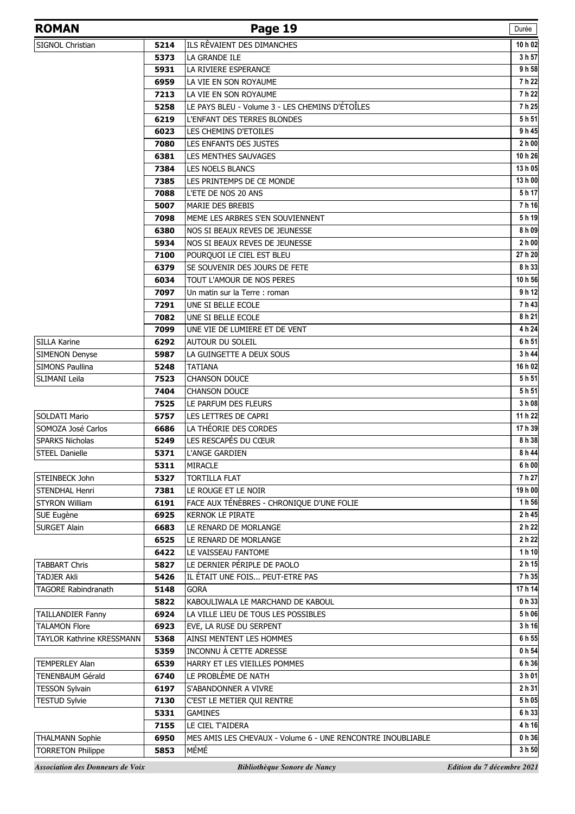| <b>ROMAN</b>               |      | Page 19                                                     | Durée             |
|----------------------------|------|-------------------------------------------------------------|-------------------|
| SIGNOL Christian           | 5214 | ILS RÊVAIENT DES DIMANCHES                                  | 10 h 02           |
|                            | 5373 | LA GRANDE ILE                                               | 3 h 57            |
|                            | 5931 | LA RIVIERE ESPERANCE                                        | 9h58              |
|                            | 6959 | LA VIE EN SON ROYAUME                                       | 7 h 22            |
|                            | 7213 | LA VIE EN SON ROYAUME                                       | 7 h 22            |
|                            | 5258 | LE PAYS BLEU - Volume 3 - LES CHEMINS D'ÉTOÎLES             | 7 h 25            |
|                            | 6219 | L'ENFANT DES TERRES BLONDES                                 | 5 h 51            |
|                            | 6023 | LES CHEMINS D'ETOILES                                       | 9 h 4             |
|                            | 7080 | LES ENFANTS DES JUSTES                                      | 2h00              |
|                            | 6381 | LES MENTHES SAUVAGES                                        | 10 h 26           |
|                            | 7384 | <b>LES NOELS BLANCS</b>                                     | 13 h 05           |
|                            | 7385 | LES PRINTEMPS DE CE MONDE                                   | 13 h O            |
|                            | 7088 | L'ETE DE NOS 20 ANS                                         | 5h17              |
|                            | 5007 | <b>MARIE DES BREBIS</b>                                     | 7 h 16            |
|                            | 7098 | MEME LES ARBRES S'EN SOUVIENNENT                            | 5 h 19            |
|                            | 6380 | NOS SI BEAUX REVES DE JEUNESSE                              | 8 h 09            |
|                            | 5934 | NOS SI BEAUX REVES DE JEUNESSE                              | 2 <sub>h</sub> 00 |
|                            | 7100 | POURQUOI LE CIEL EST BLEU                                   | 27 h 20           |
|                            | 6379 | SE SOUVENIR DES JOURS DE FETE                               | 8 h 33            |
|                            | 6034 | TOUT L'AMOUR DE NOS PERES                                   | 10 h 56           |
|                            | 7097 | Un matin sur la Terre : roman                               | 9 h 12            |
|                            | 7291 | UNE SI BELLE ECOLE                                          | 7 h 43            |
|                            | 7082 | UNE SI BELLE ECOLE                                          | 8 h 21            |
|                            | 7099 | UNE VIE DE LUMIERE ET DE VENT                               | 4 h 24            |
| SILLA Karine               | 6292 | AUTOUR DU SOLEIL                                            | 6 h 51            |
| <b>SIMENON Denyse</b>      | 5987 | LA GUINGETTE A DEUX SOUS                                    | 3 h 44            |
| <b>SIMONS Paullina</b>     | 5248 | <b>TATIANA</b>                                              | 16 h 02           |
| SLIMANI Leila              | 7523 | <b>CHANSON DOUCE</b>                                        | 5h 51             |
|                            | 7404 | <b>CHANSON DOUCE</b>                                        | 5 h 51            |
|                            | 7525 | LE PARFUM DES FLEURS                                        | 3 h 08            |
| SOLDATI Mario              | 5757 | LES LETTRES DE CAPRI                                        | 11 h 22           |
| SOMOZA José Carlos         | 6686 | LA THÉORIE DES CORDES                                       | 17 h 39           |
| <b>SPARKS Nicholas</b>     | 5249 | LES RESCAPÉS DU CŒUR                                        | 8 h 38            |
| <b>STEEL Danielle</b>      | 5371 | L'ANGE GARDIEN                                              | 8 h 44            |
|                            | 5311 | <b>MIRACLE</b>                                              | 6 h 00            |
| STEINBECK John             | 5327 | <b>TORTILLA FLAT</b>                                        | 7 h 27            |
| STENDHAL Henri             | 7381 | LE ROUGE ET LE NOIR                                         | 19 h 00           |
| <b>STYRON William</b>      | 6191 | FACE AUX TÉNÈBRES - CHRONIQUE D'UNE FOLIE                   | 1 h 56            |
| SUE Eugène                 | 6925 | <b>KERNOK LE PIRATE</b>                                     | 2 h 45            |
| <b>SURGET Alain</b>        | 6683 | LE RENARD DE MORLANGE                                       | 2h22              |
|                            | 6525 | LE RENARD DE MORLANGE                                       | 2h22              |
|                            | 6422 | LE VAISSEAU FANTOME                                         | 1h10              |
| <b>TABBART Chris</b>       | 5827 | LE DERNIER PÉRIPLE DE PAOLO                                 | 2h15              |
| <b>TADJER Akli</b>         | 5426 | IL ÉTAIT UNE FOIS PEUT-ETRE PAS                             | 7 h 35            |
| <b>TAGORE Rabindranath</b> | 5148 | <b>GORA</b>                                                 | 17 h 14           |
|                            | 5822 | KABOULIWALA LE MARCHAND DE KABOUL                           | 0 h 33            |
| <b>TAILLANDIER Fanny</b>   | 6924 | LA VILLE LIEU DE TOUS LES POSSIBLES                         | 5 h 06            |
| <b>TALAMON Flore</b>       | 6923 | EVE, LA RUSE DU SERPENT                                     | 3h16              |
| TAYLOR Kathrine KRESSMANN  | 5368 | AINSI MENTENT LES HOMMES                                    | 6 h 55            |
|                            | 5359 | INCONNU À CETTE ADRESSE                                     | 0 <sub>h</sub> 54 |
| <b>TEMPERLEY Alan</b>      | 6539 | HARRY ET LES VIEILLES POMMES                                | 6 h 36            |
| TENENBAUM Gérald           | 6740 | LE PROBLÈME DE NATH                                         | 3 h 01            |
| <b>TESSON Sylvain</b>      | 6197 | S'ABANDONNER A VIVRE                                        | 2 h 31            |
| <b>TESTUD Sylvie</b>       | 7130 | C'EST LE METIER QUI RENTRE                                  | 5 h 05            |
|                            | 5331 | <b>GAMINES</b>                                              | 6 h 33            |
|                            | 7155 | LE CIEL T'AIDERA                                            | 4 h 16            |
| <b>THALMANN Sophie</b>     | 6950 | MES AMIS LES CHEVAUX - Volume 6 - UNE RENCONTRE INOUBLIABLE | $0h$ 36           |
| <b>TORRETON Philippe</b>   | 5853 | MÉMÉ                                                        | 3 h 50            |
|                            |      |                                                             |                   |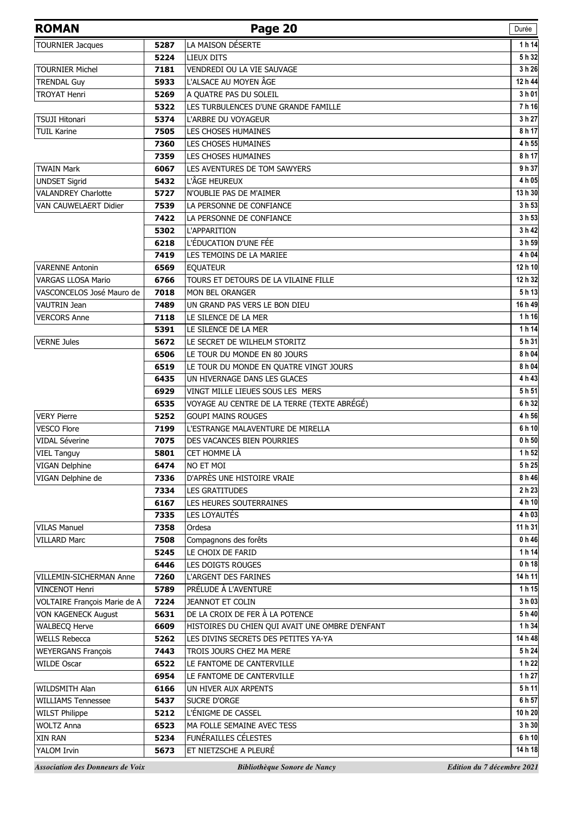| <b>ROMAN</b>                 |      | Page 20                                         | Durée                |
|------------------------------|------|-------------------------------------------------|----------------------|
| <b>TOURNIER Jacques</b>      | 5287 | LA MAISON DÉSERTE                               | 1 h 14               |
|                              | 5224 | <b>LIEUX DITS</b>                               | 5 h 32               |
| <b>TOURNIER Michel</b>       | 7181 | VENDREDI OU LA VIE SAUVAGE                      | 3 h 26               |
| <b>TRENDAL Guy</b>           | 5933 | L'ALSACE AU MOYEN ÂGE                           | 12 h 44              |
| <b>TROYAT Henri</b>          | 5269 | A OUATRE PAS DU SOLEIL                          | 3 h 01               |
|                              | 5322 | LES TURBULENCES D'UNE GRANDE FAMILLE            | 7h16                 |
| <b>TSUJI Hitonari</b>        | 5374 | L'ARBRE DU VOYAGEUR                             | 3 h 27               |
| <b>TUIL Karine</b>           | 7505 | <b>LES CHOSES HUMAINES</b>                      | 8 h 17               |
|                              | 7360 | <b>LES CHOSES HUMAINES</b>                      | 4 h 55               |
|                              | 7359 | <b>LES CHOSES HUMAINES</b>                      | 8 h 17               |
| <b>TWAIN Mark</b>            | 6067 | LES AVENTURES DE TOM SAWYERS                    | 9 h 37               |
| <b>UNDSET Sigrid</b>         | 5432 | L'ÂGE HEUREUX                                   | 4 h 05               |
| <b>VALANDREY Charlotte</b>   | 5727 | N'OUBLIE PAS DE M'AIMER                         | 13 h 30              |
| VAN CAUWELAERT Didier        | 7539 | LA PERSONNE DE CONFIANCE                        | 3 h 53               |
|                              | 7422 | LA PERSONNE DE CONFIANCE                        | 3h 53                |
|                              | 5302 | L'APPARITION                                    | 3 h 42               |
|                              | 6218 | L'ÉDUCATION D'UNE FÉE                           | 3 h 59               |
|                              | 7419 | LES TEMOINS DE LA MARIEE                        | 4 h 04               |
| <b>VARENNE Antonin</b>       | 6569 | <b>EQUATEUR</b>                                 | 12 h 10              |
| <b>VARGAS LLOSA Mario</b>    | 6766 | TOURS ET DETOURS DE LA VILAINE FILLE            | $\overline{12}$ h 32 |
| VASCONCELOS José Mauro de    | 7018 | MON BEL ORANGER                                 | 5h13                 |
| <b>VAUTRIN Jean</b>          | 7489 | UN GRAND PAS VERS LE BON DIEU                   | 16 h 49              |
| <b>VERCORS Anne</b>          | 7118 | LE SILENCE DE LA MER                            | 1h 16                |
|                              | 5391 | LE SILENCE DE LA MER                            | 1 h 14               |
| <b>VERNE Jules</b>           | 5672 | LE SECRET DE WILHELM STORITZ                    | 5h 31                |
|                              | 6506 | LE TOUR DU MONDE EN 80 JOURS                    | 8 h 04               |
|                              | 6519 | LE TOUR DU MONDE EN QUATRE VINGT JOURS          | 8 h 04               |
|                              | 6435 | UN HIVERNAGE DANS LES GLACES                    | 4 h 43               |
|                              | 6929 | VINGT MILLE LIEUES SOUS LES MERS                | 5 h 51               |
|                              | 6535 | VOYAGE AU CENTRE DE LA TERRE (TEXTE ABRÉGÉ)     | 6 h 32               |
| <b>VERY Pierre</b>           | 5252 | <b>GOUPI MAINS ROUGES</b>                       | 4 h 56               |
| <b>VESCO Flore</b>           | 7199 | L'ESTRANGE MALAVENTURE DE MIRELLA               | 6 h 10               |
| <b>VIDAL Séverine</b>        | 7075 | <b>DES VACANCES BIEN POURRIES</b>               | 0 h 50               |
| VIEL Tanguy                  | 5801 | CET HOMME LÀ                                    | 1 h 52               |
| VIGAN Delphine               | 6474 | NO ET MOI                                       | 5h25                 |
| VIGAN Delphine de            | 7336 | D'APRÈS UNE HISTOIRE VRAIE                      | 8 h 46               |
|                              | 7334 | <b>LES GRATITUDES</b>                           | 2 h 23               |
|                              | 6167 | LES HEURES SOUTERRAINES                         | 4 h 10               |
|                              | 7335 | LES LOYAUTÉS                                    | 4 h 03               |
| <b>VILAS Manuel</b>          | 7358 | Ordesa                                          | 11 h 31              |
| <b>VILLARD Marc</b>          | 7508 | Compagnons des forêts                           | 0 h 46               |
|                              | 5245 | LE CHOIX DE FARID                               | 1 h 14               |
|                              | 6446 | LES DOIGTS ROUGES                               | 0 h 18               |
| VILLEMIN-SICHERMAN Anne      | 7260 | L'ARGENT DES FARINES                            | 14 h 11              |
| <b>VINCENOT Henri</b>        | 5789 | PRÉLUDE À L'AVENTURE                            | 1h15                 |
| VOLTAIRE François Marie de A | 7224 | <b>JEANNOT ET COLIN</b>                         | 3 h 03               |
| <b>VON KAGENECK August</b>   | 5631 | DE LA CROIX DE FER À LA POTENCE                 | 5h40                 |
| <b>WALBECQ Herve</b>         | 6609 | HISTOIRES DU CHIEN QUI AVAIT UNE OMBRE D'ENFANT | 1 h 34               |
| <b>WELLS Rebecca</b>         | 5262 | LES DIVINS SECRETS DES PETITES YA-YA            | 14 h 48              |
| <b>WEYERGANS François</b>    | 7443 | TROIS JOURS CHEZ MA MERE                        | 5h24                 |
| <b>WILDE Oscar</b>           | 6522 | LE FANTOME DE CANTERVILLE                       | 1 h 22               |
|                              | 6954 | LE FANTOME DE CANTERVILLE                       | 1 h 27               |
| WILDSMITH Alan               | 6166 | UN HIVER AUX ARPENTS                            | 5h11                 |
| <b>WILLIAMS Tennessee</b>    | 5437 | SUCRE D'ORGE                                    | 6 h 57               |
| <b>WILST Philippe</b>        | 5212 | L'ÉNIGME DE CASSEL                              | 10 h 20              |
| <b>WOLTZ Anna</b>            | 6523 | MA FOLLE SEMAINE AVEC TESS                      | 3 h 30               |
| XIN RAN                      | 5234 | FUNÉRAILLES CÉLESTES                            | 6 h 10               |
| YALOM Irvin                  | 5673 | ET NIETZSCHE A PLEURÉ                           | 14 h 18              |
|                              |      |                                                 |                      |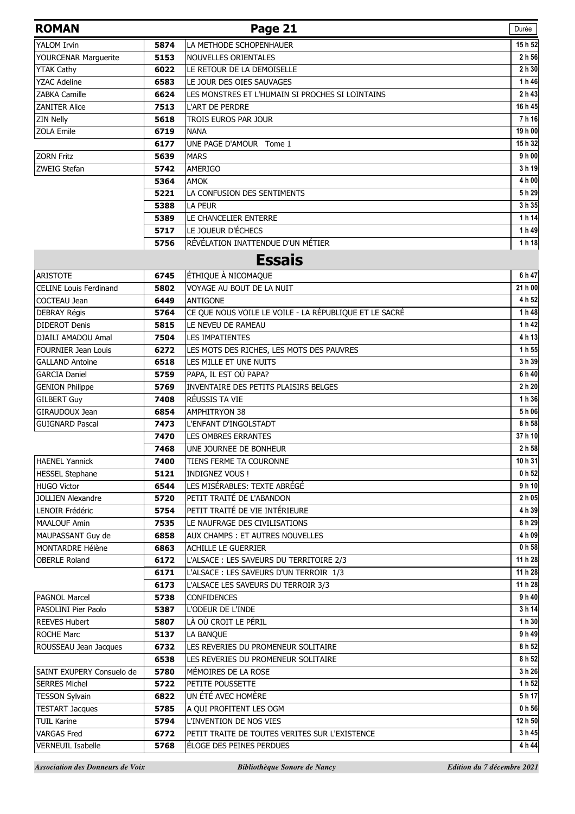| <b>ROMAN</b>                  |      | Page 21                                                | Durée   |
|-------------------------------|------|--------------------------------------------------------|---------|
| <b>YALOM Irvin</b>            | 5874 | LA METHODE SCHOPENHAUER                                | 15h 52  |
| <b>YOURCENAR Marguerite</b>   | 5153 | NOUVELLES ORIENTALES                                   | 2 h 56  |
| <b>YTAK Cathy</b>             | 6022 | LE RETOUR DE LA DEMOISELLE                             | 2 h 30  |
| <b>YZAC Adeline</b>           | 6583 | LE JOUR DES OIES SAUVAGES                              | 1h46    |
| <b>ZABKA Camille</b>          | 6624 | LES MONSTRES ET L'HUMAIN SI PROCHES SI LOINTAINS       | 2 h 43  |
| <b>ZANITER Alice</b>          | 7513 | <b>L'ART DE PERDRE</b>                                 | 16 h 45 |
| <b>ZIN Nelly</b>              | 5618 | TROIS EUROS PAR JOUR                                   | 7h 16   |
| ZOLA Emile                    | 6719 | <b>NANA</b>                                            | 19 h 00 |
|                               | 6177 | UNE PAGE D'AMOUR Tome 1                                | 15h 32  |
| <b>ZORN Fritz</b>             | 5639 | <b>MARS</b>                                            | 9h00    |
| ZWEIG Stefan                  | 5742 | AMERIGO                                                | 3 h 19  |
|                               | 5364 | <b>AMOK</b>                                            | 4 h 00  |
|                               | 5221 | LA CONFUSION DES SENTIMENTS                            | 5h29    |
|                               | 5388 | <b>LA PEUR</b>                                         | 3 h 35  |
|                               | 5389 | LE CHANCELIER ENTERRE                                  | 1 h 14  |
|                               | 5717 | LE JOUEUR D'ÉCHECS                                     | 1h49    |
|                               | 5756 | RÉVÉLATION INATTENDUE D'UN MÉTIER                      | 1h18    |
|                               |      | <b>Essais</b>                                          |         |
| <b>ARISTOTE</b>               | 6745 | ÉTHIQUE À NICOMAQUE                                    | 6 h 47  |
| <b>CELINE Louis Ferdinand</b> | 5802 | VOYAGE AU BOUT DE LA NUIT                              | 21 h 00 |
| COCTEAU Jean                  | 6449 | <b>ANTIGONE</b>                                        | 4 h 52  |
| DEBRAY Régis                  | 5764 | CE QUE NOUS VOILE LE VOILE - LA RÉPUBLIQUE ET LE SACRÉ | 1 h 48  |
| <b>DIDEROT Denis</b>          | 5815 | LE NEVEU DE RAMEAU                                     | 1 h 42  |
| DJAILI AMADOU Amal            | 7504 | <b>LES IMPATIENTES</b>                                 | 4 h 13  |
| <b>FOURNIER Jean Louis</b>    | 6272 | LES MOTS DES RICHES, LES MOTS DES PAUVRES              | 1 h 55  |
| <b>GALLAND Antoine</b>        | 6518 | LES MILLE ET UNE NUITS                                 | 3 h 39  |
| <b>GARCIA Daniel</b>          | 5759 | PAPA, IL EST OÙ PAPA?                                  | 6 h 40  |
| <b>GENION Philippe</b>        | 5769 | INVENTAIRE DES PETITS PLAISIRS BELGES                  | 2 h 20  |
| <b>GILBERT Guy</b>            | 7408 | RÉUSSIS TA VIE                                         | 1h 36   |
| GIRAUDOUX Jean                | 6854 | <b>AMPHITRYON 38</b>                                   | 5h06    |
| <b>GUIGNARD Pascal</b>        | 7473 | L'ENFANT D'INGOLSTADT                                  | 8 h 58  |
|                               | 7470 | LES OMBRES ERRANTES                                    | 37h10   |
|                               | 7468 | UNE JOURNEE DE BONHEUR                                 | 2 h 58  |
| <b>HAENEL Yannick</b>         | 7400 | TIENS FERME TA COURONNE                                | 10 h 31 |
| <b>HESSEL Stephane</b>        | 5121 | <b>INDIGNEZ VOUS!</b>                                  | 0 h 52  |
| <b>HUGO Victor</b>            | 6544 | LES MISÉRABLES: TEXTE ABRÉGÉ                           | 9h10    |
| <b>JOLLIEN Alexandre</b>      | 5720 | PETIT TRAITÉ DE L'ABANDON                              | 2h05    |
| LENOIR Frédéric               | 5754 | PETIT TRAITÉ DE VIE INTÉRIEURE                         | 4 h 39  |
| <b>MAALOUF Amin</b>           | 7535 | LE NAUFRAGE DES CIVILISATIONS                          | 8 h 29  |
| MAUPASSANT Guy de             | 6858 | AUX CHAMPS : ET AUTRES NOUVELLES                       | 4 h 09  |
| MONTARDRE Hélène              | 6863 | <b>ACHILLE LE GUERRIER</b>                             | 0 h 58  |
| <b>OBERLE Roland</b>          | 6172 | L'ALSACE : LES SAVEURS DU TERRITOIRE 2/3               | 11 h 28 |
|                               | 6171 | L'ALSACE : LES SAVEURS D'UN TERROIR 1/3                | 11 h 28 |
|                               | 6173 | L'ALSACE LES SAVEURS DU TERROIR 3/3                    | 11 h 28 |
| PAGNOL Marcel                 | 5738 | <b>CONFIDENCES</b>                                     | 9h40    |
| PASOLINI Pier Paolo           | 5387 | L'ODEUR DE L'INDE                                      | 3 h 14  |
| <b>REEVES Hubert</b>          | 5807 | LÀ OÙ CROIT LE PÉRIL                                   | 1 h 30  |
| <b>ROCHE Marc</b>             | 5137 | LA BANQUE                                              | 9h49    |
| ROUSSEAU Jean Jacques         | 6732 | LES REVERIES DU PROMENEUR SOLITAIRE                    | 8 h 52  |
|                               | 6538 | LES REVERIES DU PROMENEUR SOLITAIRE                    | 8 h 52  |
| SAINT EXUPERY Consuelo de     | 5780 | MÉMOIRES DE LA ROSE                                    | 3 h 26  |
| <b>SERRES Michel</b>          | 5722 | PETITE POUSSETTE                                       | 1 h 52  |
| <b>TESSON Sylvain</b>         | 6822 | UN ÉTÉ AVEC HOMÈRE                                     | 5h17    |
| <b>TESTART Jacques</b>        | 5785 | A QUI PROFITENT LES OGM                                | 0 h 56  |
| <b>TUIL Karine</b>            | 5794 | L'INVENTION DE NOS VIES                                | 12 h 50 |
| <b>VARGAS Fred</b>            | 6772 | PETIT TRAITE DE TOUTES VERITES SUR L'EXISTENCE         | 3 h 45  |
| <b>VERNEUIL Isabelle</b>      | 5768 | ÉLOGE DES PEINES PERDUES                               | 4 h 44  |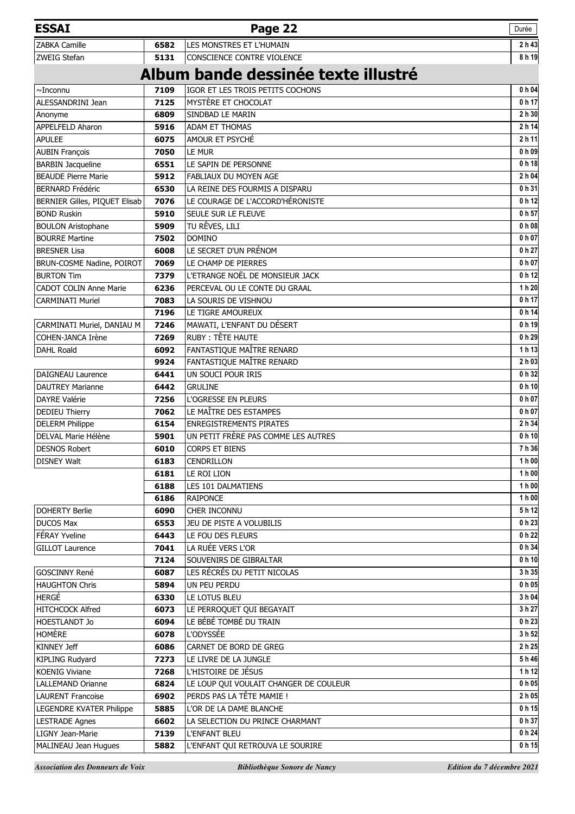| <b>ESSAI</b>                  |              | Page 22                                | Durée             |
|-------------------------------|--------------|----------------------------------------|-------------------|
| <b>ZABKA Camille</b>          | 6582         | LES MONSTRES ET L'HUMAIN               | 2 h 43            |
| ZWEIG Stefan                  | 5131         | CONSCIENCE CONTRE VIOLENCE             | 8 h 19            |
|                               |              | Album bande dessinée texte illustré    |                   |
| $\sim$ Inconnu                | 7109         | IGOR ET LES TROIS PETITS COCHONS       | 0 h 04            |
| ALESSANDRINI Jean             | 7125         | MYSTÈRE ET CHOCOLAT                    | 0 <sub>h</sub> 17 |
| Anonyme                       | 6809         | SINDBAD LE MARIN                       | 2 h 30            |
| APPELFELD Aharon              | 5916         | ADAM ET THOMAS                         | 2 h 14            |
| <b>APULEE</b>                 | 6075         | AMOUR ET PSYCHÉ                        | 2 h 11            |
| <b>AUBIN François</b>         | 7050         | LE MUR                                 | 0 <sub>h</sub> 09 |
| <b>BARBIN Jacqueline</b>      | 6551         | LE SAPIN DE PERSONNE                   | 0 <sub>h</sub> 18 |
| <b>BEAUDE Pierre Marie</b>    | 5912         | FABLIAUX DU MOYEN AGE                  | 2 h 04            |
| <b>BERNARD Frédéric</b>       | 6530         | LA REINE DES FOURMIS A DISPARU         | 0h31              |
| BERNIER Gilles, PIQUET Elisab | 7076         | LE COURAGE DE L'ACCORD'HÉRONISTE       | 0 <sub>h</sub> 12 |
| <b>BOND Ruskin</b>            | 5910         | SEULE SUR LE FLEUVE                    | 0 h 57            |
| <b>BOULON Aristophane</b>     | 5909         | TU RÊVES, LILI                         | 0 <sub>h</sub> 08 |
| <b>BOURRE Martine</b>         | 7502         | <b>DOMINO</b>                          | 0 <sub>h</sub> 07 |
| <b>BRESNER Lisa</b>           | 6008         | LE SECRET D'UN PRÉNOM                  | 0 h 27            |
| BRUN-COSME Nadine, POIROT     | 7069         | LE CHAMP DE PIERRES                    | 0 <sub>h</sub> 07 |
| <b>BURTON Tim</b>             | 7379         | L'ETRANGE NOËL DE MONSIEUR JACK        | 0 <sub>h</sub> 12 |
| <b>CADOT COLIN Anne Marie</b> | 6236         | PERCEVAL OU LE CONTE DU GRAAL          | 1 h 20            |
| <b>CARMINATI Muriel</b>       | 7083         | LA SOURIS DE VISHNOU                   | 0 <sub>h</sub> 17 |
|                               | 7196         | LE TIGRE AMOUREUX                      | 0 <sub>h</sub> 14 |
| CARMINATI Muriel, DANIAU M    | 7246         | MAWATI, L'ENFANT DU DÉSERT             | 0 <sub>h</sub> 19 |
| COHEN-JANCA Irène             | 7269         | RUBY: TÊTE HAUTE                       | 0h29              |
| DAHL Roald                    | 6092         | FANTASTIQUE MAÎTRE RENARD              | 1h13              |
|                               | 9924         | FANTASTIQUE MAÎTRE RENARD              | 2 h 03            |
| <b>DAIGNEAU Laurence</b>      | 6441         | UN SOUCI POUR IRIS                     | 0 h 32            |
| <b>DAUTREY Marianne</b>       | 6442         | <b>GRULINE</b>                         | 0 <sub>h</sub> 10 |
| <b>DAYRE Valérie</b>          | 7256         | L'OGRESSE EN PLEURS                    | 0 <sub>h</sub> 07 |
| DEDIEU Thierry                | 7062         | LE MAÎTRE DES ESTAMPES                 | 0 h 07            |
| <b>DELERM Philippe</b>        | 6154         | <b>ENREGISTREMENTS PIRATES</b>         | 2 h 34            |
| DELVAL Marie Hélène           | 5901         | UN PETIT FRÈRE PAS COMME LES AUTRES    | 0 <sub>h</sub> 10 |
| <b>DESNOS Robert</b>          | 6010         | CORPS ET BIENS                         | 7h 36             |
| <b>DISNEY Walt</b>            | 6183         | CENDRILLON                             | 1h00              |
|                               | 6181         | LE ROI LION                            | 1 h 00            |
|                               | 6188<br>6186 | LES 101 DALMATIENS<br><b>RAIPONCE</b>  | 1 h 00<br>1 h 00  |
| <b>DOHERTY Berlie</b>         | 6090         | CHER INCONNU                           | 5h12              |
| <b>DUCOS Max</b>              | 6553         | JEU DE PISTE A VOLUBILIS               | 0h23              |
| FÉRAY Yveline                 | 6443         | LE FOU DES FLEURS                      | 0h22              |
| <b>GILLOT Laurence</b>        | 7041         | LA RUÉE VERS L'OR                      | 0 h 34            |
|                               | 7124         | SOUVENIRS DE GIBRALTAR                 | 0 <sub>h</sub> 10 |
| GOSCINNY René                 | 6087         | LES RÉCRÉS DU PETIT NICOLAS            | 3 h 35            |
| <b>HAUGHTON Chris</b>         | 5894         | UN PEU PERDU                           | 0 h 05            |
| <b>HERGÉ</b>                  | 6330         | LE LOTUS BLEU                          | 3 h 04            |
| <b>HITCHCOCK Alfred</b>       | 6073         | LE PERROQUET QUI BEGAYAIT              | 3 h 27            |
| <b>HOESTLANDT Jo</b>          | 6094         | LE BÉBÉ TOMBÉ DU TRAIN                 | 0 h 23            |
| <b>HOMÈRE</b>                 | 6078         | L'ODYSSÉE                              | 3 h 52            |
| KINNEY Jeff                   | 6086         | CARNET DE BORD DE GREG                 | 2 h 25            |
| KIPLING Rudyard               | 7273         | LE LIVRE DE LA JUNGLE                  | 5h46              |
| <b>KOENIG Viviane</b>         | 7268         | L'HISTOIRE DE JÉSUS                    | 1h12              |
| LALLEMAND Orianne             | 6824         | LE LOUP QUI VOULAIT CHANGER DE COULEUR | 0 h 05            |
| <b>LAURENT Francoise</b>      | 6902         | PERDS PAS LA TÊTE MAMIE !              | 2 h 05            |
| LEGENDRE KVATER Philippe      | 5885         | L'OR DE LA DAME BLANCHE                | 0h15              |
| <b>LESTRADE Agnes</b>         | 6602         | LA SELECTION DU PRINCE CHARMANT        | 0 h 37            |
| LIGNY Jean-Marie              | 7139         | <b>L'ENFANT BLEU</b>                   | 0 h 24            |
| MALINEAU Jean Hugues          | 5882         | L'ENFANT QUI RETROUVA LE SOURIRE       | 0 <sub>h</sub> 15 |
|                               |              |                                        |                   |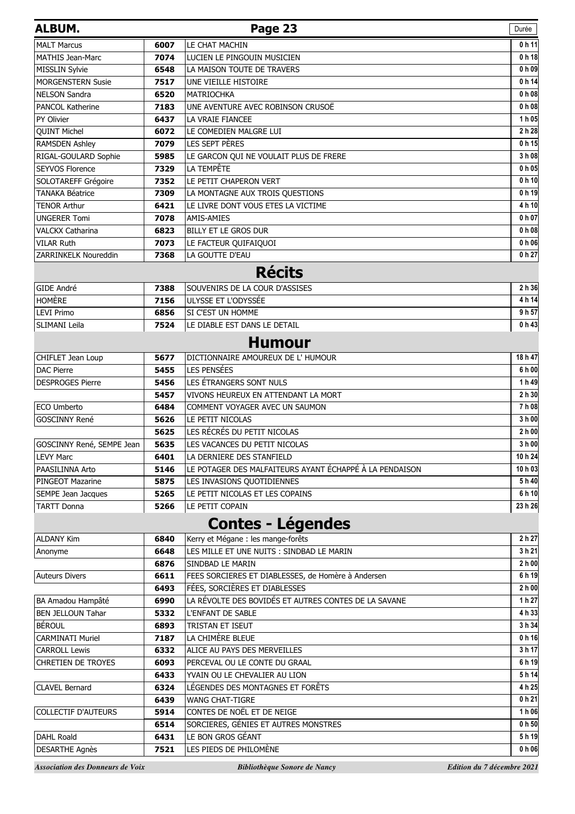| <b>ALBUM.</b>                           |              | Page 23                                                  | Durée                          |
|-----------------------------------------|--------------|----------------------------------------------------------|--------------------------------|
| <b>MALT Marcus</b>                      | 6007         | LE CHAT MACHIN                                           | 0h11                           |
| <b>MATHIS Jean-Marc</b>                 | 7074         | LUCIEN LE PINGOUIN MUSICIEN                              | 0 <sub>h</sub> 18              |
| MISSLIN Sylvie                          | 6548         | LA MAISON TOUTE DE TRAVERS                               | 0 <sub>h</sub> 09              |
| <b>MORGENSTERN Susie</b>                | 7517         | UNE VIEILLE HISTOIRE                                     | 0 h 14                         |
| <b>NELSON Sandra</b>                    | 6520         | <b>MATRIOCHKA</b>                                        | 0 h 08                         |
| <b>PANCOL Katherine</b>                 | 7183         | UNE AVENTURE AVEC ROBINSON CRUSOË                        | 0 <sub>h</sub> 08              |
| PY Olivier                              | 6437         | LA VRAIE FIANCEE                                         | 1 h 05                         |
| <b>QUINT Michel</b>                     | 6072         | LE COMEDIEN MALGRE LUI                                   | 2 h 28                         |
| <b>RAMSDEN Ashley</b>                   | 7079         | LES SEPT PÈRES                                           | 0 <sub>h</sub> 15              |
| RIGAL-GOULARD Sophie                    | 5985         | LE GARCON QUI NE VOULAIT PLUS DE FRERE                   | 3 h 08                         |
| <b>SEYVOS Florence</b>                  | 7329         | LA TEMPÊTE                                               | 0 h 05                         |
| SOLOTAREFF Grégoire                     | 7352         | LE PETIT CHAPERON VERT                                   | 0 <sub>h</sub> 10 <sup>l</sup> |
| <b>TANAKA Béatrice</b>                  | 7309         | LA MONTAGNE AUX TROIS QUESTIONS                          | 0 h 19                         |
| <b>TENOR Arthur</b>                     | 6421         | LE LIVRE DONT VOUS ETES LA VICTIME                       | 4 h 10                         |
| <b>UNGERER Tomi</b>                     | 7078         | AMIS-AMIES                                               | 0 h 07                         |
| <b>VALCKX Catharina</b>                 | 6823         | <b>BILLY ET LE GROS DUR</b>                              | 0 h 08                         |
| <b>VILAR Ruth</b>                       | 7073         | LE FACTEUR QUIFAIQUOI                                    | 0 <sub>h</sub> 06              |
| ZARRINKELK Noureddin                    | 7368         | LA GOUTTE D'EAU                                          | 0 h 27                         |
|                                         |              | <b>Récits</b>                                            |                                |
| GIDE André                              | 7388         | SOUVENIRS DE LA COUR D'ASSISES                           | 2 h 36                         |
| <b>HOMÈRE</b>                           | 7156         | ULYSSE ET L'ODYSSÉE                                      | 4 h 14                         |
| <b>LEVI Primo</b>                       | 6856         | SI C'EST UN HOMME                                        | 9 h 57                         |
| <b>SLIMANI Leila</b>                    | 7524         | LE DIABLE EST DANS LE DETAIL                             | 0 h 43                         |
|                                         |              | <b>Humour</b>                                            |                                |
|                                         |              |                                                          |                                |
| CHIFLET Jean Loup<br><b>DAC Pierre</b>  | 5677<br>5455 | DICTIONNAIRE AMOUREUX DE L' HUMOUR<br><b>LES PENSÉES</b> | 18 h 47<br>6 h 00              |
|                                         | 5456         | LES ÉTRANGERS SONT NULS                                  | 1 h 49                         |
| <b>DESPROGES Pierre</b>                 | 5457         | VIVONS HEUREUX EN ATTENDANT LA MORT                      | 2 h 30                         |
| ECO Umberto                             | 6484         | COMMENT VOYAGER AVEC UN SAUMON                           | $\overline{7}$ h 08            |
| <b>GOSCINNY René</b>                    | 5626         | LE PETIT NICOLAS                                         | 3 h 00                         |
|                                         | 5625         | LES RÉCRÉS DU PETIT NICOLAS                              | 2 h 00                         |
| GOSCINNY René, SEMPE Jean               | 5635         | LES VACANCES DU PETIT NICOLAS                            | 3 h 00                         |
| <b>LEVY Marc</b>                        | 6401         | LA DERNIERE DES STANFIELD                                | 10 h 24                        |
| PAASILINNA Arto                         | 5146         | LE POTAGER DES MALFAITEURS AYANT ÉCHAPPÉ À LA PENDAISON  | 10 h 03                        |
| <b>PINGEOT Mazarine</b>                 | 5875         | LES INVASIONS QUOTIDIENNES                               | 5 h 40                         |
| SEMPE Jean Jacques                      | 5265         | LE PETIT NICOLAS ET LES COPAINS                          | 6 h 10                         |
| <b>TARTT Donna</b>                      | 5266         | LE PETIT COPAIN                                          | 23 h 26                        |
|                                         |              | <b>Contes - Légendes</b>                                 |                                |
| <b>ALDANY Kim</b>                       | 6840         | Kerry et Mégane : les mange-forêts                       | 2 h 27                         |
| Anonyme                                 | 6648         | LES MILLE ET UNE NUITS : SINDBAD LE MARIN                | 3 h 21                         |
|                                         | 6876         | SINDBAD LE MARIN                                         | 2 h 00                         |
| <b>Auteurs Divers</b>                   | 6611         | FEES SORCIERES ET DIABLESSES, de Homère à Andersen       | 6 h 19                         |
|                                         | 6493         | FÉES, SORCIÈRES ET DIABLESSES                            | 2 h 00                         |
| BA Amadou Hampâté                       | 6990         | LA RÉVOLTE DES BOVIDÉS ET AUTRES CONTES DE LA SAVANE     | 1 h 27                         |
| <b>BEN JELLOUN Tahar</b>                | 5332         | <b>L'ENFANT DE SABLE</b>                                 | 4 h 33                         |
| <b>BÉROUL</b>                           | 6893         | TRISTAN ET ISEUT                                         | 3 h 34                         |
| <b>CARMINATI Muriel</b>                 | 7187         | LA CHIMÈRE BLEUE                                         | 0 <sub>h</sub> 16              |
| <b>CARROLL Lewis</b>                    | 6332         | ALICE AU PAYS DES MERVEILLES                             | 3 h 17                         |
| <b>CHRETIEN DE TROYES</b>               | 6093         | PERCEVAL OU LE CONTE DU GRAAL                            | 6 h 19                         |
|                                         | 6433         | YVAIN OU LE CHEVALIER AU LION                            | 5 h 14                         |
| <b>CLAVEL Bernard</b>                   | 6324         | LÉGENDES DES MONTAGNES ET FORÊTS                         | 4 h 25                         |
|                                         | 6439         | <b>WANG CHAT-TIGRE</b>                                   | 0 h 21                         |
| <b>COLLECTIF D'AUTEURS</b>              | 5914         | CONTES DE NOËL ET DE NEIGE                               | 1 h 06                         |
|                                         | 6514         | SORCIERES, GÉNIES ET AUTRES MONSTRES                     | 0 <sub>h</sub> 50              |
| DAHL Roald                              | 6431         | LE BON GROS GÉANT                                        | 5 h 19                         |
| <b>DESARTHE Agnès</b>                   | 7521         | LES PIEDS DE PHILOMÈNE                                   | 0 h 06                         |
| <b>Association des Donneurs de Voix</b> |              | Bibliothèque Sonore de Nancy                             | Edition du 7 décembre 2021     |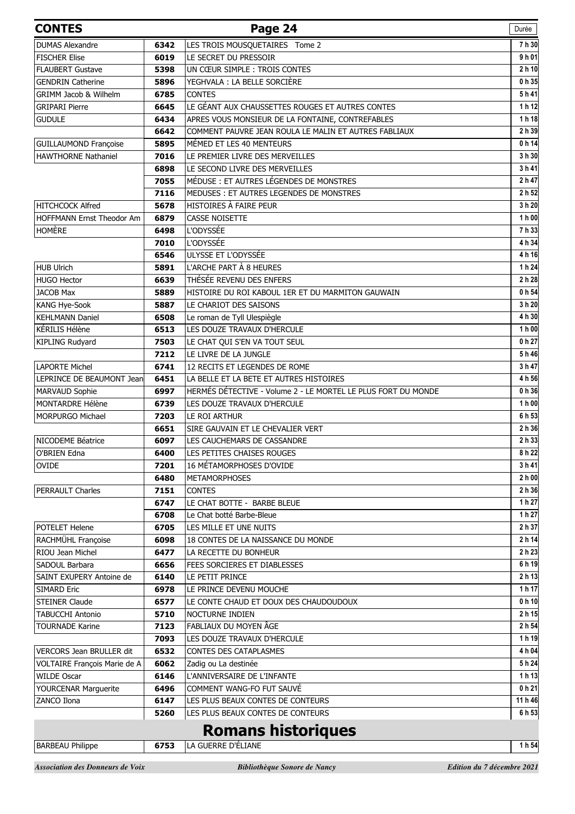| <b>CONTES</b>                    |              | Page 24                                                       | Durée             |
|----------------------------------|--------------|---------------------------------------------------------------|-------------------|
| <b>DUMAS Alexandre</b>           | 6342         | LES TROIS MOUSQUETAIRES Tome 2                                | 7h 30             |
| <b>FISCHER Elise</b>             | 6019         | LE SECRET DU PRESSOIR                                         | 9 h 01            |
| <b>FLAUBERT Gustave</b>          | 5398         | UN CŒUR SIMPLE : TROIS CONTES                                 | 2 h 10            |
| <b>GENDRIN Catherine</b>         | 5896         | YEGHVALA : LA BELLE SORCIÈRE                                  | 0 h 35            |
| GRIMM Jacob & Wilhelm            | 6785         | <b>CONTES</b>                                                 | 5h41              |
| <b>GRIPARI Pierre</b>            | 6645         | LE GÉANT AUX CHAUSSETTES ROUGES ET AUTRES CONTES              | 1 h 12            |
| <b>GUDULE</b>                    | 6434         | APRES VOUS MONSIEUR DE LA FONTAINE, CONTREFABLES              | 1 h 18            |
|                                  | 6642         | COMMENT PAUVRE JEAN ROULA LE MALIN ET AUTRES FABLIAUX         | 2 h 39            |
| <b>GUILLAUMOND Françoise</b>     | 5895         | MÉMED ET LES 40 MENTEURS                                      | 0 h 14            |
| <b>HAWTHORNE Nathaniel</b>       | 7016         | LE PREMIER LIVRE DES MERVEILLES                               | 3 h 30            |
|                                  | 6898         | LE SECOND LIVRE DES MERVEILLES                                | 3 h 41            |
|                                  | 7055         | MÉDUSE : ET AUTRES LÉGENDES DE MONSTRES                       | 2 h 47            |
|                                  | 7116         | MEDUSES : ET AUTRES LEGENDES DE MONSTRES                      | 2 h 52            |
| <b>HITCHCOCK Alfred</b>          | 5678         | HISTOIRES À FAIRE PEUR                                        | 3 h 20            |
| <b>HOFFMANN Ernst Theodor Am</b> | 6879         | <b>CASSE NOISETTE</b>                                         | 1 h 00            |
| <b>HOMÈRE</b>                    | 6498         | <b>L'ODYSSÉE</b>                                              | 7h 33             |
|                                  | 7010         | L'ODYSSÉE                                                     | 4 h 34            |
|                                  | 6546         | ULYSSE ET L'ODYSSÉE                                           | 4 h 16            |
| <b>HUB Ulrich</b>                | 5891         | L'ARCHE PART À 8 HEURES                                       | 1 h 24            |
| <b>HUGO Hector</b>               | 6639         | THÉSÉE REVENU DES ENFERS                                      | 2 h 28            |
| <b>JACOB Max</b>                 | 5889         | HISTOIRE DU ROI KABOUL 1ER ET DU MARMITON GAUWAIN             | 0 h 54            |
| KANG Hye-Sook                    | 5887         | LE CHARIOT DES SAISONS                                        | 3 h 20            |
| <b>KEHLMANN Daniel</b>           | 6508         | Le roman de Tyll Ulespiègle                                   | 4 h 30            |
| KÉRILIS Hélène                   | 6513         | LES DOUZE TRAVAUX D'HERCULE                                   | 1 h 00            |
| KIPLING Rudyard                  | 7503         | LE CHAT QUI S'EN VA TOUT SEUL                                 | 0 h 27            |
|                                  | 7212         | LE LIVRE DE LA JUNGLE                                         | 5 h 46            |
| <b>LAPORTE Michel</b>            | 6741         | 12 RECITS ET LEGENDES DE ROME                                 | 3 h 47            |
| LEPRINCE DE BEAUMONT Jean        | 6451         | LA BELLE ET LA BETE ET AUTRES HISTOIRES                       | 4 h 56            |
| MARVAUD Sophie                   | 6997         | HERMÉS DÉTECTIVE - Volume 2 - LE MORTEL LE PLUS FORT DU MONDE | 0 h 36            |
| MONTARDRE Hélène                 | 6739         | LES DOUZE TRAVAUX D'HERCULE                                   | 1 h 00            |
| MORPURGO Michael                 | 7203         | LE ROI ARTHUR                                                 | 6 h 53            |
|                                  | 6651         | SIRE GAUVAIN ET LE CHEVALIER VERT                             | 2 h 36<br>2 h 33  |
| NICODEME Béatrice                | 6097         | LES CAUCHEMARS DE CASSANDRE<br>LES PETITES CHAISES ROUGES     |                   |
| O'BRIEN Edna                     | 6400         | 16 MÉTAMORPHOSES D'OVIDE                                      | 8 h 22<br>3h41    |
| <b>OVIDE</b>                     | 7201<br>6480 | <b>METAMORPHOSES</b>                                          | 2 h 00            |
| <b>PERRAULT Charles</b>          | 7151         | <b>CONTES</b>                                                 | 2 h 36            |
|                                  | 6747         | LE CHAT BOTTE - BARBE BLEUE                                   | 1 h 27            |
|                                  | 6708         | Le Chat botté Barbe-Bleue                                     | 1 h 27            |
| POTELET Helene                   | 6705         | LES MILLE ET UNE NUITS                                        | 2 h 37            |
| RACHMÜHL Françoise               | 6098         | 18 CONTES DE LA NAISSANCE DU MONDE                            | 2 h 14            |
| RIOU Jean Michel                 | 6477         | LA RECETTE DU BONHEUR                                         | 2 h 23            |
| SADOUL Barbara                   | 6656         | FEES SORCIERES ET DIABLESSES                                  | 6 h 19            |
| SAINT EXUPERY Antoine de         | 6140         | LE PETIT PRINCE                                               | 2 h 13            |
| <b>SIMARD Eric</b>               | 6978         | LE PRINCE DEVENU MOUCHE                                       | 1 h 17            |
| <b>STEINER Claude</b>            | 6577         | LE CONTE CHAUD ET DOUX DES CHAUDOUDOUX                        | 0 <sub>h</sub> 10 |
| <b>TABUCCHI Antonio</b>          | 5710         | <b>NOCTURNE INDIEN</b>                                        | 2 h 15            |
| <b>TOURNADE Karine</b>           | 7123         | FABLIAUX DU MOYEN ÂGE                                         | 2 h 54            |
|                                  | 7093         | LES DOUZE TRAVAUX D'HERCULE                                   | 1 h 19            |
| VERCORS Jean BRULLER dit         | 6532         | CONTES DES CATAPLASMES                                        | 4 h 04            |
| VOLTAIRE François Marie de A     | 6062         | Zadig ou La destinée                                          | 5h24              |
| <b>WILDE Oscar</b>               | 6146         | L'ANNIVERSAIRE DE L'INFANTE                                   | 1 h 13            |
| YOURCENAR Marguerite             | 6496         | COMMENT WANG-FO FUT SAUVÉ                                     | 0 h 21            |
| ZANCO Ilona                      | 6147         | LES PLUS BEAUX CONTES DE CONTEURS                             | 11 h 46           |
|                                  | 5260         | LES PLUS BEAUX CONTES DE CONTEURS                             | 6 h 53            |
|                                  |              | <b>Romans historiques</b>                                     |                   |

## **Romans historiques**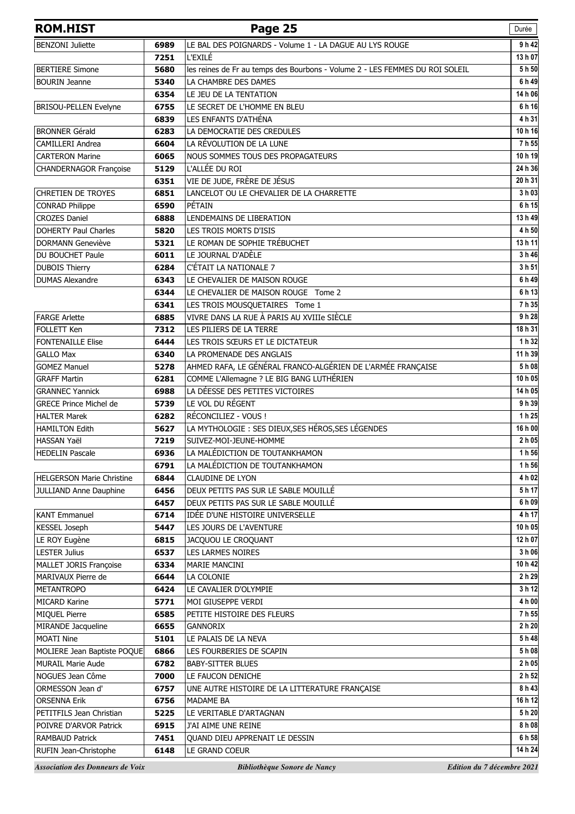| <b>ROM.HIST</b>                              |              | Page 25                                                                      | Durée                      |
|----------------------------------------------|--------------|------------------------------------------------------------------------------|----------------------------|
| <b>BENZONI Juliette</b>                      | 6989         | LE BAL DES POIGNARDS - Volume 1 - LA DAGUE AU LYS ROUGE                      | 9 h 42                     |
|                                              | 7251         | L'EXILÉ                                                                      | 13 h 07                    |
| <b>BERTIERE Simone</b>                       | 5680         | les reines de Fr au temps des Bourbons - Volume 2 - LES FEMMES DU ROI SOLEIL | 5h 50                      |
| <b>BOURIN</b> Jeanne                         | 5340         | LA CHAMBRE DES DAMES                                                         | 6 h 49                     |
|                                              | 6354         | LE JEU DE LA TENTATION                                                       | 14 h 06                    |
| BRISOU-PELLEN Evelyne                        | 6755         | LE SECRET DE L'HOMME EN BLEU                                                 | 6 h 16                     |
|                                              | 6839         | LES ENFANTS D'ATHÉNA                                                         | 4 h 31                     |
| <b>BRONNER Gérald</b>                        | 6283         | LA DEMOCRATIE DES CREDULES                                                   | 10h16                      |
| <b>CAMILLERI Andrea</b>                      | 6604         | LA RÉVOLUTION DE LA LUNE                                                     | 7 h 55                     |
| <b>CARTERON Marine</b>                       | 6065         | NOUS SOMMES TOUS DES PROPAGATEURS                                            | 10 h 19                    |
| CHANDERNAGOR Françoise                       | 5129         | L'ALLÉE DU ROI                                                               | 24 h 36                    |
|                                              | 6351         | VIE DE JUDE, FRÈRE DE JÉSUS                                                  | 20 h 31                    |
| <b>CHRETIEN DE TROYES</b>                    | 6851         | LANCELOT OU LE CHEVALIER DE LA CHARRETTE                                     | 3 h 03                     |
| <b>CONRAD Philippe</b>                       | 6590         | PÉTAIN                                                                       | 6 h 15                     |
| <b>CROZES Daniel</b>                         | 6888         | LENDEMAINS DE LIBERATION                                                     | 13 h 49                    |
| <b>DOHERTY Paul Charles</b>                  | 5820         | LES TROIS MORTS D'ISIS                                                       | 4 h 50                     |
| <b>DORMANN Geneviève</b>                     | 5321         | LE ROMAN DE SOPHIE TRÉBUCHET                                                 | 13h11                      |
| DU BOUCHET Paule                             | 6011         | LE JOURNAL D'ADÈLE                                                           | 3 h 46                     |
| <b>DUBOIS Thierry</b>                        | 6284         | C'ÉTAIT LA NATIONALE 7                                                       | 3 h 51                     |
| <b>DUMAS Alexandre</b>                       | 6343         | LE CHEVALIER DE MAISON ROUGE                                                 | 6h49                       |
|                                              | 6344         | LE CHEVALIER DE MAISON ROUGE Tome 2                                          | 6 h 13                     |
|                                              | 6341         | LES TROIS MOUSQUETAIRES Tome 1                                               | 7h 35                      |
| <b>FARGE Arlette</b>                         | 6885         | VIVRE DANS LA RUE À PARIS AU XVIIIe SIÈCLE                                   | 9h28                       |
| <b>FOLLETT Ken</b>                           | 7312         | LES PILIERS DE LA TERRE                                                      | 18 h 31                    |
| <b>FONTENAILLE Elise</b>                     | 6444         | LES TROIS SŒURS ET LE DICTATEUR                                              | 1 h 32                     |
| <b>GALLO Max</b>                             | 6340         | LA PROMENADE DES ANGLAIS                                                     | 11 h 39                    |
| <b>GOMEZ Manuel</b>                          | 5278         | AHMED RAFA, LE GÉNÉRAL FRANCO-ALGÉRIEN DE L'ARMÉE FRANÇAISE                  | 5 h 08                     |
| <b>GRAFF Martin</b>                          | 6281         | COMME L'Allemagne ? LE BIG BANG LUTHÉRIEN                                    | 10h05                      |
| <b>GRANNEC Yannick</b>                       | 6988         | LA DÉESSE DES PETITES VICTOIRES                                              | 14 h 05                    |
| <b>GRECE Prince Michel de</b>                | 5739         | LE VOL DU RÉGENT                                                             | 9 h 39                     |
| <b>HALTER Marek</b>                          | 6282         | RÉCONCILIEZ - VOUS !                                                         | 1 h 25                     |
| <b>HAMILTON Edith</b>                        | 5627         | LA MYTHOLOGIE : SES DIEUX, SES HÉROS, SES LÉGENDES                           | 16 h 00                    |
| HASSAN Yaël                                  | 7219         | SUIVEZ-MOI-JEUNE-HOMME                                                       | 2 h 05                     |
| <b>HEDELIN Pascale</b>                       | 6936         | LA MALÉDICTION DE TOUTANKHAMON                                               | 1 h 56                     |
|                                              | 6791         | LA MALÉDICTION DE TOUTANKHAMON                                               | 1 h 56                     |
| <b>HELGERSON Marie Christine</b>             | 6844         | <b>CLAUDINE DE LYON</b>                                                      | 4 h 02                     |
| JULLIAND Anne Dauphine                       | 6456         | DEUX PETITS PAS SUR LE SABLE MOUILLÉ                                         | 5 h 17                     |
|                                              | 6457         | DEUX PETITS PAS SUR LE SABLE MOUILLÉ                                         | 6 h 09                     |
| <b>KANT Emmanuel</b>                         | 6714         | IDÉE D'UNE HISTOIRE UNIVERSELLE                                              | 4 h 17                     |
| <b>KESSEL Joseph</b>                         | 5447         | LES JOURS DE L'AVENTURE                                                      | 10 h 05                    |
| LE ROY Eugène                                | 6815         | JACQUOU LE CROQUANT                                                          | 12 h 07<br>3 h 06          |
| <b>LESTER Julius</b>                         | 6537         | LES LARMES NOIRES                                                            |                            |
| MALLET JORIS Françoise<br>MARIVAUX Pierre de | 6334<br>6644 | MARIE MANCINI<br>LA COLONIE                                                  | 10 h 42<br>2 h 29          |
| <b>METANTROPO</b>                            | 6424         | LE CAVALIER D'OLYMPIE                                                        | 3 h 12                     |
| MICARD Karine                                | 5771         | MOI GIUSEPPE VERDI                                                           | 4 h 00                     |
| MIQUEL Pierre                                | 6585         | PETITE HISTOIRE DES FLEURS                                                   | 7h 55                      |
| MIRANDE Jacqueline                           | 6655         | <b>GANNORIX</b>                                                              | 2 h 20                     |
| <b>MOATI Nine</b>                            | 5101         | LE PALAIS DE LA NEVA                                                         | 5 h 48                     |
| MOLIERE Jean Baptiste POQUE                  | 6866         | LES FOURBERIES DE SCAPIN                                                     | 5 h 08                     |
| <b>MURAIL Marie Aude</b>                     | 6782         | <b>BABY-SITTER BLUES</b>                                                     | 2 h 05                     |
| NOGUES Jean Côme                             | 7000         | LE FAUCON DENICHE                                                            | 2 h 52                     |
| ORMESSON Jean d'                             | 6757         | UNE AUTRE HISTOIRE DE LA LITTERATURE FRANÇAISE                               | 8 h 43                     |
| <b>ORSENNA Erik</b>                          | 6756         | <b>MADAME BA</b>                                                             | 16 h 12                    |
| PETITFILS Jean Christian                     | 5225         | LE VERITABLE D'ARTAGNAN                                                      | 5 h 20                     |
| POIVRE D'ARVOR Patrick                       | 6915         | J'AI AIME UNE REINE                                                          | 8 h 08                     |
| <b>RAMBAUD Patrick</b>                       | 7451         | QUAND DIEU APPRENAIT LE DESSIN                                               | 6 h 58                     |
| RUFIN Jean-Christophe                        | 6148         | LE GRAND COEUR                                                               | 14 h 24                    |
| <b>Association des Donneurs de Voix</b>      |              | Bibliothèque Sonore de Nancy                                                 | Edition du 7 décembre 2021 |
|                                              |              |                                                                              |                            |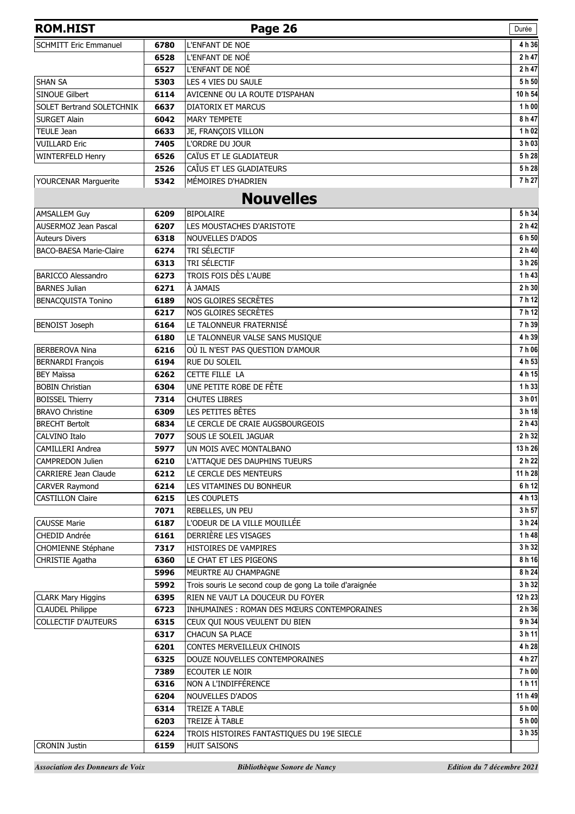| <b>ROM.HIST</b>                  |      | Page 26                                                 | Durée   |
|----------------------------------|------|---------------------------------------------------------|---------|
| <b>SCHMITT Eric Emmanuel</b>     | 6780 | L'ENFANT DE NOE                                         | 4 h 36  |
|                                  | 6528 | L'ENFANT DE NOË                                         | 2 h 47  |
|                                  | 6527 | L'ENFANT DE NOÉ                                         | 2 h 47  |
| <b>SHAN SA</b>                   | 5303 | LES 4 VIES DU SAULE                                     | 5h 50   |
| <b>SINOUE Gilbert</b>            | 6114 | AVICENNE OU LA ROUTE D'ISPAHAN                          | 10 h 54 |
| <b>SOLET Bertrand SOLETCHNIK</b> | 6637 | <b>DIATORIX ET MARCUS</b>                               | 1 h 00  |
| <b>SURGET Alain</b>              | 6042 | <b>MARY TEMPETE</b>                                     | 8 h 47  |
| <b>TEULE Jean</b>                | 6633 | JE, FRANÇOIS VILLON                                     | 1 h 02  |
| <b>VUILLARD Eric</b>             | 7405 | L'ORDRE DU JOUR                                         | 3 h 03  |
| <b>WINTERFELD Henry</b>          | 6526 | CAÏUS ET LE GLADIATEUR                                  | 5h28    |
|                                  | 2526 | CAÎUS ET LES GLADIATEURS                                | 5h28    |
| YOURCENAR Marguerite             | 5342 | MÉMOIRES D'HADRIEN                                      | 7 h 27  |
|                                  |      | <b>Nouvelles</b>                                        |         |
| <b>AMSALLEM Guy</b>              | 6209 | <b>BIPOLAIRE</b>                                        | 5 h 34  |
| <b>AUSERMOZ Jean Pascal</b>      | 6207 | LES MOUSTACHES D'ARISTOTE                               | 2 h 42  |
| <b>Auteurs Divers</b>            | 6318 | <b>NOUVELLES D'ADOS</b>                                 | 6 h 50  |
| <b>BACO-BAESA Marie-Claire</b>   | 6274 | TRI SÉLECTIF                                            | 2 h 40  |
|                                  | 6313 | TRI SÉLECTIF                                            | 3h26    |
| <b>BARICCO Alessandro</b>        | 6273 | TROIS FOIS DÈS L'AUBE                                   | 1 h 43  |
| <b>BARNES Julian</b>             | 6271 | À JAMAIS                                                | 2 h 30  |
| <b>BENACQUISTA Tonino</b>        | 6189 | NOS GLOIRES SECRÈTES                                    | 7h12    |
|                                  | 6217 | NOS GLOIRES SECRÈTES                                    | 7h12    |
| <b>BENOIST Joseph</b>            | 6164 | LE TALONNEUR FRATERNISÉ                                 | 7 h 39  |
|                                  | 6180 | LE TALONNEUR VALSE SANS MUSIQUE                         | 4 h 39  |
| <b>BERBEROVA Nina</b>            | 6216 | OÙ IL N'EST PAS QUESTION D'AMOUR                        | 7 h 06  |
| <b>BERNARDI François</b>         | 6194 | RUE DU SOLEIL                                           | 4 h 53  |
| <b>BEY Maïssa</b>                | 6262 | CETTE FILLE LA                                          | 4 h 15  |
| <b>BOBIN Christian</b>           | 6304 | UNE PETITE ROBE DE FÊTE                                 | 1h 33   |
| <b>BOISSEL Thierry</b>           | 7314 | <b>CHUTES LIBRES</b>                                    | 3 h 01  |
| <b>BRAVO Christine</b>           | 6309 | LES PETITES BÊTES                                       | 3 h 18  |
| <b>BRECHT Bertolt</b>            | 6834 | LE CERCLE DE CRAIE AUGSBOURGEOIS                        | 2h43    |
| CALVINO Italo                    | 7077 | SOUS LE SOLEIL JAGUAR                                   | 2 h 32  |
| <b>CAMILLERI Andrea</b>          | 5977 | UN MOIS AVEC MONTALBANO                                 | 13 h 26 |
| <b>CAMPREDON Julien</b>          | 6210 | L'ATTAQUE DES DAUPHINS TUEURS                           | 2 h 22  |
| <b>CARRIERE Jean Claude</b>      | 6212 | LE CERCLE DES MENTEURS                                  | 11 h 28 |
| CARVER Raymond                   | 6214 | LES VITAMINES DU BONHEUR                                | 6 h 12  |
| <b>CASTILLON Claire</b>          | 6215 | LES COUPLETS                                            | 4 h 13  |
|                                  | 7071 | REBELLES, UN PEU                                        | 3 h 57  |
| <b>CAUSSE Marie</b>              | 6187 | L'ODEUR DE LA VILLE MOUILLÉE                            | 3 h 24  |
| CHEDID Andrée                    | 6161 | DERRIÈRE LES VISAGES                                    | 1h48    |
| <b>CHOMIENNE Stéphane</b>        | 7317 | HISTOIRES DE VAMPIRES                                   | 3 h 32  |
| CHRISTIE Agatha                  | 6360 | LE CHAT ET LES PIGEONS                                  | 8 h 16  |
|                                  | 5996 | MEURTRE AU CHAMPAGNE                                    | 8 h 24  |
|                                  | 5992 | Trois souris Le second coup de gong La toile d'araignée | 3 h 32  |
| <b>CLARK Mary Higgins</b>        | 6395 | RIEN NE VAUT LA DOUCEUR DU FOYER                        | 12 h 23 |
| <b>CLAUDEL Philippe</b>          | 6723 | INHUMAINES: ROMAN DES MŒURS CONTEMPORAINES              | 2 h 36  |
| <b>COLLECTIF D'AUTEURS</b>       | 6315 | CEUX QUI NOUS VEULENT DU BIEN                           | 9 h 34  |
|                                  | 6317 | <b>CHACUN SA PLACE</b>                                  | 3h11    |
|                                  | 6201 | CONTES MERVEILLEUX CHINOIS                              | 4 h 28  |
|                                  | 6325 | DOUZE NOUVELLES CONTEMPORAINES                          | 4 h 27  |
|                                  | 7389 | ECOUTER LE NOIR                                         | 7h00    |
|                                  | 6316 | NON A L'INDIFFÉRENCE                                    | 1h11    |
|                                  | 6204 | NOUVELLES D'ADOS                                        | 11 h 49 |
|                                  | 6314 | TREIZE A TABLE                                          | 5 h 00  |
|                                  | 6203 | TREIZE À TABLE                                          | 5h00    |
|                                  | 6224 | TROIS HISTOIRES FANTASTIQUES DU 19E SIECLE              | 3 h 35  |
| <b>CRONIN Justin</b>             | 6159 | <b>HUIT SAISONS</b>                                     |         |
|                                  |      |                                                         |         |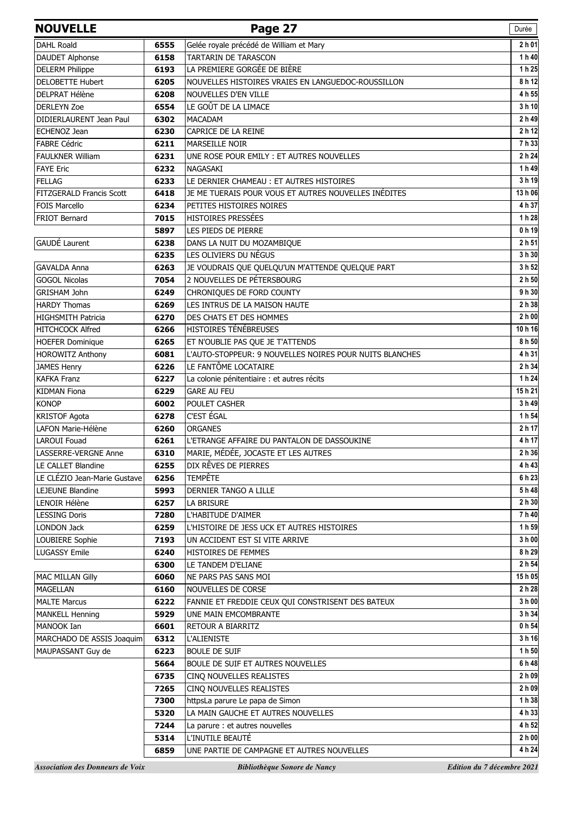| <b>NOUVELLE</b>                                    |              | Page 27                                                 | Durée                      |
|----------------------------------------------------|--------------|---------------------------------------------------------|----------------------------|
| <b>DAHL Roald</b>                                  | 6555         | Gelée royale précédé de William et Mary                 | 2h01                       |
| <b>DAUDET Alphonse</b>                             | 6158         | TARTARIN DE TARASCON                                    | 1 h 40                     |
| <b>DELERM Philippe</b>                             | 6193         | LA PREMIERE GORGÉE DE BIÈRE                             | 1h25                       |
| <b>DELOBETTE Hubert</b>                            | 6205         | NOUVELLES HISTOIRES VRAIES EN LANGUEDOC-ROUSSILLON      | 8 h 12                     |
| <b>DELPRAT Hélène</b>                              | 6208         | NOUVELLES D'EN VILLE                                    | 4 h 55                     |
| <b>DERLEYN Zoe</b>                                 | 6554         | LE GOÛT DE LA LIMACE                                    | 3 h 10                     |
| DIDIERLAURENT Jean Paul                            | 6302         | <b>MACADAM</b>                                          | 2 h 49                     |
| <b>ECHENOZ Jean</b>                                | 6230         | CAPRICE DE LA REINE                                     | 2 h 12                     |
| <b>FABRE Cédric</b>                                | 6211         | <b>MARSEILLE NOIR</b>                                   | 7h 33                      |
| <b>FAULKNER William</b>                            | 6231         | UNE ROSE POUR EMILY : ET AUTRES NOUVELLES               | 2 h 24                     |
| <b>FAYE Eric</b>                                   | 6232         | NAGASAKI                                                | 1h49                       |
| <b>FELLAG</b>                                      | 6233         | LE DERNIER CHAMEAU : ET AUTRES HISTOIRES                | 3 h 19                     |
| FITZGERALD Francis Scott                           | 6418         | JE ME TUERAIS POUR VOUS ET AUTRES NOUVELLES INÉDITES    | 13 h 06                    |
| <b>FOIS Marcello</b>                               | 6234         | PETITES HISTOIRES NOIRES                                | 4 h 37                     |
| FRIOT Bernard                                      | 7015         | HISTOIRES PRESSÉES                                      | 1 h 28                     |
|                                                    | 5897         | LES PIEDS DE PIERRE                                     | 0h19                       |
| GAUDÉ Laurent                                      | 6238         | DANS LA NUIT DU MOZAMBIQUE                              | 2 h 51                     |
|                                                    | 6235         | LES OLIVIERS DU NÉGUS                                   | 3 h 30                     |
| GAVALDA Anna                                       | 6263         | JE VOUDRAIS QUE QUELQU'UN M'ATTENDE QUELQUE PART        | 3 h 52                     |
| <b>GOGOL Nicolas</b>                               | 7054         | 2 NOUVELLES DE PÉTERSBOURG                              | $\overline{2}$ h 50        |
| GRISHAM John                                       | 6249         | CHRONIQUES DE FORD COUNTY                               | 9 h 30                     |
| <b>HARDY Thomas</b>                                | 6269         | LES INTRUS DE LA MAISON HAUTE                           | 2 h 38                     |
| <b>HIGHSMITH Patricia</b>                          | 6270         | DES CHATS ET DES HOMMES                                 | 2 h 00                     |
| <b>HITCHCOCK Alfred</b>                            | 6266         | HISTOIRES TÉNÉBREUSES                                   | 10h16                      |
| <b>HOEFER Dominique</b>                            | 6265         | ET N'OUBLIE PAS QUE JE T'ATTENDS                        | 8 h 50                     |
| <b>HOROWITZ Anthony</b>                            | 6081         | L'AUTO-STOPPEUR: 9 NOUVELLES NOIRES POUR NUITS BLANCHES | 4 h 31                     |
| <b>JAMES Henry</b>                                 | 6226         | LE FANTÔME LOCATAIRE                                    | $\overline{2}$ h 34        |
| <b>KAFKA Franz</b>                                 | 6227         | La colonie pénitentiaire : et autres récits             | 1 h 24                     |
| <b>KIDMAN Fiona</b>                                | 6229         | <b>GARE AU FEU</b>                                      | 15h 21                     |
| <b>KONOP</b>                                       | 6002         | POULET CASHER                                           | 3 h 49                     |
| <b>KRISTOF Agota</b>                               | 6278         | C'EST ÉGAL                                              | 1 h 54                     |
| LAFON Marie-Hélène                                 | 6260         | <b>ORGANES</b>                                          | 2 h 17                     |
| <b>LAROUI Fouad</b>                                | 6261         | L'ETRANGE AFFAIRE DU PANTALON DE DASSOUKINE             | 4 h 17                     |
| LASSERRE-VERGNE Anne                               | 6310         | MARIE, MÉDÉE, JOCASTE ET LES AUTRES                     | 2 h 36                     |
| LE CALLET Blandine<br>LE CLÉZIO Jean-Marie Gustave | 6255<br>6256 | DIX RÊVES DE PIERRES<br><b>TEMPÊTE</b>                  | 4 h 43<br>6 h 23           |
| LEJEUNE Blandine                                   | 5993         | DERNIER TANGO A LILLE                                   | 5 h 48                     |
| LENOIR Hélène                                      | 6257         | LA BRISURE                                              | 2 h 30                     |
| <b>LESSING Doris</b>                               | 7280         | L'HABITUDE D'AIMER                                      | 7h40                       |
| <b>LONDON Jack</b>                                 | 6259         | L'HISTOIRE DE JESS UCK ET AUTRES HISTOIRES              | 1 h 59                     |
| LOUBIERE Sophie                                    | 7193         | UN ACCIDENT EST SI VITE ARRIVE                          | 3 h 00                     |
| <b>LUGASSY Emile</b>                               | 6240         | HISTOIRES DE FEMMES                                     | 8 h 29                     |
|                                                    | 6300         | LE TANDEM D'ELIANE                                      | 2 h 54                     |
| MAC MILLAN Gilly                                   | 6060         | NE PARS PAS SANS MOI                                    | 15h05                      |
| <b>MAGELLAN</b>                                    | 6160         | NOUVELLES DE CORSE                                      | 2 h 28                     |
| <b>MALTE Marcus</b>                                | 6222         | FANNIE ET FREDDIE CEUX QUI CONSTRISENT DES BATEUX       | 3 h 00                     |
| <b>MANKELL Henning</b>                             | 5929         | UNE MAIN EMCOMBRANTE                                    | 3 h 34                     |
| MANOOK Ian                                         | 6601         | RETOUR A BIARRITZ                                       | 0 h 54                     |
| MARCHADO DE ASSIS Joaquim                          | 6312         | <b>L'ALIENISTE</b>                                      | 3 h 16                     |
| MAUPASSANT Guy de                                  | 6223         | <b>BOULE DE SUIF</b>                                    | 1 h 50                     |
|                                                    | 5664         | BOULE DE SUIF ET AUTRES NOUVELLES                       | 6 h 48                     |
|                                                    | 6735         | CINQ NOUVELLES REALISTES                                | 2 h 09                     |
|                                                    | 7265         | CINO NOUVELLES REALISTES                                | 2 h 09                     |
|                                                    | 7300         | httpsLa parure Le papa de Simon                         | 1 h 38                     |
|                                                    | 5320         | LA MAIN GAUCHE ET AUTRES NOUVELLES                      | 4 h 33                     |
|                                                    | 7244         | La parure : et autres nouvelles                         | 4 h 52                     |
|                                                    | 5314         | L'INUTILE BEAUTÉ                                        | 2 h 00                     |
|                                                    | 6859         | UNE PARTIE DE CAMPAGNE ET AUTRES NOUVELLES              | 4 h 24                     |
| <b>Association des Donneurs de Voix</b>            |              | Bibliothèque Sonore de Nancy                            | Edition du 7 décembre 2021 |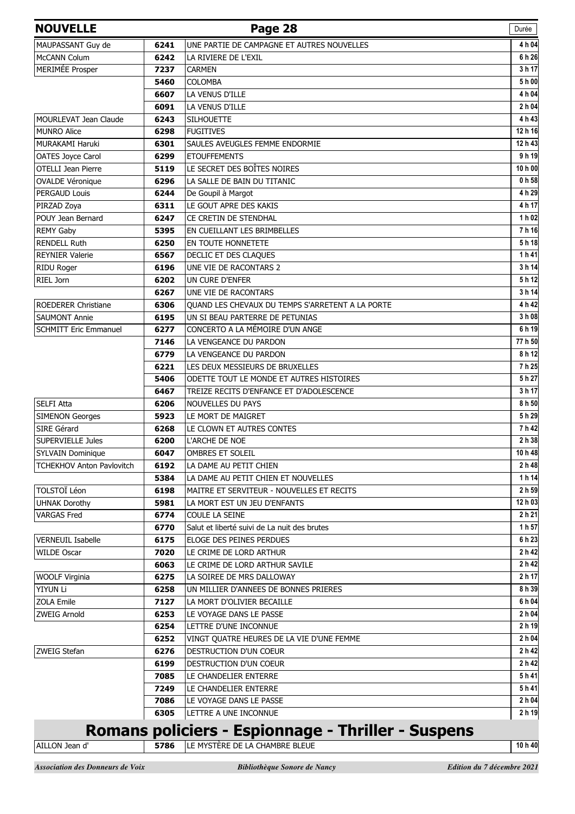| <b>NOUVELLE</b>                  |      | Page 28                                            | Durée          |
|----------------------------------|------|----------------------------------------------------|----------------|
| MAUPASSANT Guy de                | 6241 | UNE PARTIE DE CAMPAGNE ET AUTRES NOUVELLES         | 4 h 04         |
| McCANN Colum                     | 6242 | LA RIVIERE DE L'EXIL                               | 6 h 26         |
| MERIMÉE Prosper                  | 7237 | <b>CARMEN</b>                                      | 3 h 17         |
|                                  | 5460 | <b>COLOMBA</b>                                     | 5 h 00         |
|                                  | 6607 | LA VENUS D'ILLE                                    | 4 h 04         |
|                                  | 6091 | LA VENUS D'ILLE                                    | 2 h 04         |
| MOURLEVAT Jean Claude            | 6243 | <b>SILHOUETTE</b>                                  | 4 h 43         |
| <b>MUNRO Alice</b>               | 6298 | <b>FUGITIVES</b>                                   | 12 h 16        |
| MURAKAMI Haruki                  | 6301 | SAULES AVEUGLES FEMME ENDORMIE                     | 12 h 43        |
| OATES Joyce Carol                | 6299 | <b>ETOUFFEMENTS</b>                                | 9 h 19         |
| OTELLI Jean Pierre               | 5119 | LE SECRET DES BOÎTES NOIRES                        | 10 h 00        |
| <b>OVALDE Véronique</b>          | 6296 | LA SALLE DE BAIN DU TITANIC                        | 0 h 58         |
| PERGAUD Louis                    | 6244 | De Goupil à Margot                                 | 4 h 29         |
| PIRZAD Zoya                      | 6311 | LE GOUT APRE DES KAKIS                             | 4 h 17         |
| POUY Jean Bernard                | 6247 | CE CRETIN DE STENDHAL                              | 1 h 02         |
| <b>REMY Gaby</b>                 | 5395 | EN CUEILLANT LES BRIMBELLES                        | 7h16           |
| <b>RENDELL Ruth</b>              | 6250 | EN TOUTE HONNETETE                                 | 5h18           |
| <b>REYNIER Valerie</b>           | 6567 | DECLIC ET DES CLAQUES                              | 1h41           |
| RIDU Roger                       | 6196 | UNE VIE DE RACONTARS 2                             | 3 h 14         |
| RIEL Jorn                        | 6202 | UN CURE D'ENFER                                    | 5h12           |
|                                  | 6267 | UNE VIE DE RACONTARS                               | 3 h 14         |
| <b>ROEDERER Christiane</b>       | 6306 | QUAND LES CHEVAUX DU TEMPS S'ARRETENT A LA PORTE   | 4 h 42         |
| <b>SAUMONT Annie</b>             | 6195 | UN SI BEAU PARTERRE DE PETUNIAS                    | 3 h 08         |
| <b>SCHMITT Eric Emmanuel</b>     | 6277 | CONCERTO A LA MÉMOIRE D'UN ANGE                    | 6 h 19         |
|                                  | 7146 | LA VENGEANCE DU PARDON                             | 77 h 50        |
|                                  | 6779 | LA VENGEANCE DU PARDON                             | 8 h 12         |
|                                  | 6221 | LES DEUX MESSIEURS DE BRUXELLES                    | 7 h 25         |
|                                  | 5406 | ODETTE TOUT LE MONDE ET AUTRES HISTOIRES           | 5 h 27         |
|                                  | 6467 | TREIZE RECITS D'ENFANCE ET D'ADOLESCENCE           | 3 h 17         |
| SELFI Atta                       | 6206 | <b>NOUVELLES DU PAYS</b>                           | 8 h 50         |
| <b>SIMENON Georges</b>           | 5923 | LE MORT DE MAIGRET                                 | 5 h 29         |
| SIRE Gérard                      | 6268 | LE CLOWN ET AUTRES CONTES                          | 7 h 42         |
| <b>SUPERVIELLE Jules</b>         | 6200 | L'ARCHE DE NOE                                     | 2 h 38         |
| <b>SYLVAIN Dominique</b>         | 6047 | <b>OMBRES ET SOLEIL</b>                            | 10 h 48        |
| <b>TCHEKHOV Anton Pavlovitch</b> | 6192 | LA DAME AU PETIT CHIEN                             | 2 h 48         |
|                                  | 5384 | LA DAME AU PETIT CHIEN ET NOUVELLES                | 1 h 14         |
| <b>TOLSTOÏ Léon</b>              | 6198 | MAITRE ET SERVITEUR - NOUVELLES ET RECITS          | 2 h 59         |
| <b>UHNAK Dorothy</b>             | 5981 | LA MORT EST UN JEU D'ENFANTS                       | 12 h 03        |
| <b>VARGAS Fred</b>               | 6774 | COULE LA SEINE                                     | 2 h 21         |
|                                  | 6770 | Salut et liberté suivi de La nuit des brutes       | 1 h 57         |
| <b>VERNEUIL Isabelle</b>         | 6175 | ELOGE DES PEINES PERDUES                           | 6 h 23         |
| <b>WILDE Oscar</b>               | 7020 | LE CRIME DE LORD ARTHUR                            | 2 h 42         |
|                                  | 6063 | LE CRIME DE LORD ARTHUR SAVILE                     | 2 h 42         |
| WOOLF Virginia                   | 6275 | LA SOIREE DE MRS DALLOWAY                          | 2 h 17         |
| YIYUN Li                         | 6258 | UN MILLIER D'ANNEES DE BONNES PRIERES              | 8 h 39         |
| <b>ZOLA Emile</b>                | 7127 | LA MORT D'OLIVIER BECAILLE                         | 6 h 04         |
| ZWEIG Arnold                     | 6253 | LE VOYAGE DANS LE PASSE                            | 2 h 04         |
|                                  | 6254 | LETTRE D'UNE INCONNUE                              | 2 h 19         |
|                                  | 6252 | VINGT QUATRE HEURES DE LA VIE D'UNE FEMME          | 2 h 04         |
| ZWEIG Stefan                     | 6276 | DESTRUCTION D'UN COEUR                             | 2 h 42         |
|                                  | 6199 | DESTRUCTION D'UN COEUR                             | 2 h 42         |
|                                  | 7085 | LE CHANDELIER ENTERRE                              | 5h41           |
|                                  | 7249 | LE CHANDELIER ENTERRE                              | 5h41<br>2 h 04 |
|                                  | 7086 | LE VOYAGE DANS LE PASSE                            | 2 h 19         |
|                                  | 6305 | LETTRE A UNE INCONNUE                              |                |
|                                  |      | Romans policiers - Espionnage - Thriller - Suspens |                |
| AILLON Jean d'                   | 5786 | LE MYSTÈRE DE LA CHAMBRE BLEUE                     | 10 h 40        |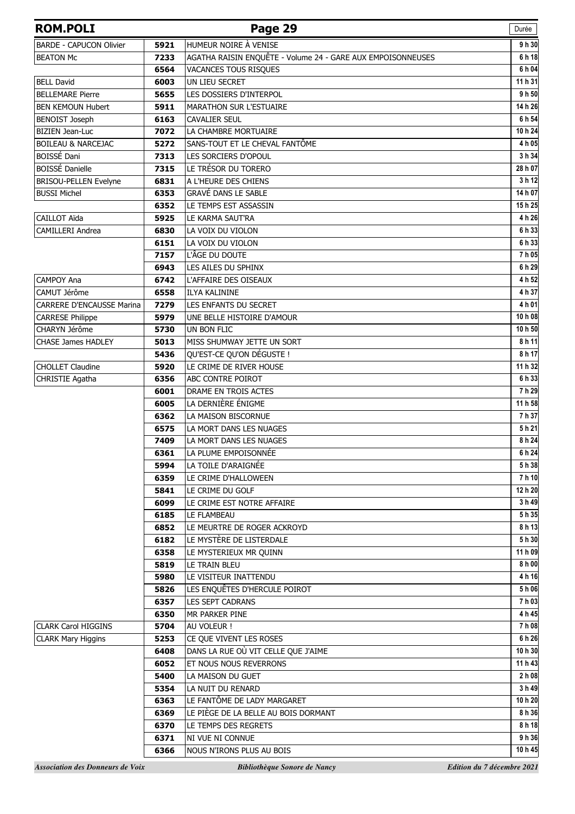| <b>ROM.POLI</b>                |      | Page 29                                                     | Durée   |
|--------------------------------|------|-------------------------------------------------------------|---------|
| <b>BARDE - CAPUCON Olivier</b> | 5921 | HUMEUR NOIRE À VENISE                                       | 9h30    |
| <b>BEATON Mc</b>               | 7233 | AGATHA RAISIN ENQUÊTE - Volume 24 - GARE AUX EMPOISONNEUSES | 6h18    |
|                                | 6564 | VACANCES TOUS RISQUES                                       | 6 h 04  |
| <b>BELL David</b>              | 6003 | UN LIEU SECRET                                              | 11 h 31 |
| <b>BELLEMARE Pierre</b>        | 5655 | LES DOSSIERS D'INTERPOL                                     | 9 h 50  |
| <b>BEN KEMOUN Hubert</b>       | 5911 | <b>MARATHON SUR L'ESTUAIRE</b>                              | 14 h 26 |
| <b>BENOIST Joseph</b>          | 6163 | <b>CAVALIER SEUL</b>                                        | 6 h 54  |
| <b>BIZIEN Jean-Luc</b>         | 7072 | LA CHAMBRE MORTUAIRE                                        | 10 h 24 |
| <b>BOILEAU &amp; NARCEJAC</b>  | 5272 | SANS-TOUT ET LE CHEVAL FANTÔME                              | 4 h 05  |
| BOISSÉ Dani                    | 7313 | LES SORCIERS D'OPOUL                                        | 3 h 34  |
| <b>BOISSÉ Danielle</b>         | 7315 | LE TRÉSOR DU TORERO                                         | 28 h 07 |
| BRISOU-PELLEN Evelyne          | 6831 | A L'HEURE DES CHIENS                                        | 3 h 12  |
| <b>BUSSI Michel</b>            | 6353 | <b>GRAVÉ DANS LE SABLE</b>                                  | 14 h 07 |
|                                | 6352 | LE TEMPS EST ASSASSIN                                       | 15h25   |
| CAILLOT Aïda                   | 5925 | LE KARMA SAUT'RA                                            | 4 h 26  |
| <b>CAMILLERI Andrea</b>        | 6830 | LA VOIX DU VIOLON                                           | 6h33    |
|                                | 6151 | LA VOIX DU VIOLON                                           | 6h33    |
|                                | 7157 | L'ÂGE DU DOUTE                                              | 7h05    |
|                                | 6943 | LES AILES DU SPHINX                                         | 6 h 29  |
| CAMPOY Ana                     | 6742 | L'AFFAIRE DES OISEAUX                                       | 4 h 52  |
| CAMUT Jérôme                   | 6558 | <b>ILYA KALININE</b>                                        | 4 h 37  |
| CARRERE D'ENCAUSSE Marina      | 7279 | LES ENFANTS DU SECRET                                       | 4 h 01  |
| <b>CARRESE Philippe</b>        | 5979 | UNE BELLE HISTOIRE D'AMOUR                                  | 10 h 08 |
| CHARYN Jérôme                  | 5730 | UN BON FLIC                                                 | 10 h 50 |
| <b>CHASE James HADLEY</b>      | 5013 | MISS SHUMWAY JETTE UN SORT                                  | 8h11    |
|                                | 5436 | QU'EST-CE QU'ON DÉGUSTE !                                   | 8 h 17  |
| <b>CHOLLET Claudine</b>        | 5920 | LE CRIME DE RIVER HOUSE                                     | 11 h 32 |
| CHRISTIE Agatha                | 6356 | ABC CONTRE POIROT                                           | 6 h 33  |
|                                | 6001 | DRAME EN TROIS ACTES                                        | 7 h 29  |
|                                | 6005 | LA DERNIÈRE ÉNIGME                                          | 11 h 58 |
|                                | 6362 | LA MAISON BISCORNUE                                         | 7 h 37  |
|                                | 6575 | LA MORT DANS LES NUAGES                                     | 5h21    |
|                                | 7409 | LA MORT DANS LES NUAGES                                     | 8 h 24  |
|                                | 6361 | LA PLUME EMPOISONNÉE                                        | 6 h 24  |
|                                | 5994 | LA TOILE D'ARAIGNÉE                                         | 5h 38   |
|                                | 6359 | LE CRIME D'HALLOWEEN                                        | 7h10    |
|                                | 5841 | LE CRIME DU GOLF                                            | 12 h 20 |
|                                | 6099 | LE CRIME EST NOTRE AFFAIRE                                  | 3 h 49  |
|                                | 6185 | LE FLAMBEAU                                                 | 5h 35   |
|                                | 6852 | LE MEURTRE DE ROGER ACKROYD                                 | 8h13    |
|                                | 6182 | LE MYSTÈRE DE LISTERDALE                                    | 5 h 30  |
|                                | 6358 | LE MYSTERIEUX MR QUINN                                      | 11 h 09 |
|                                | 5819 | LE TRAIN BLEU                                               | 8 h 00  |
|                                | 5980 | LE VISITEUR INATTENDU                                       | 4h16    |
|                                | 5826 | LES ENQUÊTES D'HERCULE POIROT                               | 5h06    |
|                                | 6357 | LES SEPT CADRANS                                            | 7h03    |
|                                | 6350 | MR PARKER PINE                                              | 4 h 45  |
| <b>CLARK Carol HIGGINS</b>     | 5704 | AU VOLEUR !                                                 | 7h08    |
| <b>CLARK Mary Higgins</b>      | 5253 | CE QUE VIVENT LES ROSES                                     | 6 h 26  |
|                                | 6408 | DANS LA RUE OÙ VIT CELLE QUE J'AIME                         | 10 h 30 |
|                                | 6052 | ET NOUS NOUS REVERRONS                                      | 11 h 43 |
|                                | 5400 | LA MAISON DU GUET                                           | 2 h 08  |
|                                | 5354 | LA NUIT DU RENARD                                           | 3 h 49  |
|                                | 6363 | LE FANTÔME DE LADY MARGARET                                 | 10 h 20 |
|                                | 6369 | LE PIÈGE DE LA BELLE AU BOIS DORMANT                        | 8 h 36  |
|                                | 6370 | LE TEMPS DES REGRETS                                        | 8 h 18  |
|                                | 6371 | NI VUE NI CONNUE                                            | 9 h 36  |
|                                | 6366 | NOUS N'IRONS PLUS AU BOIS                                   | 10 h 45 |
|                                |      |                                                             |         |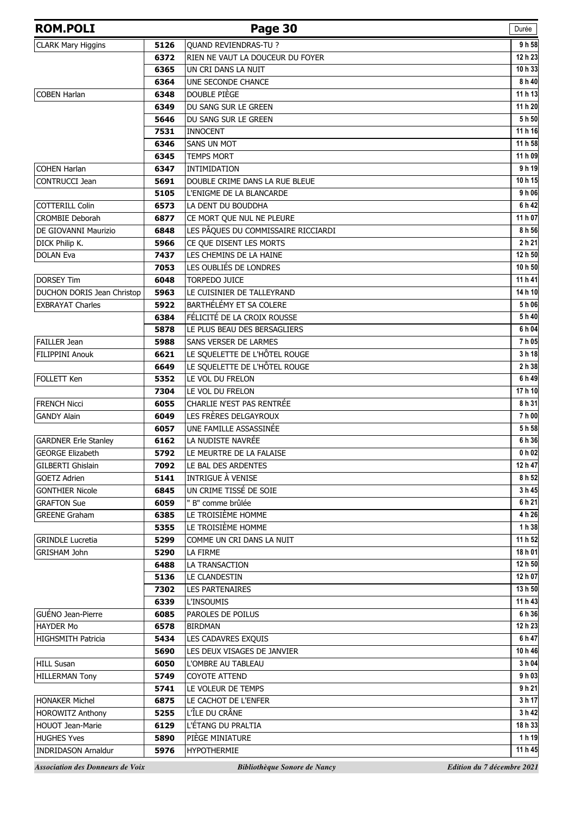| <b>ROM.POLI</b>                         |      | Page 30                             | Durée                      |
|-----------------------------------------|------|-------------------------------------|----------------------------|
| <b>CLARK Mary Higgins</b>               | 5126 | QUAND REVIENDRAS-TU ?               | 9 h 58                     |
|                                         | 6372 | RIEN NE VAUT LA DOUCEUR DU FOYER    | 12 h 23                    |
|                                         | 6365 | UN CRI DANS LA NUIT                 | 10 h 33                    |
|                                         | 6364 | UNE SECONDE CHANCE                  | 8 h 40                     |
| <b>COBEN Harlan</b>                     | 6348 | DOUBLE PIÈGE                        | 11 h 13                    |
|                                         | 6349 | DU SANG SUR LE GREEN                | 11 h 20                    |
|                                         | 5646 | DU SANG SUR LE GREEN                | 5 h 50                     |
|                                         | 7531 | <b>INNOCENT</b>                     | 11 h 16                    |
|                                         | 6346 | <b>SANS UN MOT</b>                  | 11 h 58                    |
|                                         | 6345 | <b>TEMPS MORT</b>                   | 11 h 09                    |
| <b>COHEN Harlan</b>                     | 6347 | INTIMIDATION                        | 9 h 19                     |
| CONTRUCCI Jean                          | 5691 | DOUBLE CRIME DANS LA RUE BLEUE      | 10 h 15                    |
|                                         | 5105 | L'ENIGME DE LA BLANCARDE            | 9 h 06                     |
| <b>COTTERILL Colin</b>                  | 6573 | LA DENT DU BOUDDHA                  | 6 h 42                     |
| <b>CROMBIE Deborah</b>                  | 6877 | CE MORT QUE NUL NE PLEURE           | 11 h 07                    |
| DE GIOVANNI Maurizio                    | 6848 | LES PÂQUES DU COMMISSAIRE RICCIARDI | 8 h 56                     |
| DICK Philip K.                          | 5966 | CE QUE DISENT LES MORTS             | 2 h 21                     |
| <b>DOLAN Eva</b>                        | 7437 | LES CHEMINS DE LA HAINE             | 12 h 50                    |
|                                         | 7053 | LES OUBLIÉS DE LONDRES              | 10 h 50                    |
| <b>DORSEY Tim</b>                       | 6048 | <b>TORPEDO JUICE</b>                | 11 h 41                    |
| DUCHON DORIS Jean Christop              | 5963 | LE CUISINIER DE TALLEYRAND          | 14 h 10                    |
| <b>EXBRAYAT Charles</b>                 | 5922 | BARTHÉLÉMY ET SA COLERE             | 5 h 06                     |
|                                         | 6384 | FÉLICITÉ DE LA CROIX ROUSSE         | 5h40                       |
|                                         | 5878 | LE PLUS BEAU DES BERSAGLIERS        | 6 h 04                     |
| <b>FAILLER Jean</b>                     | 5988 | SANS VERSER DE LARMES               | 7h05                       |
| FILIPPINI Anouk                         | 6621 | LE SQUELETTE DE L'HÔTEL ROUGE       | 3 h 18                     |
|                                         | 6649 | LE SQUELETTE DE L'HÔTEL ROUGE       | 2 h 38                     |
| FOLLETT Ken                             | 5352 | LE VOL DU FRELON                    | 6 h 49                     |
|                                         | 7304 | LE VOL DU FRELON                    | 17 h 10                    |
| <b>FRENCH Nicci</b>                     | 6055 | <b>CHARLIE N'EST PAS RENTRÉE</b>    | 8 h 31                     |
| <b>GANDY Alain</b>                      | 6049 | LES FRÈRES DELGAYROUX               | 7 h 00                     |
|                                         | 6057 | UNE FAMILLE ASSASSINÉE              | 5 h 58                     |
| <b>GARDNER Erle Stanley</b>             | 6162 | LA NUDISTE NAVRÉE                   | 6 h 36                     |
| <b>GEORGE Elizabeth</b>                 | 5792 | LE MEURTRE DE LA FALAISE            | 0 h 02                     |
| GILBERTI Ghislain                       | 7092 | LE BAL DES ARDENTES                 | 12 h 47                    |
| <b>GOETZ Adrien</b>                     | 5141 | INTRIGUE À VENISE                   | 8 h 52                     |
| <b>GONTHIER Nicole</b>                  | 6845 | UN CRIME TISSÉ DE SOIE              | 3 h 45                     |
| <b>GRAFTON Sue</b>                      | 6059 | " B" comme brûlée                   | 6 h 21                     |
| <b>GREENE Graham</b>                    | 6385 | LE TROISIÈME HOMME                  | 4 h 26                     |
|                                         | 5355 | LE TROISIÈME HOMME                  | 1 h 38                     |
| <b>GRINDLE Lucretia</b>                 | 5299 | COMME UN CRI DANS LA NUIT           | 11 h 52                    |
| <b>GRISHAM John</b>                     | 5290 | LA FIRME                            | 18 h 01                    |
|                                         | 6488 | LA TRANSACTION                      | 12 h 50                    |
|                                         | 5136 | LE CLANDESTIN                       | 12 h 07                    |
|                                         | 7302 | <b>LES PARTENAIRES</b>              | 13 h 50                    |
|                                         | 6339 | <b>L'INSOUMIS</b>                   | 11 h 43                    |
| GUÉNO Jean-Pierre                       | 6085 | PAROLES DE POILUS                   | 6 h 36                     |
| <b>HAYDER Mo</b>                        | 6578 | <b>BIRDMAN</b>                      | 12 h 23                    |
| <b>HIGHSMITH Patricia</b>               | 5434 | LES CADAVRES EXQUIS                 | 6 h 47                     |
|                                         | 5690 | LES DEUX VISAGES DE JANVIER         | 10 h 46                    |
| <b>HILL Susan</b>                       | 6050 | L'OMBRE AU TABLEAU                  | 3 h 04                     |
| <b>HILLERMAN Tony</b>                   | 5749 | <b>COYOTE ATTEND</b>                | 9 h 03                     |
|                                         | 5741 | LE VOLEUR DE TEMPS                  | 9 h 21                     |
| <b>HONAKER Michel</b>                   | 6875 | LE CACHOT DE L'ENFER                | 3 h 17                     |
| <b>HOROWITZ Anthony</b>                 | 5255 | L'ÎLE DU CRÂNE                      | 3 h 42                     |
| HOUOT Jean-Marie                        | 6129 | L'ÉTANG DU PRALTIA                  | 18 h 33                    |
| <b>HUGHES Yves</b>                      | 5890 | PIÈGE MINIATURE                     | 1 h 19                     |
| <b>INDRIDASON Arnaldur</b>              | 5976 | <b>HYPOTHERMIE</b>                  | 11 h 45                    |
| <b>Association des Donneurs de Voix</b> |      | Bibliothèque Sonore de Nancy        | Edition du 7 décembre 2021 |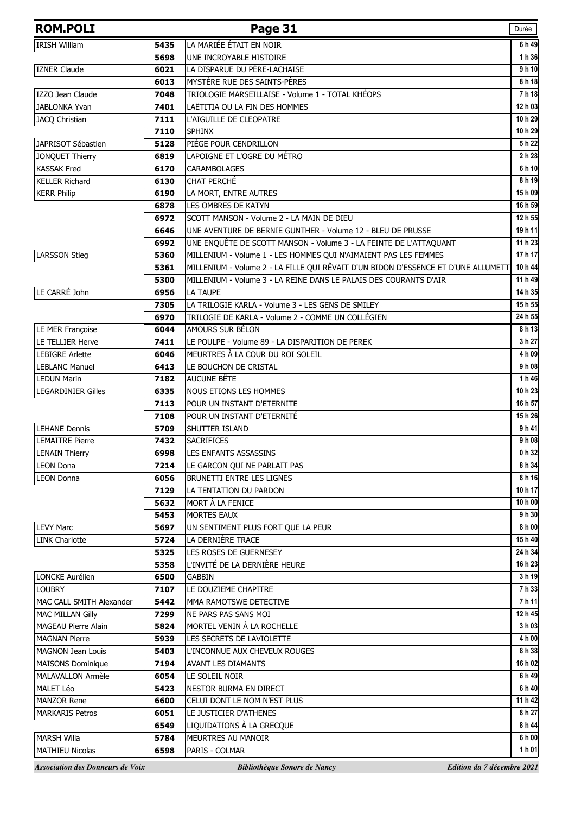| <b>ROM.POLI</b>                         |              | Page 31                                                                           | Durée              |
|-----------------------------------------|--------------|-----------------------------------------------------------------------------------|--------------------|
| <b>IRISH William</b>                    | 5435         | LA MARIÉE ÉTAIT EN NOIR                                                           | 6 h 49             |
|                                         | 5698         | UNE INCROYABLE HISTOIRE                                                           | 1 h 36             |
| <b>IZNER Claude</b>                     | 6021         | LA DISPARUE DU PÈRE-LACHAISE                                                      | 9 h 10             |
|                                         | 6013         | MYSTÈRE RUE DES SAINTS-PÈRES                                                      | 8 h 18             |
| IZZO Jean Claude                        | 7048         | TRIOLOGIE MARSEILLAISE - Volume 1 - TOTAL KHÉOPS                                  | 7h18               |
| <b>JABLONKA Yvan</b>                    | 7401         | LAËTITIA OU LA FIN DES HOMMES                                                     | 12 h 03            |
| JACQ Christian                          | 7111         | L'AIGUILLE DE CLEOPATRE                                                           | 10 h 29            |
|                                         | 7110         | <b>SPHINX</b>                                                                     | 10 h 29            |
| JAPRISOT Sébastien                      | 5128         | PIÈGE POUR CENDRILLON                                                             | 5 h 22             |
| JONQUET Thierry                         | 6819         | LAPOIGNE ET L'OGRE DU MÉTRO                                                       | 2 h 28             |
| <b>KASSAK Fred</b>                      | 6170         | <b>CARAMBOLAGES</b>                                                               | 6 h 10             |
| <b>KELLER Richard</b>                   | 6130         | CHAT PERCHÉ                                                                       | 8 h 19             |
| <b>KERR Philip</b>                      | 6190         | LA MORT, ENTRE AUTRES                                                             | 15h09              |
|                                         | 6878         | LES OMBRES DE KATYN                                                               | 16 h 59            |
|                                         | 6972         | SCOTT MANSON - Volume 2 - LA MAIN DE DIEU                                         | 12 h 55            |
|                                         | 6646         | UNE AVENTURE DE BERNIE GUNTHER - Volume 12 - BLEU DE PRUSSE                       | 19h 11             |
|                                         | 6992         | UNE ENQUÊTE DE SCOTT MANSON - Volume 3 - LA FEINTE DE L'ATTAQUANT                 | 11h23              |
| <b>LARSSON Stieg</b>                    | 5360         | MILLENIUM - Volume 1 - LES HOMMES QUI N'AIMAIENT PAS LES FEMMES                   | 17 h 17            |
|                                         | 5361         | MILLENIUM - Volume 2 - LA FILLE QUI RÊVAIT D'UN BIDON D'ESSENCE ET D'UNE ALLUMETT | 10 h 44            |
|                                         | 5300         | MILLENIUM - Volume 3 - LA REINE DANS LE PALAIS DES COURANTS D'AIR                 | 11 h 49            |
| LE CARRÉ John                           | 6956         | <b>LA TAUPE</b>                                                                   | 14 h 35            |
|                                         | 7305         | LA TRILOGIE KARLA - Volume 3 - LES GENS DE SMILEY                                 | 15 h 55            |
|                                         | 6970         | TRILOGIE DE KARLA - Volume 2 - COMME UN COLLÉGIEN                                 | 24 h 55            |
| LE MER Françoise                        | 6044         | AMOURS SUR BÉLON                                                                  | 8 h 13             |
| LE TELLIER Herve                        | 7411         | LE POULPE - Volume 89 - LA DISPARITION DE PEREK                                   | 3 h 27             |
| <b>LEBIGRE Arlette</b>                  | 6046         | MEURTRES À LA COUR DU ROI SOLEIL                                                  | 4 h 09             |
| <b>LEBLANC Manuel</b>                   | 6413         | LE BOUCHON DE CRISTAL                                                             | 9 h 08             |
| <b>LEDUN Marin</b>                      | 7182         | AUCUNE BÊTE                                                                       | 1h46               |
| <b>LEGARDINIER Gilles</b>               | 6335<br>7113 | <b>NOUS ETIONS LES HOMMES</b>                                                     | 10 h 23<br>16 h 57 |
|                                         |              | POUR UN INSTANT D'ETERNITE<br>POUR UN INSTANT D'ETERNITÉ                          | 15h 26             |
| <b>LEHANE Dennis</b>                    | 7108         | SHUTTER ISLAND                                                                    | 9h41               |
| <b>LEMAITRE Pierre</b>                  | 5709<br>7432 | <b>SACRIFICES</b>                                                                 | 9 h 08             |
| <b>LENAIN Thierry</b>                   | 6998         | LES ENFANTS ASSASSINS                                                             | 0 h 32             |
| <b>LEON Dona</b>                        | 7214         | LE GARCON QUI NE PARLAIT PAS                                                      | 8 h 34             |
| <b>LEON Donna</b>                       | 6056         | BRUNETTI ENTRE LES LIGNES                                                         | 8 h 16             |
|                                         | 7129         | LA TENTATION DU PARDON                                                            | 10 h 17            |
|                                         | 5632         | MORT À LA FENICE                                                                  | 10 h 00            |
|                                         | 5453         | <b>MORTES EAUX</b>                                                                | 9 h 30             |
| <b>LEVY Marc</b>                        | 5697         | UN SENTIMENT PLUS FORT QUE LA PEUR                                                | 8 h 00             |
| <b>LINK Charlotte</b>                   | 5724         | LA DERNIÈRE TRACE                                                                 | 15h40              |
|                                         | 5325         | LES ROSES DE GUERNESEY                                                            | 24 h 34            |
|                                         | 5358         | L'INVITÉ DE LA DERNIÈRE HEURE                                                     | 16 h 23            |
| LONCKE Aurélien                         | 6500         | <b>GABBIN</b>                                                                     | 3 h 19             |
| <b>LOUBRY</b>                           | 7107         | LE DOUZIEME CHAPITRE                                                              | 7h 33              |
| MAC CALL SMITH Alexander                | 5442         | MMA RAMOTSWE DETECTIVE                                                            | 7h11               |
| <b>MAC MILLAN Gilly</b>                 | 7299         | NE PARS PAS SANS MOI                                                              | 12 h 45            |
| MAGEAU Pierre Alain                     | 5824         | MORTEL VENIN À LA ROCHELLE                                                        | 3 h 03             |
| <b>MAGNAN Pierre</b>                    | 5939         | LES SECRETS DE LAVIOLETTE                                                         | 4 h 00             |
| <b>MAGNON Jean Louis</b>                | 5403         | L'INCONNUE AUX CHEVEUX ROUGES                                                     | 8 h 38             |
| <b>MAISONS Dominique</b>                | 7194         | <b>AVANT LES DIAMANTS</b>                                                         | 16 h 02            |
| <b>MALAVALLON Armèle</b>                | 6054         | LE SOLEIL NOIR                                                                    | 6 h 49             |
| MALET Léo                               | 5423         | NESTOR BURMA EN DIRECT                                                            | 6 h 40             |
| <b>MANZOR Rene</b>                      | 6600         | CELUI DONT LE NOM N'EST PLUS                                                      | 11 h 42            |
| <b>MARKARIS Petros</b>                  | 6051         | LE JUSTICIER D'ATHENES                                                            | 8 h 27             |
|                                         | 6549         | LIQUIDATIONS À LA GRECQUE                                                         | 8 h 44             |
| <b>MARSH Willa</b>                      | 5784         | MEURTRES AU MANOIR                                                                | 6 h 00             |
| <b>MATHIEU Nicolas</b>                  | 6598         | PARIS - COLMAR                                                                    | 1 h 01             |
| <b>Association des Donneurs de Voix</b> |              | Edition du 7 décembre 2021<br>Bibliothèque Sonore de Nancy                        |                    |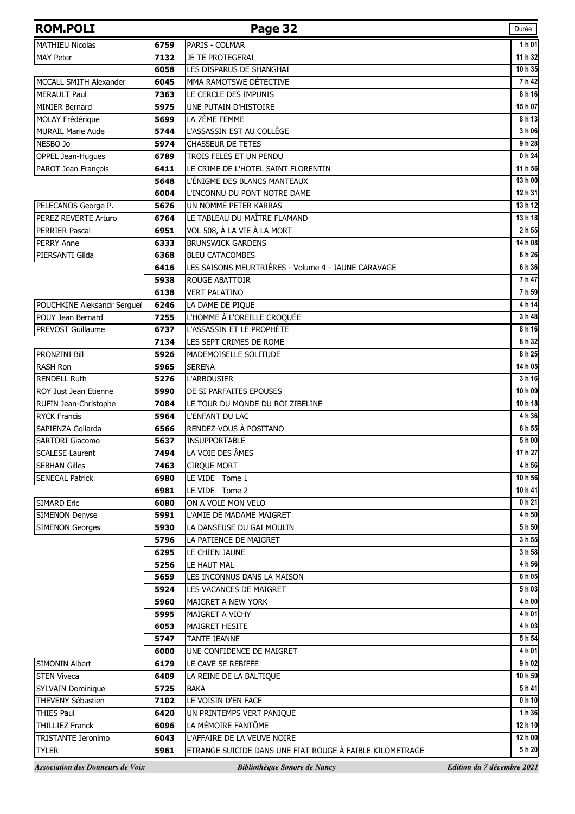| <b>ROM.POLI</b>                         |              | Page 32                                                  | Durée                      |
|-----------------------------------------|--------------|----------------------------------------------------------|----------------------------|
| <b>MATHIEU Nicolas</b>                  | 6759         | PARIS - COLMAR                                           | 1h01                       |
| <b>MAY Peter</b>                        | 7132         | JE TE PROTEGERAI                                         | 11 h 32                    |
|                                         | 6058         | LES DISPARUS DE SHANGHAI                                 | 10 h 35                    |
| MCCALL SMITH Alexander                  | 6045         | MMA RAMOTSWE DÉTECTIVE                                   | 7h42                       |
| <b>MERAULT Paul</b>                     | 7363         | LE CERCLE DES IMPUNIS                                    | 8 h 16                     |
| <b>MINIER Bernard</b>                   | 5975         | UNE PUTAIN D'HISTOIRE                                    | 15h07                      |
| MOLAY Frédérique                        | 5699         | LA 7ÈME FEMME                                            | 8 h 13                     |
| <b>MURAIL Marie Aude</b>                | 5744         | L'ASSASSIN EST AU COLLÈGE                                | 3 h 06                     |
| NESBO Jo                                | 5974         | <b>CHASSEUR DE TETES</b>                                 | 9 h 28                     |
| OPPEL Jean-Hugues                       | 6789         | TROIS FELES ET UN PENDU                                  | 0 <sub>h</sub> 24          |
| PAROT Jean François                     | 6411         | LE CRIME DE L'HOTEL SAINT FLORENTIN                      | 11 h 56                    |
|                                         | 5648         | L'ÉNIGME DES BLANCS MANTEAUX                             | 13 h 00                    |
|                                         | 6004         | L'INCONNU DU PONT NOTRE DAME                             | 12 h 31                    |
| PELECANOS George P.                     | 5676         | UN NOMMÉ PETER KARRAS                                    | 13 h 12                    |
| PEREZ REVERTE Arturo                    | 6764         | LE TABLEAU DU MAÎTRE FLAMAND                             | 13 h 18                    |
| <b>PERRIER Pascal</b>                   | 6951         | VOL 508, À LA VIE À LA MORT                              | 2 h 55                     |
| <b>PERRY Anne</b>                       | 6333         | <b>BRUNSWICK GARDENS</b>                                 | 14 h 08                    |
| PIERSANTI Gilda                         | 6368         | <b>BLEU CATACOMBES</b>                                   | 6 h 26                     |
|                                         | 6416         | LES SAISONS MEURTRIÈRES - Volume 4 - JAUNE CARAVAGE      | 6 h 36                     |
|                                         | 5938         | <b>ROUGE ABATTOIR</b>                                    | 7 h 47                     |
|                                         | 6138         | <b>VERT PALATINO</b>                                     | 7 h 59                     |
| POUCHKINE Aleksandr Sergueï             | 6246         | LA DAME DE PIQUE                                         | 4 h 14                     |
| POUY Jean Bernard                       | 7255         | L'HOMME À L'OREILLE CROQUÉE                              | 3 h 48                     |
| PREVOST Guillaume                       | 6737         | L'ASSASSIN ET LE PROPHÈTE                                | 8 h 16                     |
|                                         | 7134         | LES SEPT CRIMES DE ROME                                  | 8 h 32                     |
| PRONZINI Bill                           | 5926         | MADEMOISELLE SOLITUDE                                    | 8 h 25                     |
| RASH Ron                                | 5965         | <b>SERENA</b>                                            | 14 h 05                    |
| <b>RENDELL Ruth</b>                     | 5276         | <b>L'ARBOUSIER</b>                                       | 3 h 16                     |
| ROY Just Jean Etienne                   | 5990         | DE SI PARFAITES EPOUSES                                  | 10 h 09                    |
| RUFIN Jean-Christophe                   | 7084         | LE TOUR DU MONDE DU ROI ZIBELINE                         | 10 h 18                    |
| <b>RYCK Francis</b>                     | 5964         | L'ENFANT DU LAC                                          | 4 h 36                     |
| SAPIENZA Goliarda                       | 6566         | RENDEZ-VOUS À POSITANO                                   | 6 h 55                     |
| SARTORI Giacomo                         | 5637         | <b>INSUPPORTABLE</b>                                     | 5 h 00                     |
| <b>SCALESE Laurent</b>                  | 7494         | LA VOIE DES ÂMES                                         | 17 h 27                    |
| <b>SEBHAN Gilles</b>                    | 7463         | <b>CIRQUE MORT</b>                                       | 4 h 56                     |
| <b>SENECAL Patrick</b>                  | 6980         | LE VIDE Tome 1                                           | 10 h 56                    |
|                                         | 6981         | LE VIDE Tome 2                                           | 10 h 41                    |
| <b>SIMARD Eric</b>                      | 6080         | ON A VOLE MON VELO                                       | 0 <sub>h</sub> 21          |
| <b>SIMENON Denyse</b>                   | 5991         | L'AMIE DE MADAME MAIGRET                                 | 4 h 50                     |
| <b>SIMENON Georges</b>                  | 5930         | LA DANSEUSE DU GAI MOULIN                                | 5 h 50                     |
|                                         | 5796         | LA PATIENCE DE MAIGRET                                   | 3 h 55                     |
|                                         | 6295         | LE CHIEN JAUNE                                           | 3 h 58                     |
|                                         | 5256         | LE HAUT MAL                                              | 4 h 56                     |
|                                         | 5659         | LES INCONNUS DANS LA MAISON                              | 6 h 05                     |
|                                         | 5924         | LES VACANCES DE MAIGRET                                  | 5 h 03                     |
|                                         | 5960         | MAIGRET A NEW YORK                                       | 4 h 00                     |
|                                         | 5995         | MAIGRET A VICHY                                          | 4 h 01<br>4 h 03           |
|                                         | 6053         | <b>MAIGRET HESITE</b>                                    | 5 h 54                     |
|                                         | 5747         | <b>TANTE JEANNE</b>                                      | 4 h 01                     |
| SIMONIN Albert                          | 6000<br>6179 | UNE CONFIDENCE DE MAIGRET<br>LE CAVE SE REBIFFE          | 9 h 02                     |
|                                         |              |                                                          | 10 h 59                    |
| <b>STEN Viveca</b>                      | 6409         | LA REINE DE LA BALTIQUE                                  | 5h41                       |
| SYLVAIN Dominique<br>THEVENY Sébastien  | 5725         | <b>BAKA</b><br>LE VOISIN D'EN FACE                       | 0 <sub>h</sub> 10          |
| <b>THIES Paul</b>                       | 7102<br>6420 |                                                          | 1 h 36                     |
| <b>THILLIEZ Franck</b>                  | 6096         | UN PRINTEMPS VERT PANIQUE<br>LA MÉMOIRE FANTÔME          | 12 h 10                    |
| <b>TRISTANTE Jeronimo</b>               | 6043         | L'AFFAIRE DE LA VEUVE NOIRE                              | 12 h 00                    |
| <b>TYLER</b>                            | 5961         | ETRANGE SUICIDE DANS UNE FIAT ROUGE À FAIBLE KILOMETRAGE | 5 h 20                     |
|                                         |              |                                                          |                            |
| <b>Association des Donneurs de Voix</b> |              | Bibliothèque Sonore de Nancy                             | Edition du 7 décembre 2021 |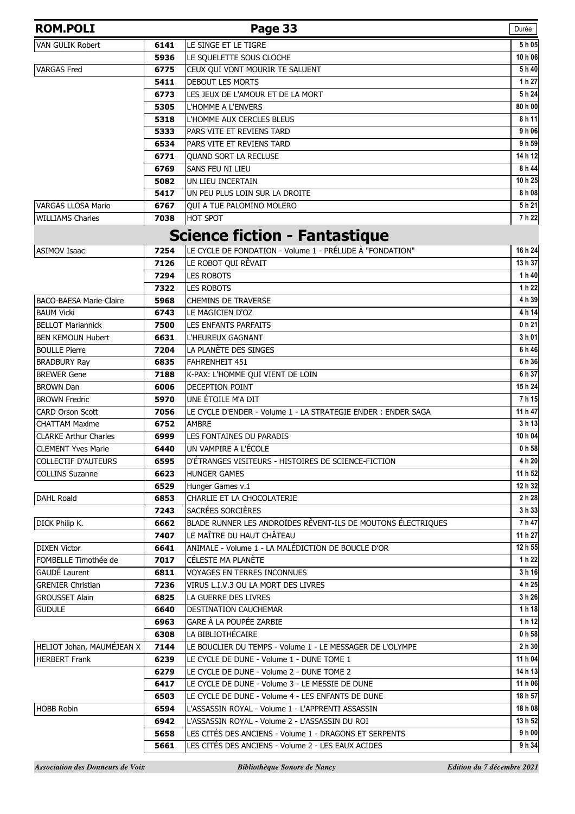| <b>ROM.POLI</b>                |              | Page 33                                                                                   | Durée             |
|--------------------------------|--------------|-------------------------------------------------------------------------------------------|-------------------|
| VAN GULIK Robert               | 6141         | LE SINGE ET LE TIGRE                                                                      | 5 h 05            |
|                                | 5936         | LE SQUELETTE SOUS CLOCHE                                                                  | 10 h 06           |
| <b>VARGAS Fred</b>             | 6775         | CEUX QUI VONT MOURIR TE SALUENT                                                           | 5h40              |
|                                | 5411         | DEBOUT LES MORTS                                                                          | 1 h 27            |
|                                | 6773         | LES JEUX DE L'AMOUR ET DE LA MORT                                                         | 5h24              |
|                                | 5305         | L'HOMME A L'ENVERS                                                                        | 80 h 00           |
|                                | 5318         | L'HOMME AUX CERCLES BLEUS                                                                 | 8 h 11            |
|                                | 5333         | PARS VITE ET REVIENS TARD                                                                 | 9 h 06            |
|                                | 6534         | PARS VITE ET REVIENS TARD                                                                 | 9 h 59<br>14 h 12 |
|                                | 6771<br>6769 | QUAND SORT LA RECLUSE<br>SANS FEU NI LIEU                                                 | 8 h 44            |
|                                | 5082         | UN LIEU INCERTAIN                                                                         | 10 h 25           |
|                                | 5417         | UN PEU PLUS LOIN SUR LA DROITE                                                            | 8 h 08            |
| <b>VARGAS LLOSA Mario</b>      | 6767         | QUI A TUE PALOMINO MOLERO                                                                 | 5h21              |
| <b>WILLIAMS Charles</b>        | 7038         | HOT SPOT                                                                                  | 7h22              |
|                                |              | <b>Science fiction - Fantastique</b>                                                      |                   |
| <b>ASIMOV Isaac</b>            | 7254         | LE CYCLE DE FONDATION - Volume 1 - PRÉLUDE À "FONDATION"                                  | 16 h 24           |
|                                | 7126         | LE ROBOT QUI RÊVAIT                                                                       | 13 h 37           |
|                                | 7294         | <b>LES ROBOTS</b>                                                                         | 1 h 40            |
|                                | 7322         | <b>LES ROBOTS</b>                                                                         | 1 h 22            |
| <b>BACO-BAESA Marie-Claire</b> | 5968         | <b>CHEMINS DE TRAVERSE</b>                                                                | 4 h 39            |
| <b>BAUM Vicki</b>              | 6743         | LE MAGICIEN D'OZ                                                                          | 4 h 14            |
| <b>BELLOT Mariannick</b>       | 7500         | <b>LES ENFANTS PARFAITS</b>                                                               | 0 h 21            |
| <b>BEN KEMOUN Hubert</b>       | 6631         | L'HEUREUX GAGNANT                                                                         | 3 h 01            |
| <b>BOULLE Pierre</b>           | 7204         | LA PLANÈTE DES SINGES                                                                     | 6 h 46            |
| <b>BRADBURY Ray</b>            | 6835         | FAHRENHEIT 451                                                                            | 6 h 36            |
| <b>BREWER Gene</b>             | 7188         | K-PAX: L'HOMME QUI VIENT DE LOIN                                                          | 6 h 37            |
| <b>BROWN Dan</b>               | 6006         | DECEPTION POINT                                                                           | 15 h 24           |
| <b>BROWN Fredric</b>           | 5970         | UNE ÉTOILE M'A DIT                                                                        | 7h15              |
| <b>CARD Orson Scott</b>        | 7056         | LE CYCLE D'ENDER - Volume 1 - LA STRATEGIE ENDER : ENDER SAGA                             | 11 h 47           |
| <b>CHATTAM Maxime</b>          | 6752         | <b>AMBRE</b>                                                                              | 3 h 13            |
| <b>CLARKE Arthur Charles</b>   | 6999         | LES FONTAINES DU PARADIS                                                                  | 10 h 04           |
| <b>CLEMENT Yves Marie</b>      | 6440         | UN VAMPIRE A L'ÉCOLE                                                                      | 0 h 58            |
| <b>COLLECTIF D'AUTEURS</b>     | 6595         | D'ÉTRANGES VISITEURS - HISTOIRES DE SCIENCE-FICTION                                       | 4 h 20            |
| <b>COLLINS Suzanne</b>         | 6623         | <b>HUNGER GAMES</b>                                                                       | 11 h 52           |
|                                | 6529         | Hunger Games v.1                                                                          | 12 h 32           |
| <b>DAHL Roald</b>              | 6853         | CHARLIE ET LA CHOCOLATERIE                                                                | 2 h 28            |
|                                | 7243         | SACRÉES SORCIÈRES                                                                         | 3 h 33            |
| DICK Philip K.                 | 6662         | BLADE RUNNER LES ANDROÏDES RÊVENT-ILS DE MOUTONS ÉLECTRIQUES<br>LE MAÎTRE DU HAUT CHÂTEAU | 7 h 47<br>11 h 27 |
| <b>DIXEN Victor</b>            | 7407<br>6641 | ANIMALE - Volume 1 - LA MALÉDICTION DE BOUCLE D'OR                                        | 12 h 55           |
| FOMBELLE Timothée de           | 7017         | CÉLESTE MA PLANÈTE                                                                        | 1 h 22            |
| GAUDÉ Laurent                  | 6811         | <b>VOYAGES EN TERRES INCONNUES</b>                                                        | 3 h 16            |
| <b>GRENIER Christian</b>       | 7236         | VIRUS L.I.V.3 OU LA MORT DES LIVRES                                                       | 4 h 25            |
| <b>GROUSSET Alain</b>          | 6825         | LA GUERRE DES LIVRES                                                                      | 3 h 26            |
| <b>GUDULE</b>                  | 6640         | DESTINATION CAUCHEMAR                                                                     | 1h18              |
|                                | 6963         | GARE À LA POUPÉE ZARBIE                                                                   | 1 h 12            |
|                                | 6308         | LA BIBLIOTHÉCAIRE                                                                         | 0 h 58            |
| HELIOT Johan, MAUMÉJEAN X      | 7144         | LE BOUCLIER DU TEMPS - Volume 1 - LE MESSAGER DE L'OLYMPE                                 | 2 h 30            |
| <b>HERBERT Frank</b>           | 6239         | LE CYCLE DE DUNE - Volume 1 - DUNE TOME 1                                                 | 11 h 04           |
|                                | 6279         | LE CYCLE DE DUNE - Volume 2 - DUNE TOME 2                                                 | 14 h 13           |
|                                | 6417         | LE CYCLE DE DUNE - Volume 3 - LE MESSIE DE DUNE                                           | 11 h 06           |
|                                | 6503         | LE CYCLE DE DUNE - Volume 4 - LES ENFANTS DE DUNE                                         | 18 h 57           |
| <b>HOBB Robin</b>              | 6594         | L'ASSASSIN ROYAL - Volume 1 - L'APPRENTI ASSASSIN                                         | 18 h 08           |
|                                | 6942         | L'ASSASSIN ROYAL - Volume 2 - L'ASSASSIN DU ROI                                           | 13 h 52           |
|                                | 5658         | LES CITÉS DES ANCIENS - Volume 1 - DRAGONS ET SERPENTS                                    | 9 h 00            |
|                                | 5661         | LES CITÉS DES ANCIENS - Volume 2 - LES EAUX ACIDES                                        | 9 h 34            |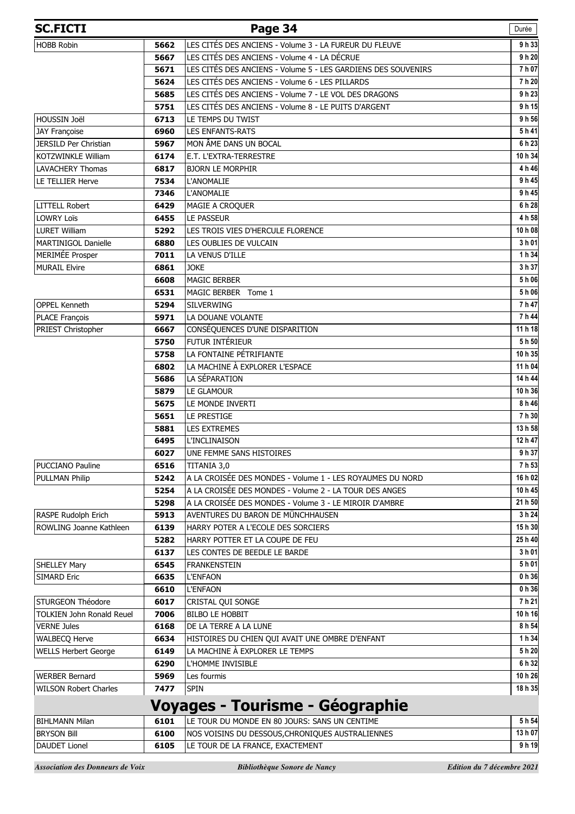| <b>SC.FICTI</b>                  |      | Page 34                                                                          | Durée   |
|----------------------------------|------|----------------------------------------------------------------------------------|---------|
| <b>HOBB Robin</b>                | 5662 | LES CITÉS DES ANCIENS - Volume 3 - LA FUREUR DU FLEUVE                           | 9h33    |
|                                  | 5667 | LES CITÉS DES ANCIENS - Volume 4 - LA DÉCRUE                                     | 9 h 20  |
|                                  | 5671 | LES CITÉS DES ANCIENS - Volume 5 - LES GARDIENS DES SOUVENIRS                    | 7 h 07  |
|                                  | 5624 | LES CITÉS DES ANCIENS - Volume 6 - LES PILLARDS                                  | 7h 20   |
|                                  | 5685 | LES CITÉS DES ANCIENS - Volume 7 - LE VOL DES DRAGONS                            | 9 h 23  |
|                                  | 5751 | LES CITÉS DES ANCIENS - Volume 8 - LE PUITS D'ARGENT                             | 9 h 15  |
| HOUSSIN Joël                     | 6713 | LE TEMPS DU TWIST                                                                | 9 h 56  |
| JAY Françoise                    | 6960 | <b>LES ENFANTS-RATS</b>                                                          | 5h41    |
| JERSILD Per Christian            | 5967 | MON ÂME DANS UN BOCAL                                                            | 6h23    |
| <b>KOTZWINKLE William</b>        | 6174 | E.T. L'EXTRA-TERRESTRE                                                           | 10 h 34 |
| <b>LAVACHERY Thomas</b>          | 6817 | <b>BJORN LE MORPHIR</b>                                                          | 4 h 46  |
| LE TELLIER Herve                 | 7534 | <b>L'ANOMALIE</b>                                                                | 9 h 45  |
|                                  | 7346 | L'ANOMALIE                                                                       | 9 h 45  |
| <b>LITTELL Robert</b>            | 6429 | MAGIE A CROQUER                                                                  | 6 h 28  |
| <b>LOWRY Loïs</b>                | 6455 | <b>LE PASSEUR</b>                                                                | 4 h 58  |
| <b>LURET William</b>             | 5292 | LES TROIS VIES D'HERCULE FLORENCE                                                | 10 h 08 |
| MARTINIGOL Danielle              | 6880 | LES OUBLIES DE VULCAIN                                                           | 3 h 01  |
| MERIMÉE Prosper                  | 7011 | LA VENUS D'ILLE                                                                  | 1 h 34  |
| <b>MURAIL Elvire</b>             | 6861 | <b>JOKE</b>                                                                      | 3 h 37  |
|                                  | 6608 | <b>MAGIC BERBER</b>                                                              | 5 h 06  |
|                                  | 6531 | MAGIC BERBER Tome 1                                                              | 5h06    |
| <b>OPPEL Kenneth</b>             | 5294 | <b>SILVERWING</b>                                                                | 7 h 47  |
| PLACE François                   | 5971 | LA DOUANE VOLANTE                                                                | 7 h 44  |
| PRIEST Christopher               | 6667 | CONSÉQUENCES D'UNE DISPARITION                                                   | 11 h 18 |
|                                  | 5750 | <b>FUTUR INTÉRIEUR</b>                                                           | 5 h 50  |
|                                  | 5758 | LA FONTAINE PÉTRIFIANTE                                                          | 10h 35  |
|                                  | 6802 | LA MACHINE À EXPLORER L'ESPACE                                                   | 11 h 04 |
|                                  | 5686 | LA SÉPARATION                                                                    | 14 h 44 |
|                                  | 5879 | LE GLAMOUR                                                                       | 10h36   |
|                                  | 5675 | LE MONDE INVERTI                                                                 | 8 h 46  |
|                                  | 5651 | LE PRESTIGE                                                                      | 7h 30   |
|                                  | 5881 | <b>LES EXTREMES</b>                                                              | 13 h 58 |
|                                  | 6495 | <b>L'INCLINAISON</b>                                                             | 12 h 47 |
|                                  | 6027 | UNE FEMME SANS HISTOIRES                                                         | 9 h 37  |
| <b>PUCCIANO Pauline</b>          | 6516 | TITANIA 3,0                                                                      | 7h 53   |
| <b>PULLMAN Philip</b>            | 5242 | A LA CROISÉE DES MONDES - Volume 1 - LES ROYAUMES DU NORD                        | 16 h 02 |
|                                  | 5254 | A LA CROISÉE DES MONDES - Volume 2 - LA TOUR DES ANGES                           | 10h45   |
|                                  | 5298 | A LA CROISÉE DES MONDES - Volume 3 - LE MIROIR D'AMBRE                           | 21 h 50 |
| RASPE Rudolph Erich              | 5913 | AVENTURES DU BARON DE MÜNCHHAUSEN                                                | 3 h 24  |
| ROWLING Joanne Kathleen          | 6139 | HARRY POTER A L'ECOLE DES SORCIERS                                               | 15h 30  |
|                                  | 5282 | HARRY POTTER ET LA COUPE DE FEU                                                  | 25h40   |
|                                  | 6137 | LES CONTES DE BEEDLE LE BARDE                                                    | 3 h 01  |
| <b>SHELLEY Mary</b>              | 6545 | FRANKENSTEIN                                                                     | 5h01    |
| <b>SIMARD Eric</b>               | 6635 | <b>L'ENFAON</b>                                                                  | 0 h 36  |
|                                  | 6610 | <b>L'ENFAON</b>                                                                  | 0 h 36  |
| STURGEON Théodore                | 6017 | CRISTAL QUI SONGE                                                                | 7h 21   |
| <b>TOLKIEN John Ronald Reuel</b> | 7006 | <b>BILBO LE HOBBIT</b>                                                           | 10 h 16 |
| <b>VERNE Jules</b>               | 6168 | DE LA TERRE A LA LUNE                                                            | 8 h 54  |
| <b>WALBECQ Herve</b>             | 6634 | HISTOIRES DU CHIEN QUI AVAIT UNE OMBRE D'ENFANT                                  | 1 h 34  |
| <b>WELLS Herbert George</b>      | 6149 | LA MACHINE À EXPLORER LE TEMPS                                                   | 5 h 20  |
|                                  | 6290 | L'HOMME INVISIBLE                                                                | 6 h 32  |
| <b>WERBER Bernard</b>            | 5969 | Les fourmis                                                                      | 10 h 26 |
| <b>WILSON Robert Charles</b>     | 7477 | <b>SPIN</b>                                                                      | 18 h 35 |
|                                  |      |                                                                                  |         |
| <b>BIHLMANN Milan</b>            | 6101 | Voyages - Tourisme - Géographie<br>LE TOUR DU MONDE EN 80 JOURS: SANS UN CENTIME | 5 h 54  |
|                                  |      |                                                                                  | 13 h 07 |
| <b>BRYSON Bill</b>               | 6100 | NOS VOISINS DU DESSOUS, CHRONIQUES AUSTRALIENNES                                 |         |
| <b>DAUDET Lionel</b>             | 6105 | LE TOUR DE LA FRANCE, EXACTEMENT                                                 | 9h19    |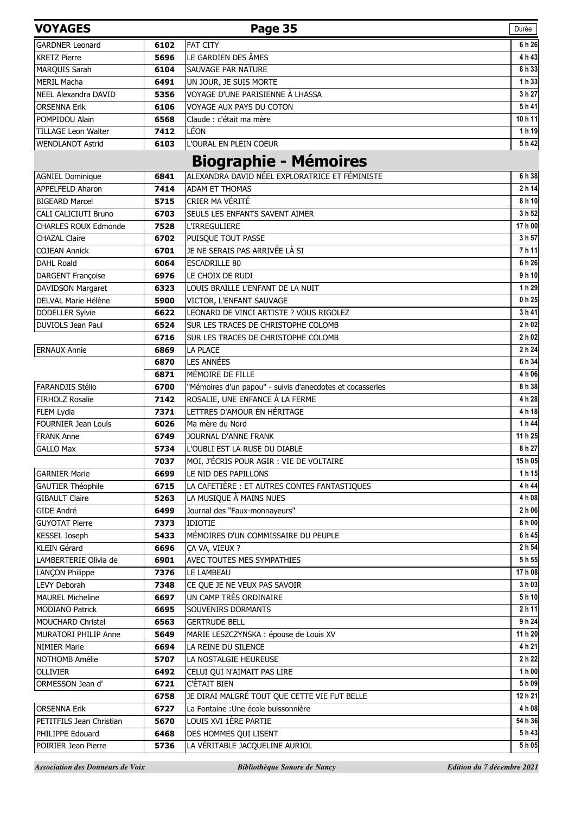| <b>VOYAGES</b>              |      | Page 35                                                   | Durée   |
|-----------------------------|------|-----------------------------------------------------------|---------|
| <b>GARDNER Leonard</b>      | 6102 | <b>FAT CITY</b>                                           | 6 h 26  |
| <b>KRETZ Pierre</b>         | 5696 | LE GARDIEN DES ÂMES                                       | 4 h 43  |
| MARQUIS Sarah               | 6104 | SAUVAGE PAR NATURE                                        | 8 h 33  |
| <b>MERIL Macha</b>          | 6491 | UN JOUR, JE SUIS MORTE                                    | 1 h 33  |
| NEEL Alexandra DAVID        | 5356 | VOYAGE D'UNE PARISIENNE À LHASSA                          | 3 h 27  |
| <b>ORSENNA Erik</b>         | 6106 | VOYAGE AUX PAYS DU COTON                                  | 5h41    |
| POMPIDOU Alain              | 6568 | Claude : c'était ma mère                                  | 10h11   |
| <b>TILLAGE Leon Walter</b>  | 7412 | LÉON                                                      | 1 h 19  |
| <b>WENDLANDT Astrid</b>     | 6103 | L'OURAL EN PLEIN COEUR                                    | 5h42    |
|                             |      | <b>Biographie - Mémoires</b>                              |         |
| <b>AGNIEL Dominique</b>     | 6841 | ALEXANDRA DAVID NÉEL EXPLORATRICE ET FÉMINISTE            | 6h38    |
| <b>APPELFELD Aharon</b>     | 7414 | <b>ADAM ET THOMAS</b>                                     | 2 h 14  |
| <b>BIGEARD Marcel</b>       | 5715 | CRIER MA VÉRITÉ                                           | 8 h 10  |
| CALI CALICIUTI Bruno        | 6703 | SEULS LES ENFANTS SAVENT AIMER                            | 3 h 52  |
| <b>CHARLES ROUX Edmonde</b> | 7528 | <b>L'IRREGULIERE</b>                                      | 17 h 00 |
| <b>CHAZAL Claire</b>        | 6702 | PUISOUE TOUT PASSE                                        | 3 h 57  |
| <b>COJEAN Annick</b>        | 6701 | JE NE SERAIS PAS ARRIVÉE LÀ SI                            | 7h 11   |
| <b>DAHL Roald</b>           | 6064 | <b>ESCADRILLE 80</b>                                      | 6 h 26  |
| DARGENT Françoise           | 6976 | LE CHOIX DE RUDI                                          | 9h10    |
| <b>DAVIDSON Margaret</b>    | 6323 | LOUIS BRAILLE L'ENFANT DE LA NUIT                         | 1 h 29  |
| DELVAL Marie Hélène         | 5900 | VICTOR, L'ENFANT SAUVAGE                                  | 0 h 25  |
| <b>DODELLER Sylvie</b>      | 6622 | LEONARD DE VINCI ARTISTE ? VOUS RIGOLEZ                   | 3 h 41  |
| DUVIOLS Jean Paul           | 6524 | SUR LES TRACES DE CHRISTOPHE COLOMB                       | 2 h 02  |
|                             | 6716 | SUR LES TRACES DE CHRISTOPHE COLOMB                       | 2 h 02  |
| <b>ERNAUX Annie</b>         | 6869 | LA PLACE                                                  | 2 h 24  |
|                             | 6870 | <b>LES ANNÉES</b>                                         | 6 h 34  |
|                             | 6871 | MÉMOIRE DE FILLE                                          | 4 h 06  |
| FARANDJIS Stélio            | 6700 | "Mémoires d'un papou" - suivis d'anecdotes et cocasseries | 8 h 38  |
| <b>FIRHOLZ Rosalie</b>      | 7142 | ROSALIE, UNE ENFANCE À LA FERME                           | 4 h 28  |
| FLEM Lydia                  | 7371 | LETTRES D'AMOUR EN HÉRITAGE                               | 4h18    |
| <b>FOURNIER Jean Louis</b>  | 6026 | Ma mère du Nord                                           | 1 h 44  |
| <b>FRANK Anne</b>           | 6749 | JOURNAL D'ANNE FRANK                                      | 11 h 25 |
| <b>GALLO Max</b>            | 5734 | L'OUBLI EST LA RUSE DU DIABLE                             | 8 h 27  |
|                             | 7037 | MOI, J'ÉCRIS POUR AGIR : VIE DE VOLTAIRE                  | 15h05   |
| <b>GARNIER Marie</b>        | 6699 | LE NID DES PAPILLONS                                      | 1h 15   |
| <b>GAUTIER Théophile</b>    | 6715 | LA CAFETIÈRE : ET AUTRES CONTES FANTASTIQUES              | 4 h 44  |
| <b>GIBAULT Claire</b>       | 5263 | LA MUSIQUE À MAINS NUES                                   | 4 h 08  |
| GIDE André                  | 6499 | Journal des "Faux-monnayeurs"                             | 2 h 06  |
| <b>GUYOTAT Pierre</b>       | 7373 | <b>IDIOTIE</b>                                            | 8 h 00  |
| <b>KESSEL Joseph</b>        | 5433 | MÉMOIRES D'UN COMMISSAIRE DU PEUPLE                       | 6 h 45  |
| KLEIN Gérard                | 6696 | ÇA VA, VIEUX ?                                            | 2 h 54  |
| LAMBERTERIE Olivia de       | 6901 | AVEC TOUTES MES SYMPATHIES                                | 5h 55   |
| <b>LANÇON Philippe</b>      | 7376 | LE LAMBEAU                                                | 17 h 08 |
| <b>LEVY Deborah</b>         | 7348 | CE QUE JE NE VEUX PAS SAVOIR                              | 3 h 03  |
| <b>MAUREL Micheline</b>     | 6697 | UN CAMP TRÈS ORDINAIRE                                    | 5 h 10  |
| <b>MODIANO Patrick</b>      | 6695 | SOUVENIRS DORMANTS                                        | 2 h 11  |
| MOUCHARD Christel           | 6563 | <b>GERTRUDE BELL</b>                                      | 9 h 24  |
| MURATORI PHILIP Anne        | 5649 | MARIE LESZCZYNSKA : épouse de Louis XV                    | 11 h 20 |
| <b>NIMIER Marie</b>         | 6694 | LA REINE DU SILENCE                                       | 4 h 21  |
| NOTHOMB Amélie              | 5707 | LA NOSTALGIE HEUREUSE                                     | 2 h 22  |
| <b>OLLIVIER</b>             | 6492 | CELUI QUI N'AIMAIT PAS LIRE                               | 1 h 00  |
| ORMESSON Jean d'            | 6721 | C'ÉTAIT BIEN                                              | 5 h 09  |
|                             | 6758 | JE DIRAI MALGRÉ TOUT QUE CETTE VIE FUT BELLE              | 12 h 21 |
| <b>ORSENNA Erik</b>         | 6727 | La Fontaine : Une école buissonnière                      | 4 h 08  |
| PETITFILS Jean Christian    | 5670 | LOUIS XVI 1ÈRE PARTIE                                     | 54 h 36 |
| PHILIPPE Edouard            | 6468 | DES HOMMES QUI LISENT                                     | 5h43    |
| POIRIER Jean Pierre         | 5736 | LA VÉRITABLE JACQUELINE AURIOL                            | 5h05    |
|                             |      |                                                           |         |